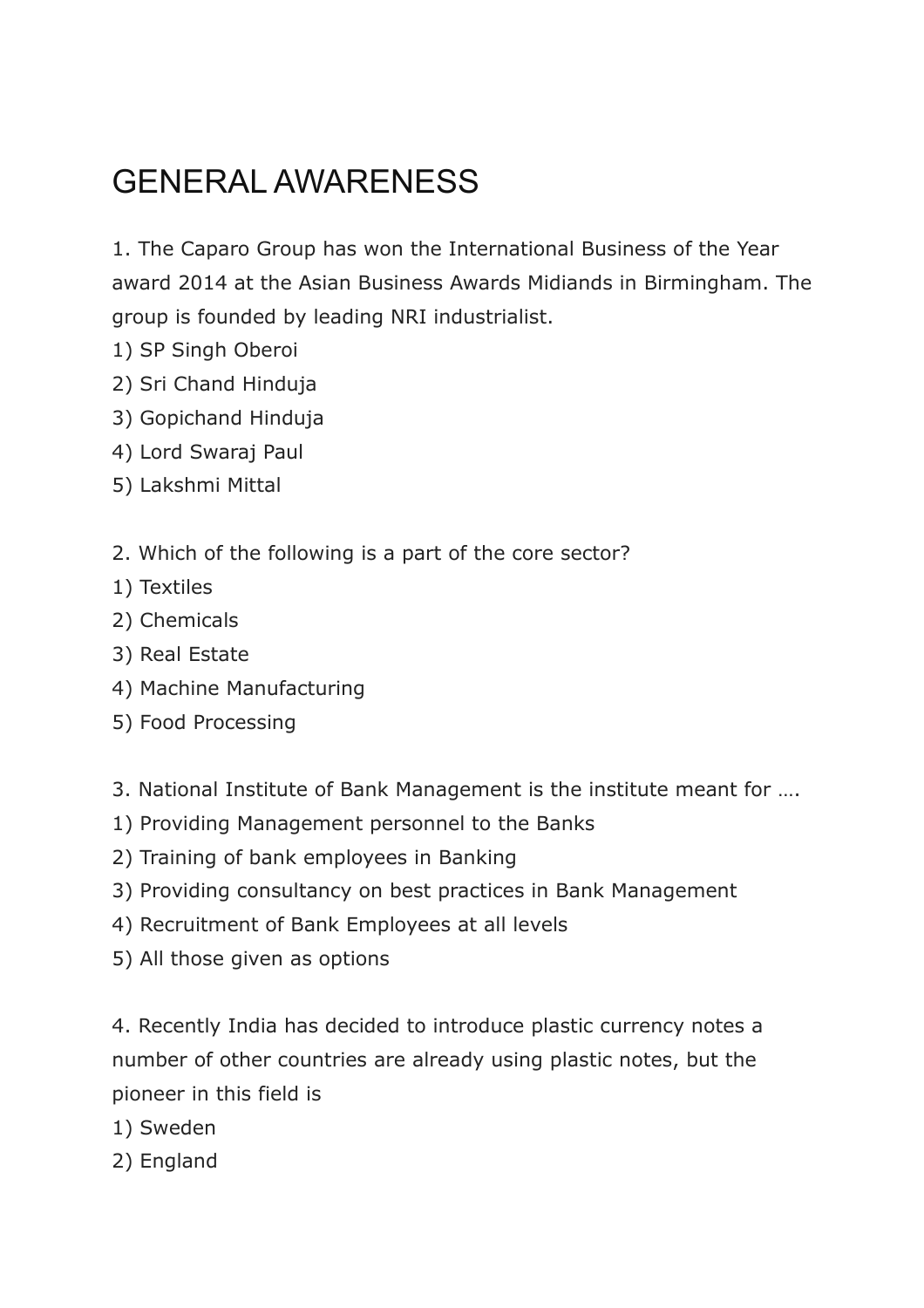# GENERAL AWARENESS

1. The Caparo Group has won the International Business of the Year award 2014 at the Asian Business Awards Midiands in Birmingham. The group is founded by leading NRI industrialist.

- 1) SP Singh Oberoi
- 2) Sri Chand Hinduja
- 3) Gopichand Hinduja
- 4) Lord Swaraj Paul
- 5) Lakshmi Mittal
- 2. Which of the following is a part of the core sector?
- 1) Textiles
- 2) Chemicals
- 3) Real Estate
- 4) Machine Manufacturing
- 5) Food Processing
- 3. National Institute of Bank Management is the institute meant for ….
- 1) Providing Management personnel to the Banks
- 2) Training of bank employees in Banking
- 3) Providing consultancy on best practices in Bank Management
- 4) Recruitment of Bank Employees at all levels
- 5) All those given as options

4. Recently India has decided to introduce plastic currency notes a number of other countries are already using plastic notes, but the pioneer in this field is

- 1) Sweden
- 2) England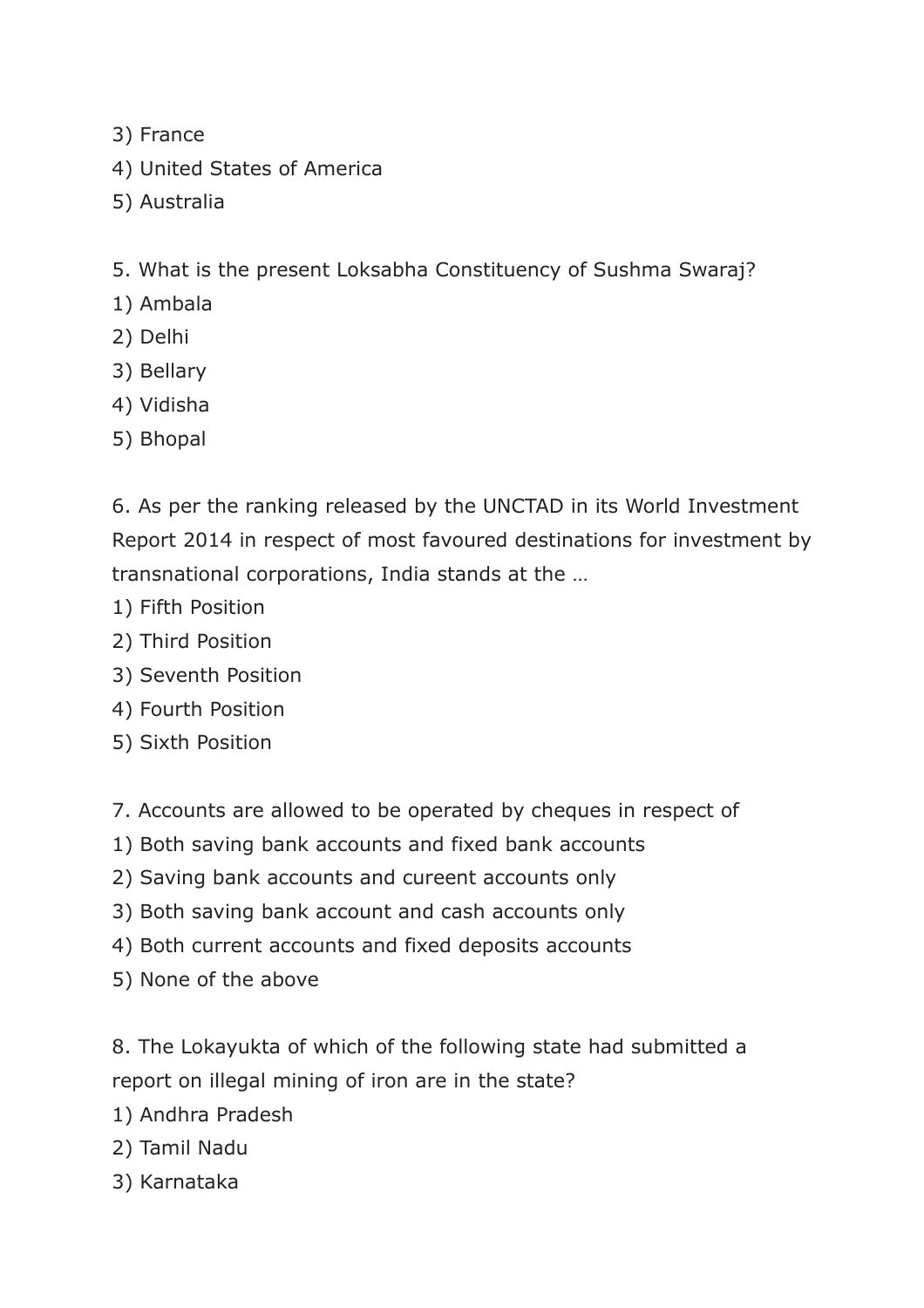- 3) France
- 4) United States of America
- 5) Australia
- 5. What is the present Loksabha Constituency of Sushma Swaraj?
- 1) Ambala
- 2) Delhi
- 3) Bellary
- 4) Vidisha
- 5) Bhopal

6. As per the ranking released by the UNCTAD in its World Investment Report 2014 in respect of most favoured destinations for investment by transnational corporations, India stands at the …

- 1) Fifth Position
- 2) Third Position
- 3) Seventh Position
- 4) Fourth Position
- 5) Sixth Position
- 7. Accounts are allowed to be operated by cheques in respect of
- 1) Both saving bank accounts and fixed bank accounts
- 2) Saving bank accounts and cureent accounts only
- 3) Both saving bank account and cash accounts only
- 4) Both current accounts and fixed deposits accounts
- 5) None of the above

8. The Lokayukta of which of the following state had submitted a report on illegal mining of iron are in the state?

- 1) Andhra Pradesh
- 2) Tamil Nadu
- 3) Karnataka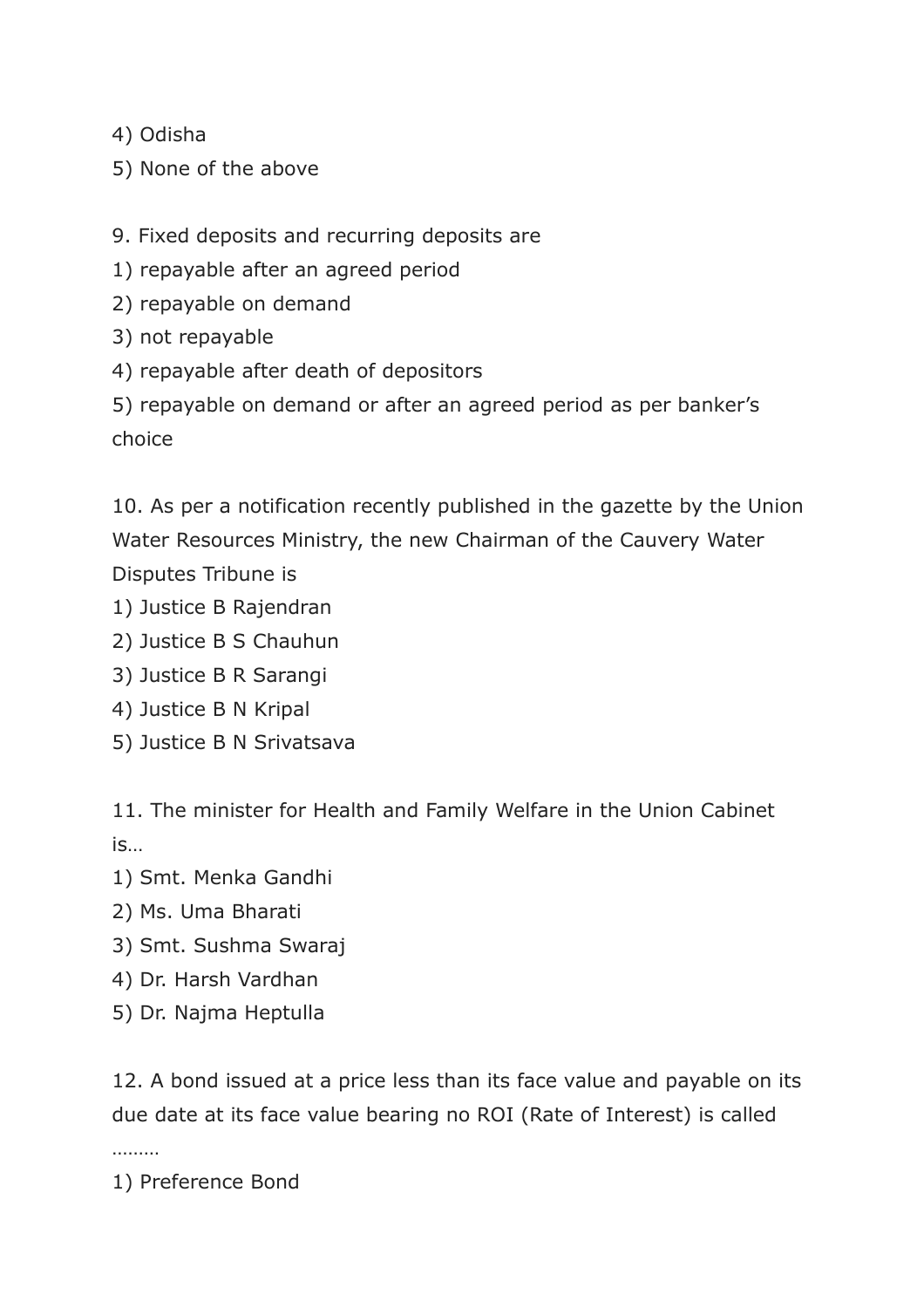4) Odisha

5) None of the above

9. Fixed deposits and recurring deposits are

1) repayable after an agreed period

2) repayable on demand

3) not repayable

4) repayable after death of depositors

5) repayable on demand or after an agreed period as per banker's choice

10. As per a notification recently published in the gazette by the Union Water Resources Ministry, the new Chairman of the Cauvery Water Disputes Tribune is

1) Justice B Rajendran

2) Justice B S Chauhun

3) Justice B R Sarangi

4) Justice B N Kripal

5) Justice B N Srivatsava

11. The minister for Health and Family Welfare in the Union Cabinet is…

1) Smt. Menka Gandhi

2) Ms. Uma Bharati

3) Smt. Sushma Swaraj

4) Dr. Harsh Vardhan

5) Dr. Najma Heptulla

12. A bond issued at a price less than its face value and payable on its due date at its face value bearing no ROI (Rate of Interest) is called

………

1) Preference Bond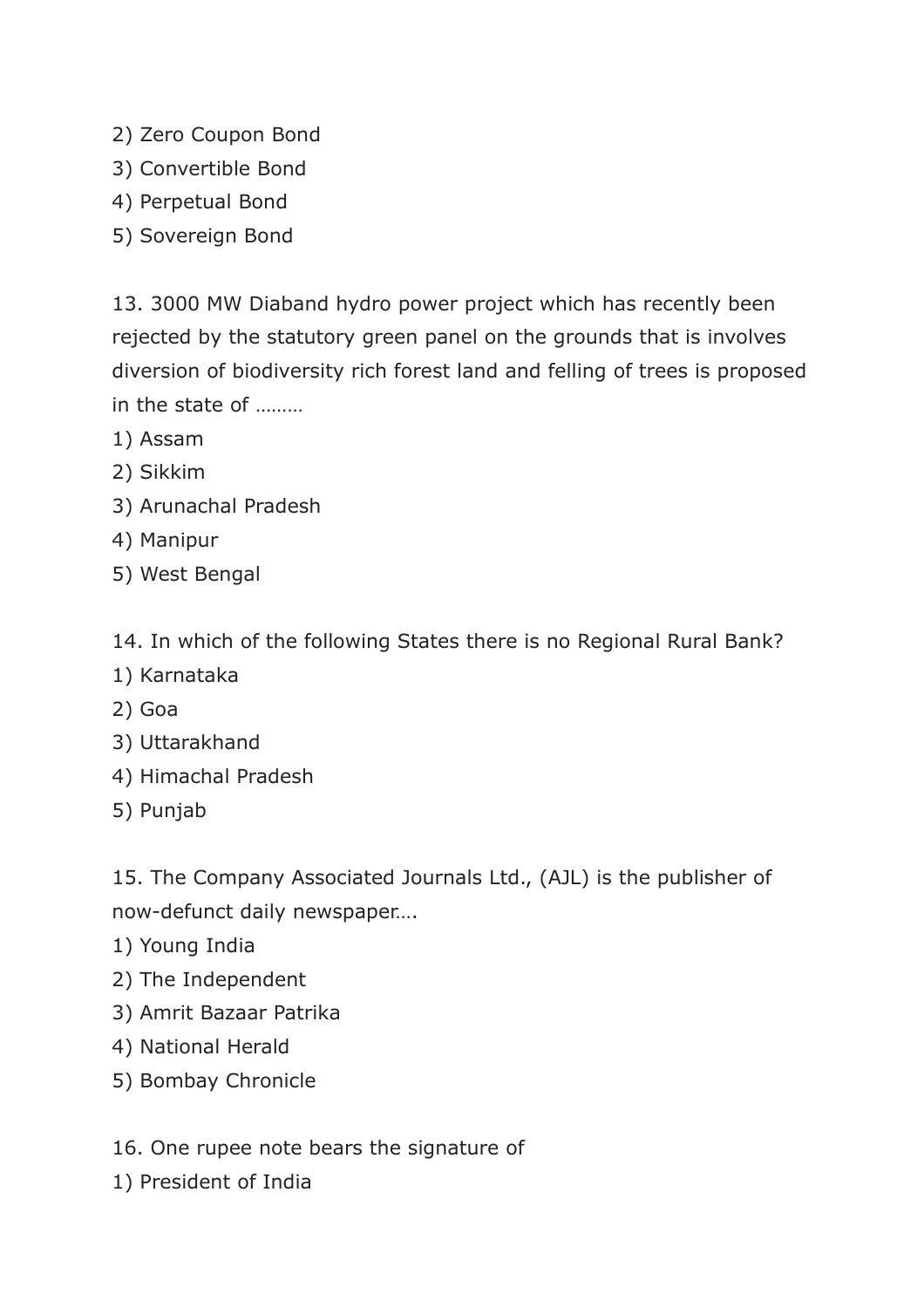- 2) Zero Coupon Bond
- 3) Convertible Bond
- 4) Perpetual Bond
- 5) Sovereign Bond

13. 3000 MW Diaband hydro power project which has recently been rejected by the statutory green panel on the grounds that is involves diversion of biodiversity rich forest land and felling of trees is proposed in the state of ………

- 1) Assam
- 2) Sikkim
- 3) Arunachal Pradesh
- 4) Manipur
- 5) West Bengal

14. In which of the following States there is no Regional Rural Bank?

- 1) Karnataka
- 2) Goa
- 3) Uttarakhand
- 4) Himachal Pradesh
- 5) Punjab

15. The Company Associated Journals Ltd., (AJL) is the publisher of now-defunct daily newspaper….

- 1) Young India
- 2) The Independent
- 3) Amrit Bazaar Patrika
- 4) National Herald
- 5) Bombay Chronicle
- 16. One rupee note bears the signature of
- 1) President of India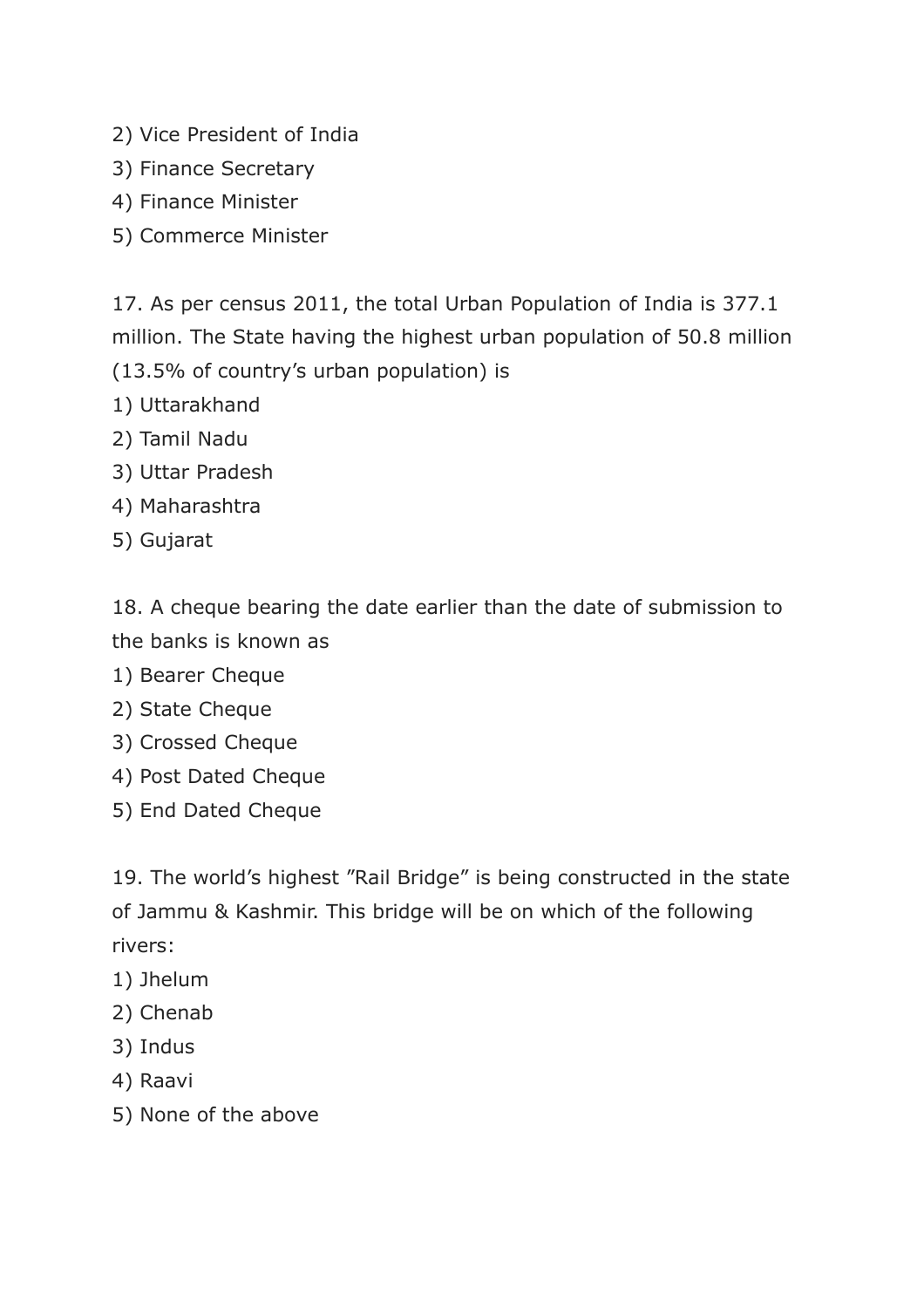- 2) Vice President of India
- 3) Finance Secretary
- 4) Finance Minister
- 5) Commerce Minister

17. As per census 2011, the total Urban Population of India is 377.1 million. The State having the highest urban population of 50.8 million (13.5% of country's urban population) is

- 1) Uttarakhand
- 2) Tamil Nadu
- 3) Uttar Pradesh
- 4) Maharashtra
- 5) Gujarat

18. A cheque bearing the date earlier than the date of submission to the banks is known as

- 1) Bearer Cheque
- 2) State Cheque
- 3) Crossed Cheque
- 4) Post Dated Cheque
- 5) End Dated Cheque

19. The world's highest "Rail Bridge" is being constructed in the state of Jammu & Kashmir. This bridge will be on which of the following rivers:

- 1) Jhelum
- 2) Chenab
- 3) Indus
- 4) Raavi
- 5) None of the above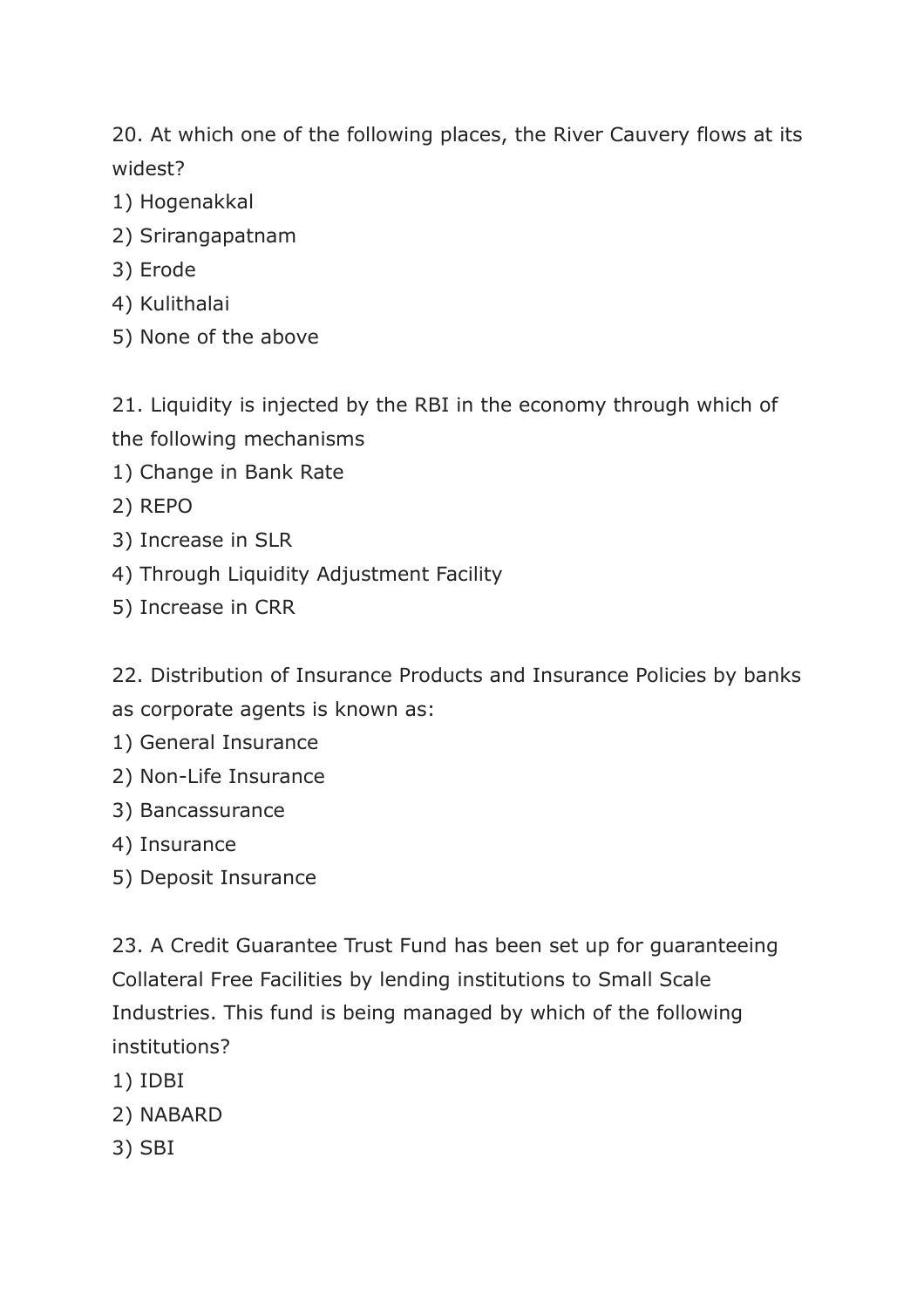20. At which one of the following places, the River Cauvery flows at its widest?

- 1) Hogenakkal
- 2) Srirangapatnam
- 3) Erode
- 4) Kulithalai
- 5) None of the above

21. Liquidity is injected by the RBI in the economy through which of the following mechanisms

- 1) Change in Bank Rate
- 2) REPO
- 3) Increase in SLR
- 4) Through Liquidity Adjustment Facility
- 5) Increase in CRR

22. Distribution of Insurance Products and Insurance Policies by banks as corporate agents is known as:

- 1) General Insurance
- 2) Non-Life Insurance
- 3) Bancassurance
- 4) Insurance
- 5) Deposit Insurance

23. A Credit Guarantee Trust Fund has been set up for guaranteeing Collateral Free Facilities by lending institutions to Small Scale Industries. This fund is being managed by which of the following institutions?

- 1) IDBI
- 2) NABARD
- 3) SBI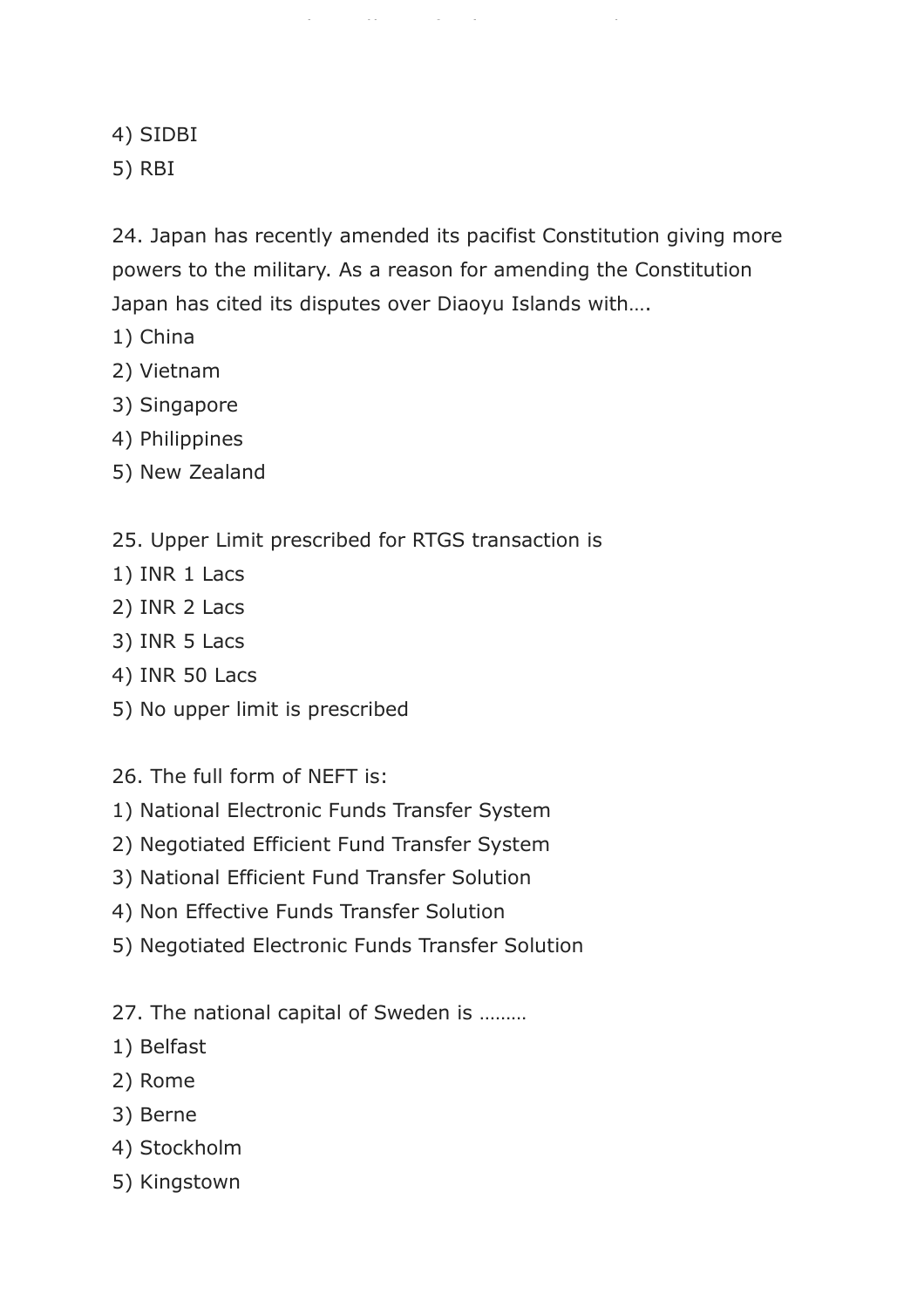4) SIDBI

5) RBI

24. Japan has recently amended its pacifist Constitution giving more powers to the military. As a reason for amending the Constitution Japan has cited its disputes over Diaoyu Islands with….

https://www.freshersnow.com/

- 1) China
- 2) Vietnam
- 3) Singapore
- 4) Philippines
- 5) New Zealand
- 25. Upper Limit prescribed for RTGS transaction is
- 1) INR 1 Lacs
- 2) INR 2 Lacs
- 3) INR 5 Lacs
- 4) INR 50 Lacs
- 5) No upper limit is prescribed

26. The full form of NEFT is:

- 1) National Electronic Funds Transfer System
- 2) Negotiated Efficient Fund Transfer System
- 3) National Efficient Fund Transfer Solution
- 4) Non Effective Funds Transfer Solution
- 5) Negotiated Electronic Funds Transfer Solution
- 27. The national capital of Sweden is ………
- 1) Belfast
- 2) Rome
- 3) Berne
- 4) Stockholm
- 5) Kingstown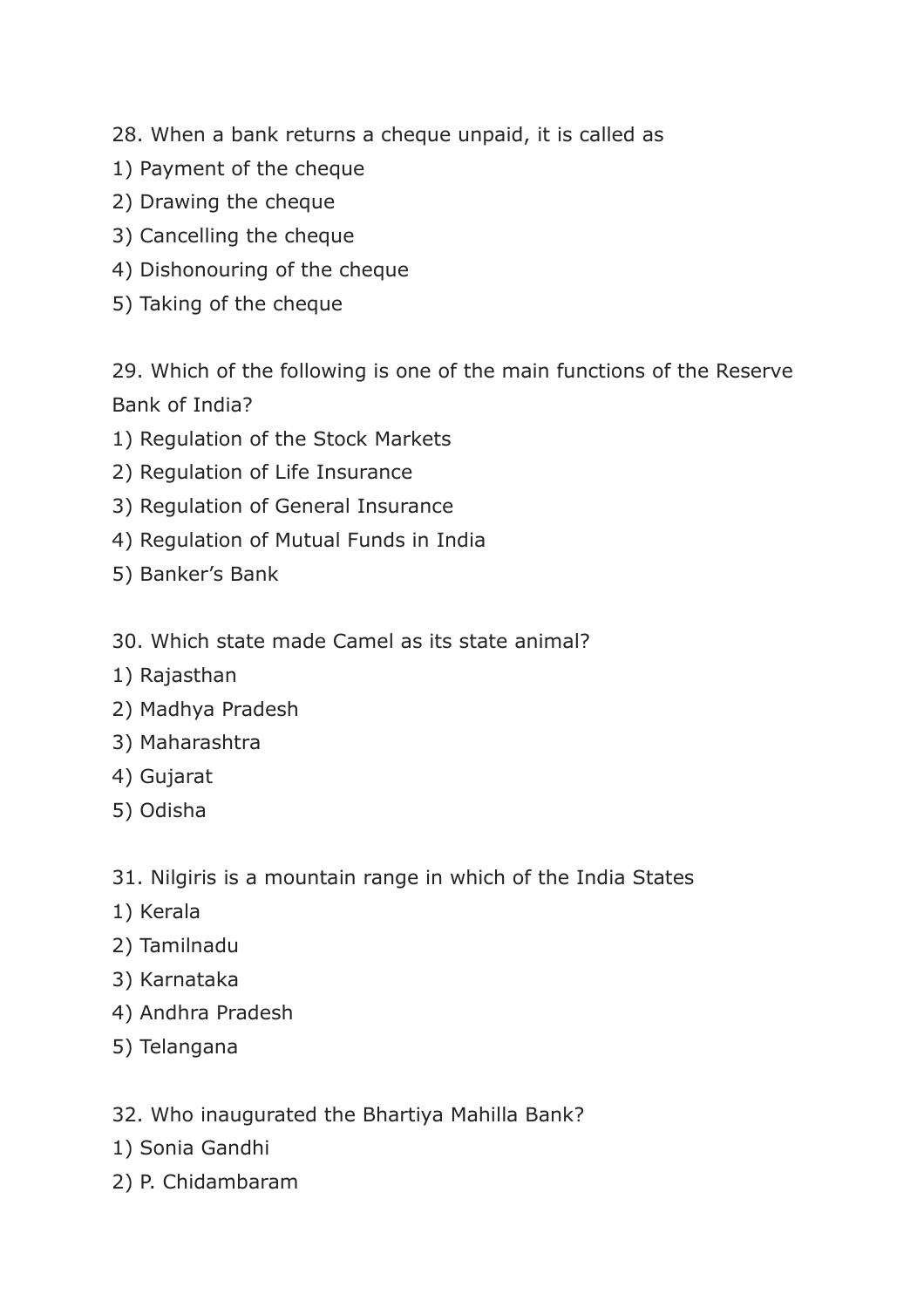- 28. When a bank returns a cheque unpaid, it is called as
- 1) Payment of the cheque
- 2) Drawing the cheque
- 3) Cancelling the cheque
- 4) Dishonouring of the cheque
- 5) Taking of the cheque

29. Which of the following is one of the main functions of the Reserve Bank of India?

- 1) Regulation of the Stock Markets
- 2) Regulation of Life Insurance
- 3) Regulation of General Insurance
- 4) Regulation of Mutual Funds in India
- 5) Banker's Bank
- 30. Which state made Camel as its state animal?
- 1) Rajasthan
- 2) Madhya Pradesh
- 3) Maharashtra
- 4) Gujarat
- 5) Odisha

31. Nilgiris is a mountain range in which of the India States

- 1) Kerala
- 2) Tamilnadu
- 3) Karnataka
- 4) Andhra Pradesh
- 5) Telangana

32. Who inaugurated the Bhartiya Mahilla Bank?

- 1) Sonia Gandhi
- 2) P. Chidambaram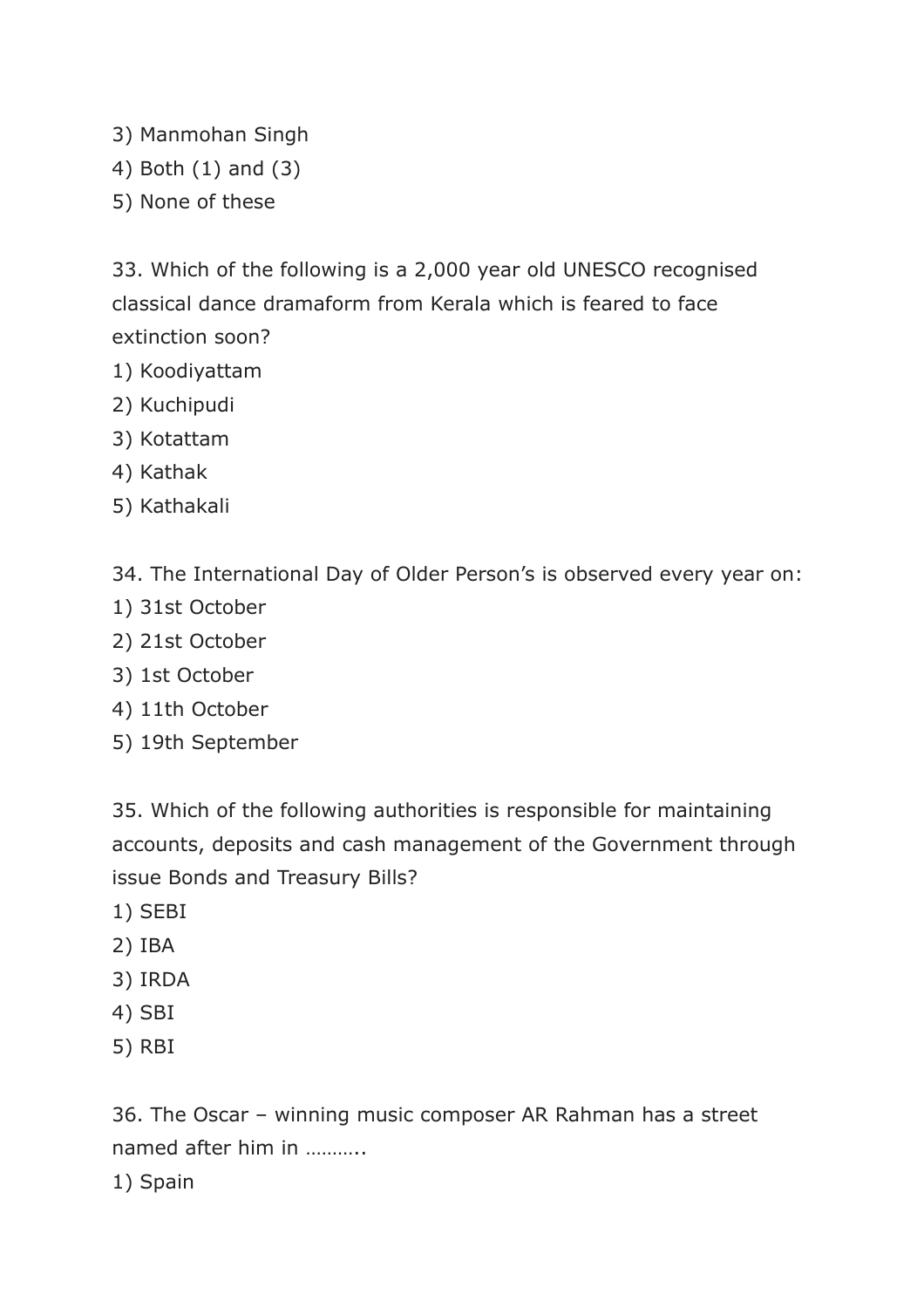- 3) Manmohan Singh
- 4) Both (1) and (3)
- 5) None of these

33. Which of the following is a 2,000 year old UNESCO recognised classical dance dramaform from Kerala which is feared to face extinction soon?

- 1) Koodiyattam
- 2) Kuchipudi
- 3) Kotattam
- 4) Kathak
- 5) Kathakali

34. The International Day of Older Person's is observed every year on:

- 1) 31st October
- 2) 21st October
- 3) 1st October
- 4) 11th October
- 5) 19th September

35. Which of the following authorities is responsible for maintaining accounts, deposits and cash management of the Government through issue Bonds and Treasury Bills?

- 1) SEBI
- 2) IBA
- 3) IRDA
- 4) SBI
- 5) RBI

36. The Oscar – winning music composer AR Rahman has a street named after him in ………..

1) Spain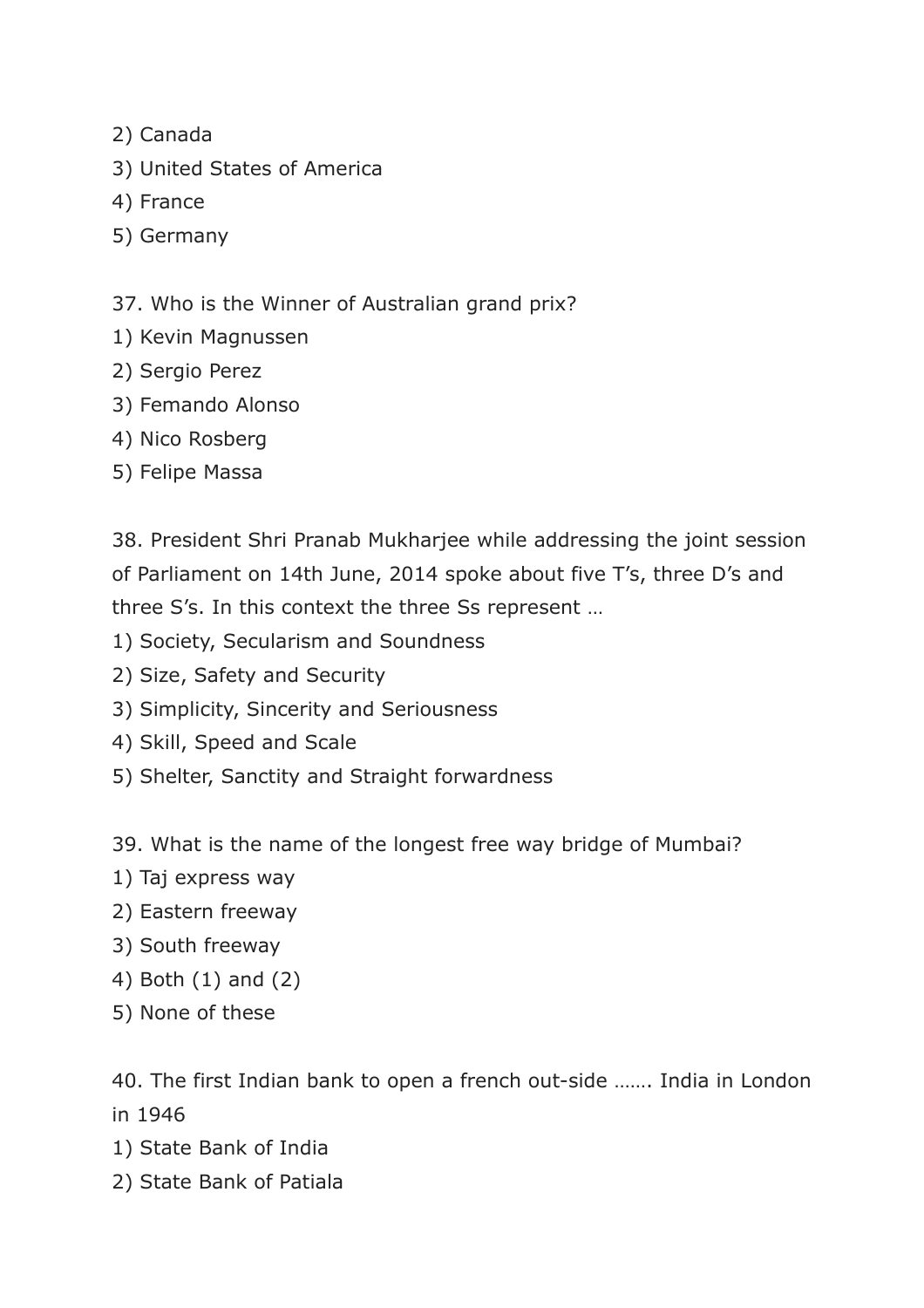- 2) Canada
- 3) United States of America
- 4) France
- 5) Germany

37. Who is the Winner of Australian grand prix?

- 1) Kevin Magnussen
- 2) Sergio Perez
- 3) Femando Alonso
- 4) Nico Rosberg
- 5) Felipe Massa

38. President Shri Pranab Mukharjee while addressing the joint session of Parliament on 14th June, 2014 spoke about five T's, three D's and three S's. In this context the three Ss represent …

- 1) Society, Secularism and Soundness
- 2) Size, Safety and Security
- 3) Simplicity, Sincerity and Seriousness
- 4) Skill, Speed and Scale
- 5) Shelter, Sanctity and Straight forwardness

39. What is the name of the longest free way bridge of Mumbai?

- 1) Taj express way
- 2) Eastern freeway
- 3) South freeway
- 4) Both (1) and (2)
- 5) None of these

40. The first Indian bank to open a french out-side ……. India in London in 1946

- 1) State Bank of India
- 2) State Bank of Patiala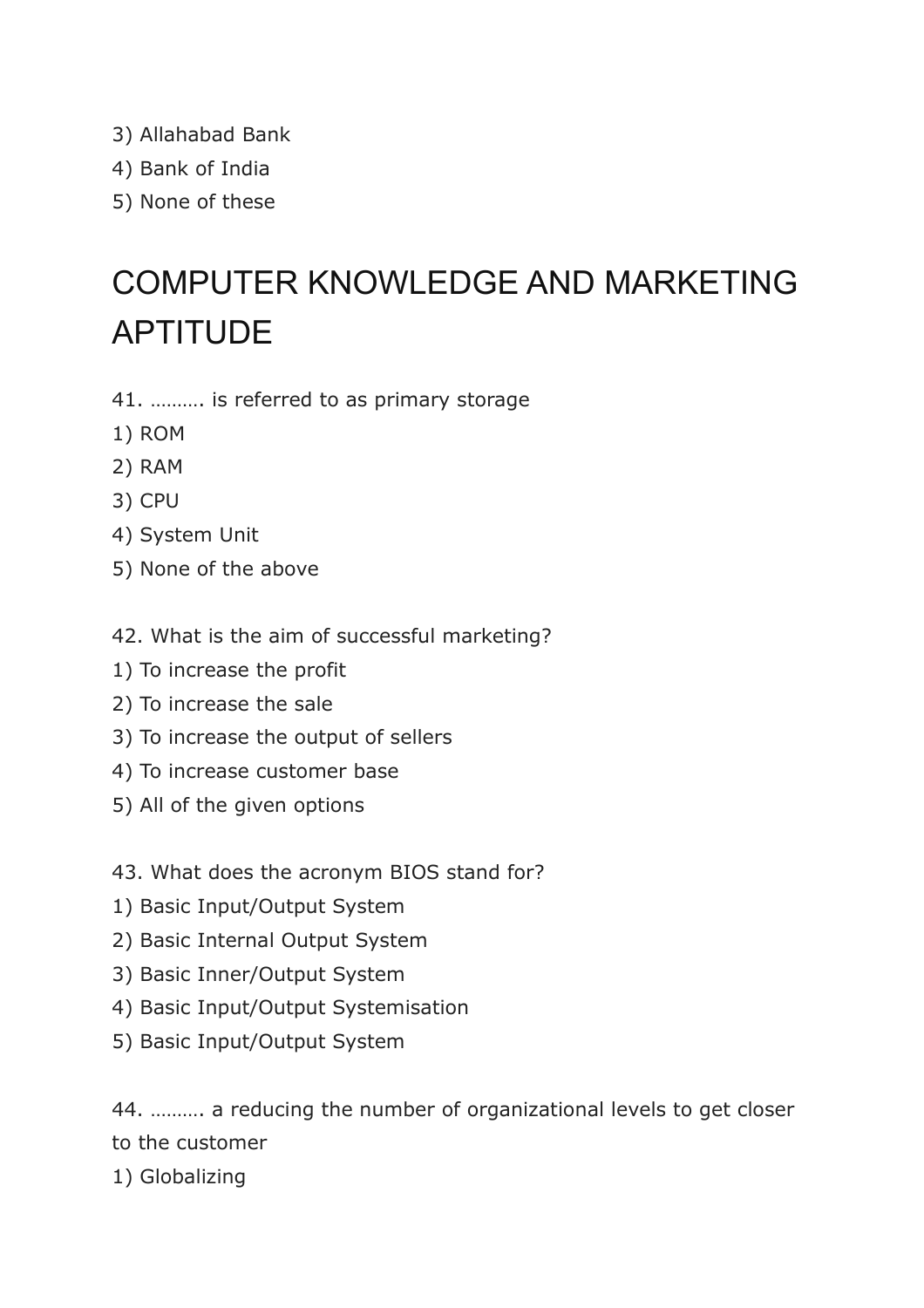- 3) Allahabad Bank
- 4) Bank of India
- 5) None of these

# COMPUTER KNOWLEDGE AND MARKETING APTITUDE

- 41. ………. is referred to as primary storage
- 1) ROM
- 2) RAM
- 3) CPU
- 4) System Unit
- 5) None of the above
- 42. What is the aim of successful marketing?
- 1) To increase the profit
- 2) To increase the sale
- 3) To increase the output of sellers
- 4) To increase customer base
- 5) All of the given options
- 43. What does the acronym BIOS stand for?
- 1) Basic Input/Output System
- 2) Basic Internal Output System
- 3) Basic Inner/Output System
- 4) Basic Input/Output Systemisation
- 5) Basic Input/Output System

44. ………. a reducing the number of organizational levels to get closer to the customer

1) Globalizing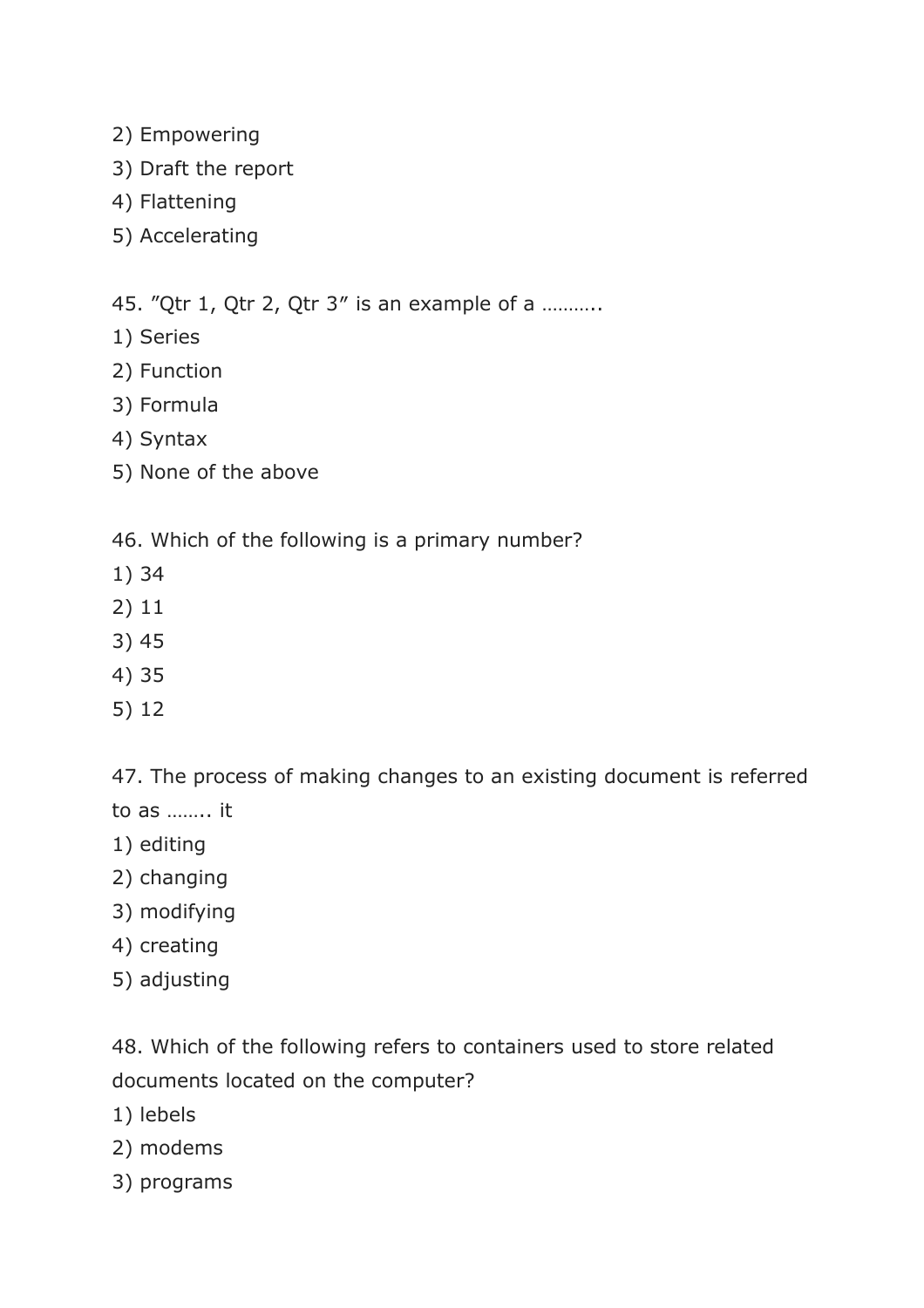- 2) Empowering
- 3) Draft the report
- 4) Flattening
- 5) Accelerating

45. "Qtr 1, Qtr 2, Qtr 3″ is an example of a ………..

- 1) Series
- 2) Function
- 3) Formula
- 4) Syntax
- 5) None of the above

46. Which of the following is a primary number?

- 1) 34
- 2) 11
- 3) 45
- 4) 35
- 5) 12

47. The process of making changes to an existing document is referred

- to as …….. it
- 1) editing
- 2) changing
- 3) modifying
- 4) creating
- 5) adjusting

48. Which of the following refers to containers used to store related documents located on the computer?

- 1) lebels
- 2) modems
- 3) programs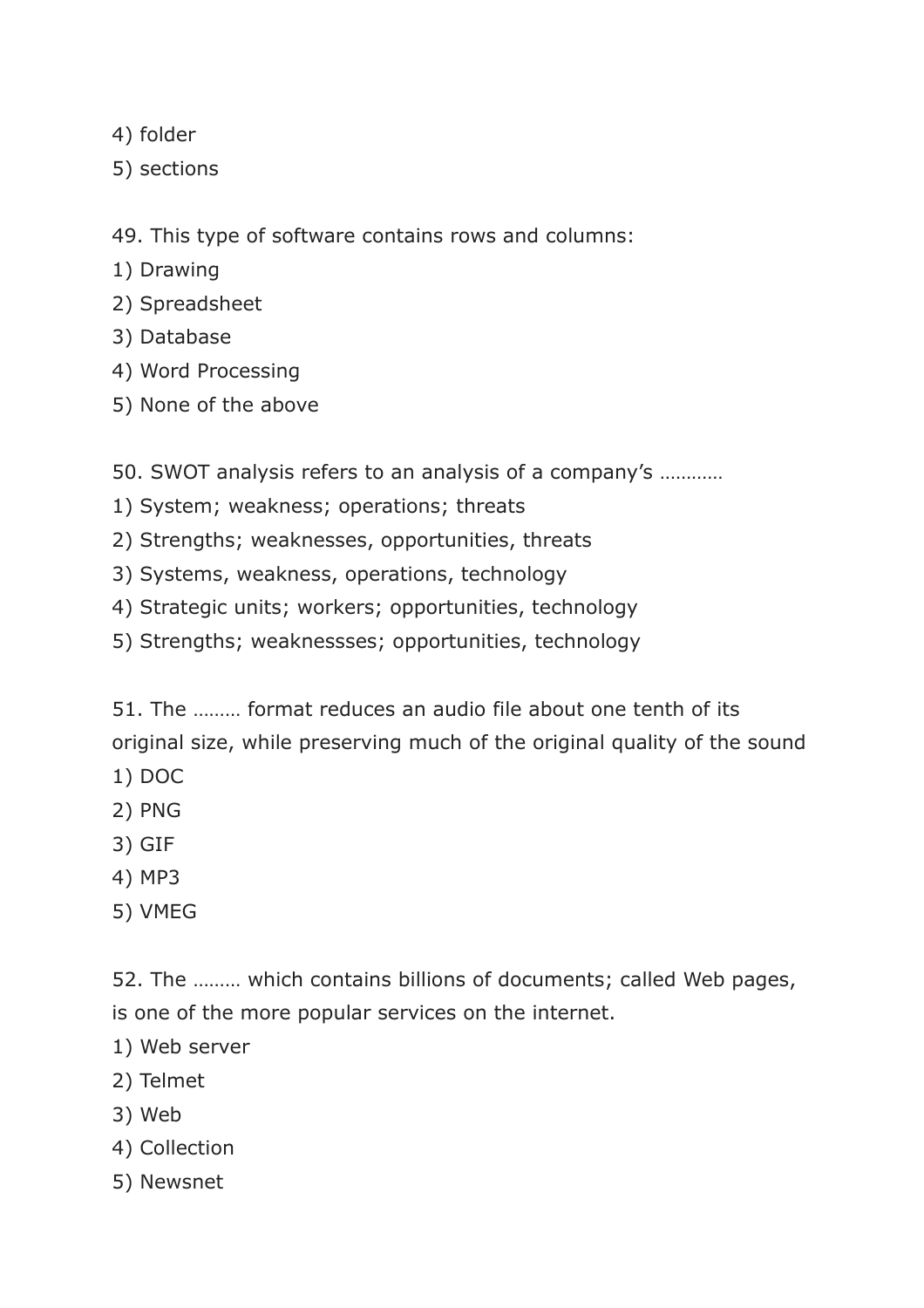- 4) folder
- 5) sections

49. This type of software contains rows and columns:

- 1) Drawing
- 2) Spreadsheet
- 3) Database
- 4) Word Processing
- 5) None of the above

50. SWOT analysis refers to an analysis of a company's …………

- 1) System; weakness; operations; threats
- 2) Strengths; weaknesses, opportunities, threats
- 3) Systems, weakness, operations, technology
- 4) Strategic units; workers; opportunities, technology
- 5) Strengths; weaknessses; opportunities, technology

51. The ……… format reduces an audio file about one tenth of its original size, while preserving much of the original quality of the sound

- 1) DOC
- 2) PNG
- 3) GIF
- 4) MP3
- 5) VMEG

52. The ……… which contains billions of documents; called Web pages, is one of the more popular services on the internet.

- 1) Web server
- 2) Telmet
- 3) Web
- 4) Collection
- 5) Newsnet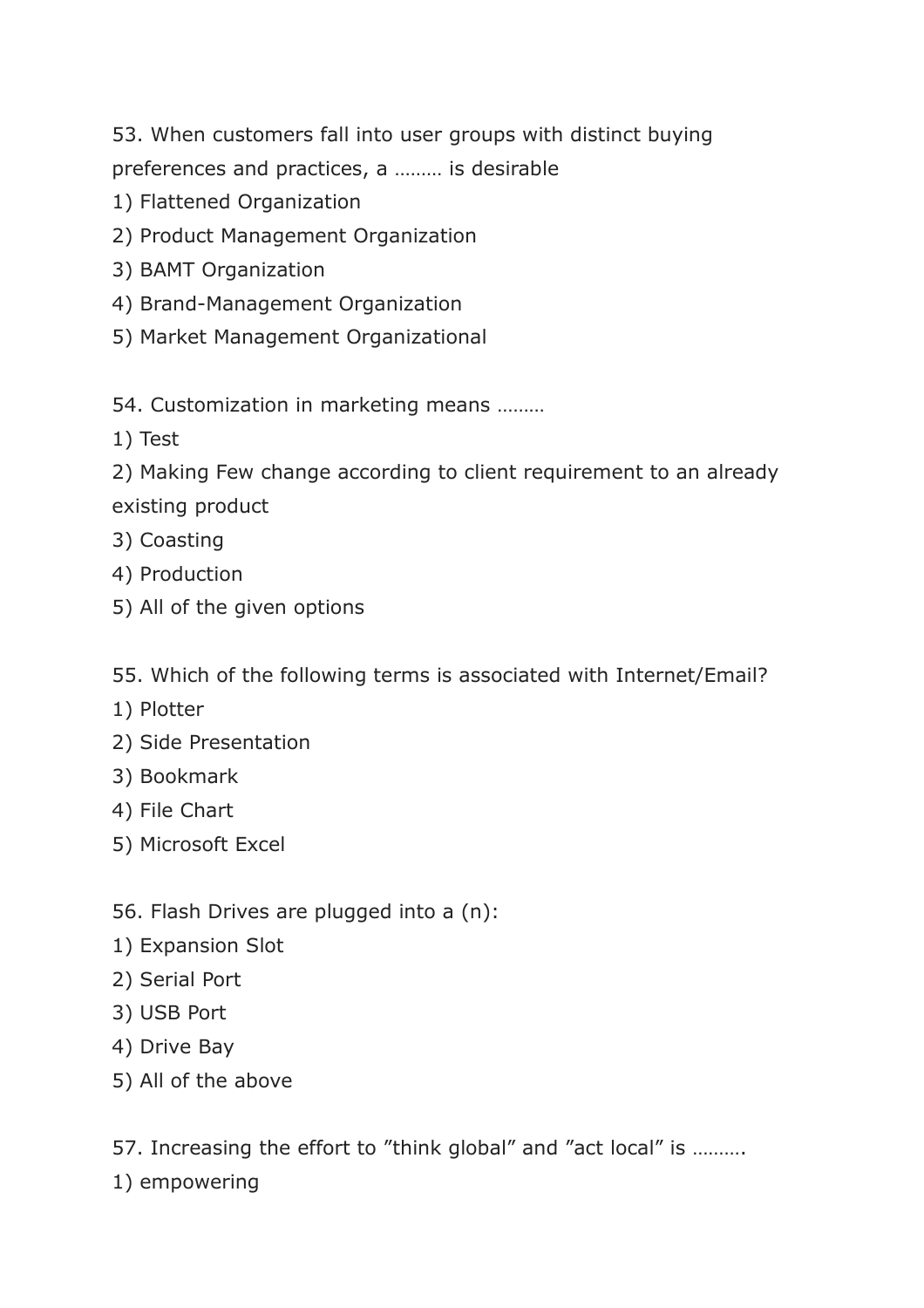53. When customers fall into user groups with distinct buying

preferences and practices, a ……… is desirable

- 1) Flattened Organization
- 2) Product Management Organization
- 3) BAMT Organization
- 4) Brand-Management Organization
- 5) Market Management Organizational

54. Customization in marketing means ………

1) Test

2) Making Few change according to client requirement to an already existing product

- 3) Coasting
- 4) Production
- 5) All of the given options

55. Which of the following terms is associated with Internet/Email?

- 1) Plotter
- 2) Side Presentation
- 3) Bookmark
- 4) File Chart
- 5) Microsoft Excel
- 56. Flash Drives are plugged into a (n):
- 1) Expansion Slot
- 2) Serial Port
- 3) USB Port
- 4) Drive Bay
- 5) All of the above

57. Increasing the effort to "think global" and "act local" is ……….

1) empowering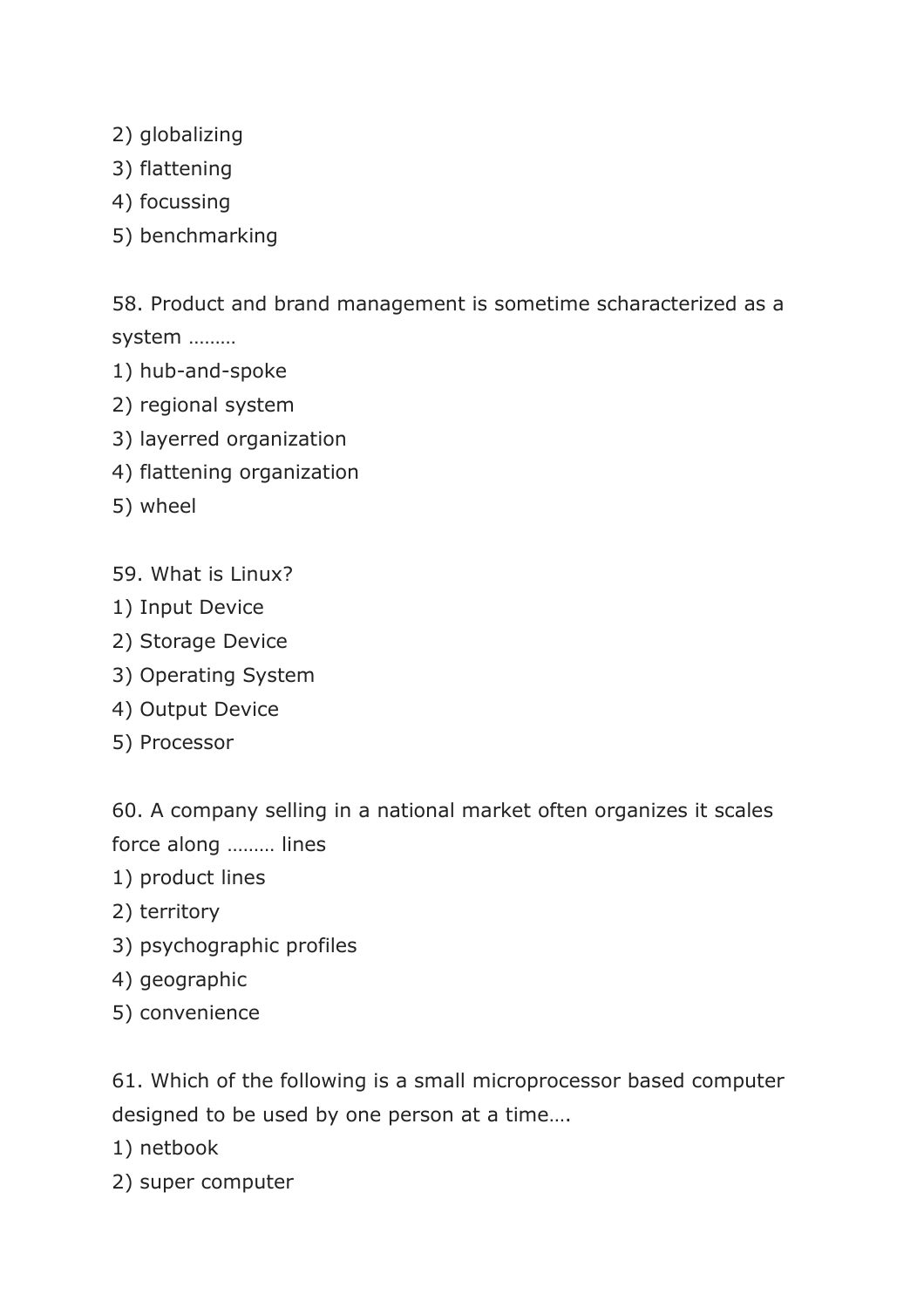- 2) globalizing
- 3) flattening
- 4) focussing
- 5) benchmarking

58. Product and brand management is sometime scharacterized as a system ………

- 1) hub-and-spoke
- 2) regional system
- 3) layerred organization
- 4) flattening organization
- 5) wheel
- 59. What is Linux?
- 1) Input Device
- 2) Storage Device
- 3) Operating System
- 4) Output Device
- 5) Processor

60. A company selling in a national market often organizes it scales

- force along ……… lines
- 1) product lines
- 2) territory
- 3) psychographic profiles
- 4) geographic
- 5) convenience

61. Which of the following is a small microprocessor based computer designed to be used by one person at a time….

- 1) netbook
- 2) super computer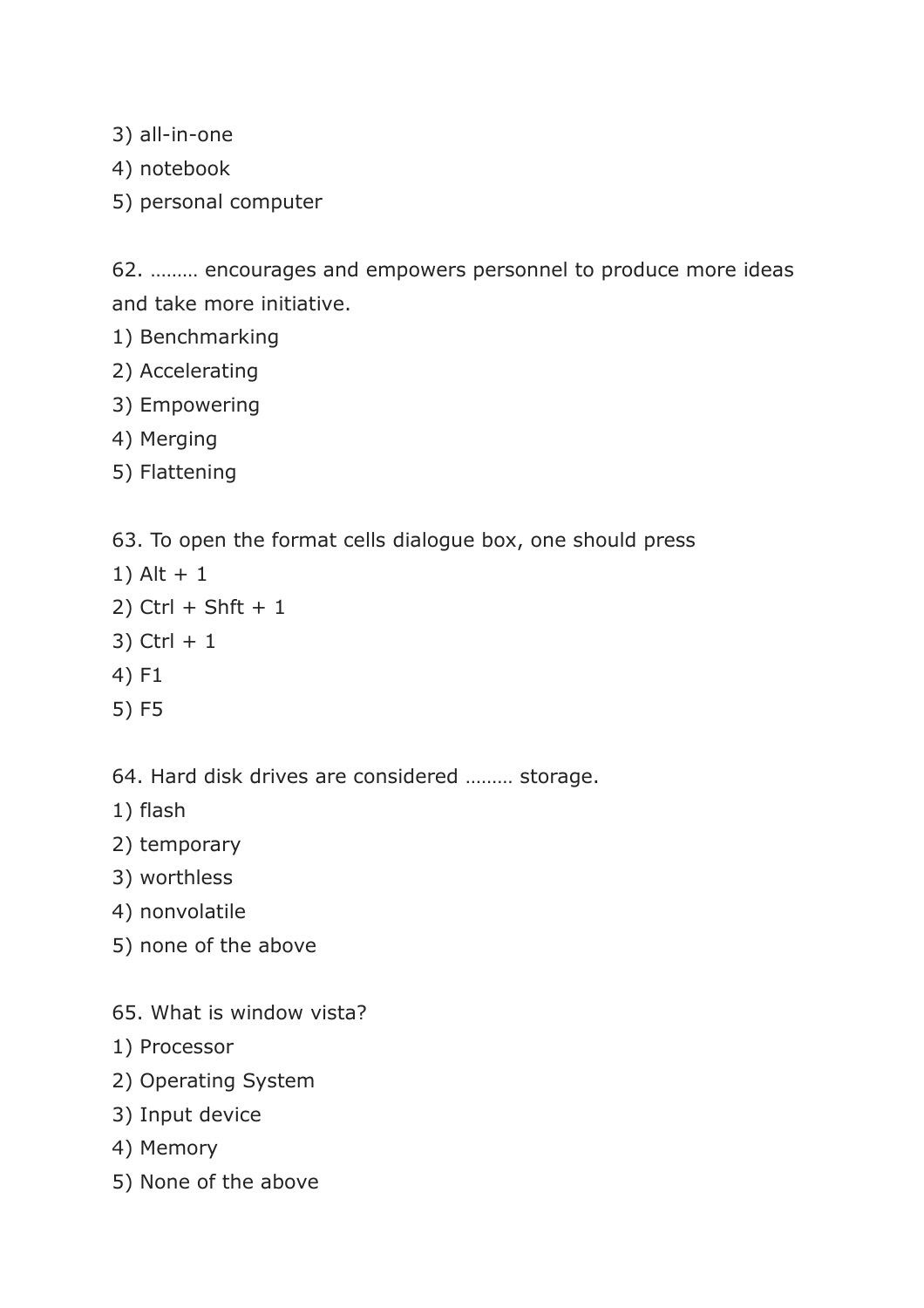3) all-in-one

- 4) notebook
- 5) personal computer

62. ……… encourages and empowers personnel to produce more ideas and take more initiative.

- 1) Benchmarking
- 2) Accelerating
- 3) Empowering
- 4) Merging
- 5) Flattening

63. To open the format cells dialogue box, one should press

- 1) Alt + 1
- $2)$  Ctrl + Shft + 1
- $3)$  Ctrl + 1
- 4) F1
- 5) F5

64. Hard disk drives are considered ……… storage.

- 1) flash
- 2) temporary
- 3) worthless
- 4) nonvolatile
- 5) none of the above
- 65. What is window vista?
- 1) Processor
- 2) Operating System
- 3) Input device
- 4) Memory
- 5) None of the above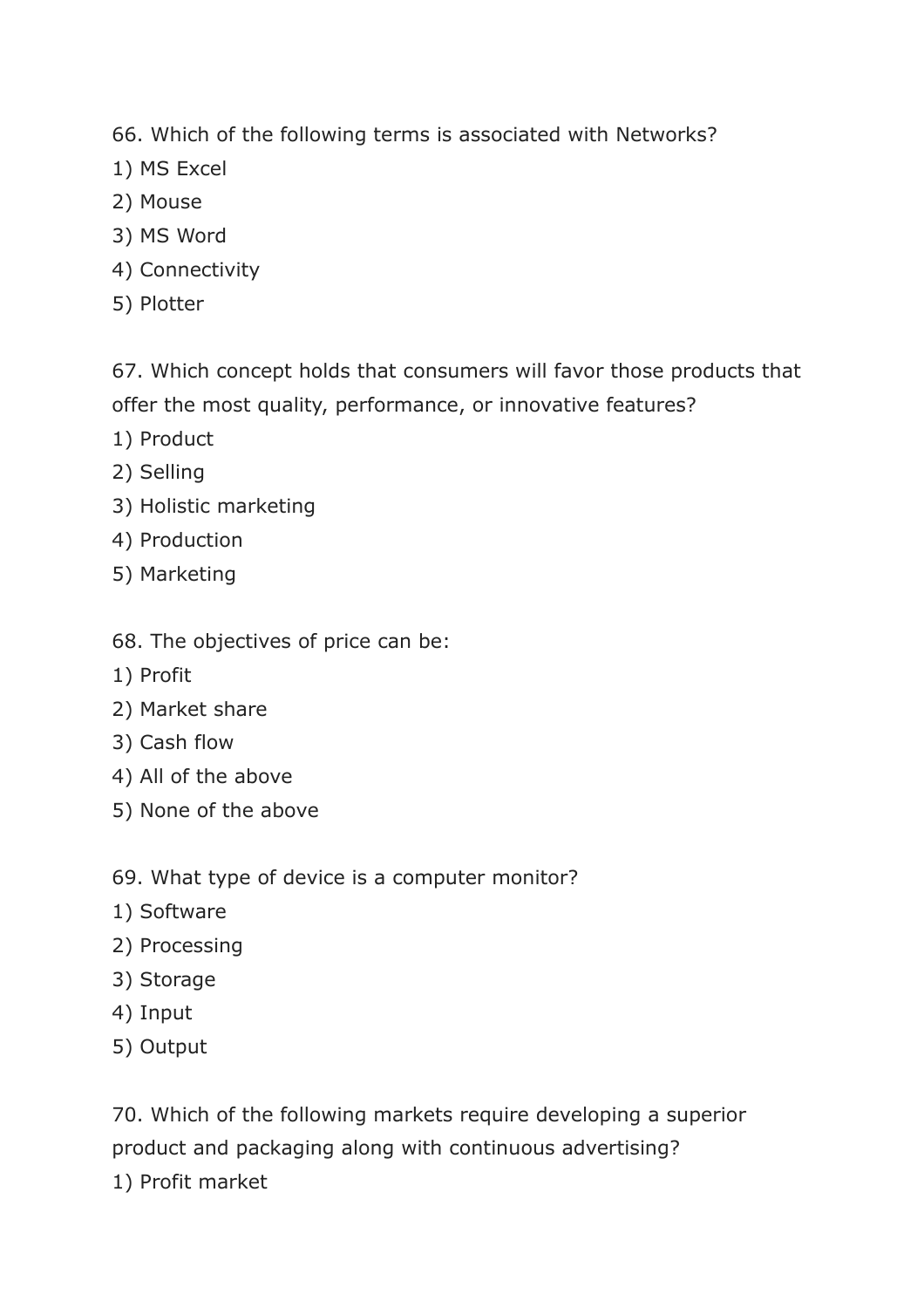66. Which of the following terms is associated with Networks?

- 1) MS Excel
- 2) Mouse
- 3) MS Word
- 4) Connectivity
- 5) Plotter

67. Which concept holds that consumers will favor those products that offer the most quality, performance, or innovative features?

- 1) Product
- 2) Selling
- 3) Holistic marketing
- 4) Production
- 5) Marketing
- 68. The objectives of price can be:
- 1) Profit
- 2) Market share
- 3) Cash flow
- 4) All of the above
- 5) None of the above

69. What type of device is a computer monitor?

- 1) Software
- 2) Processing
- 3) Storage
- 4) Input
- 5) Output

70. Which of the following markets require developing a superior product and packaging along with continuous advertising?

1) Profit market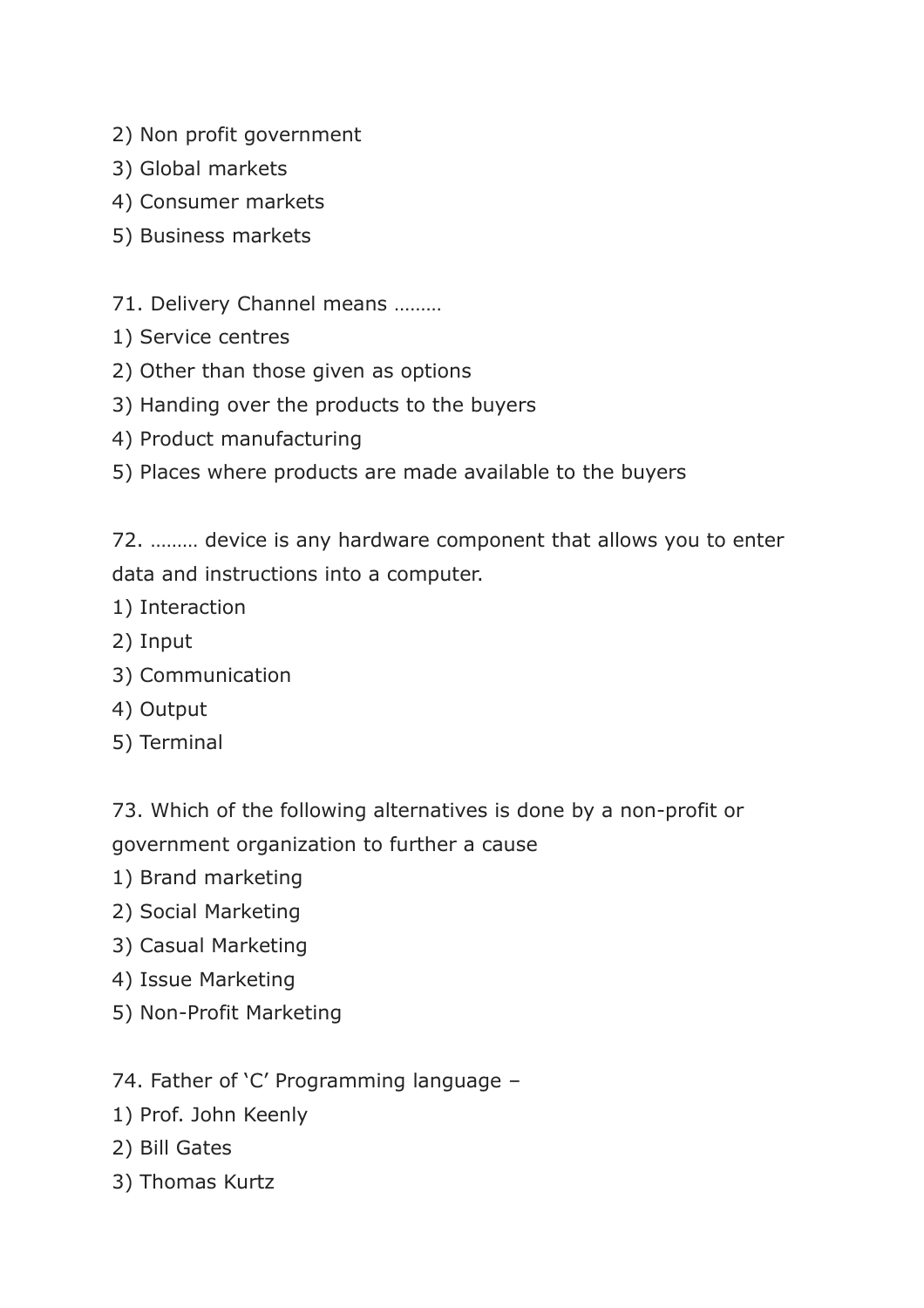- 2) Non profit government
- 3) Global markets
- 4) Consumer markets
- 5) Business markets
- 71. Delivery Channel means ………
- 1) Service centres
- 2) Other than those given as options
- 3) Handing over the products to the buyers
- 4) Product manufacturing
- 5) Places where products are made available to the buyers

72. ……… device is any hardware component that allows you to enter data and instructions into a computer.

- 1) Interaction
- 2) Input
- 3) Communication
- 4) Output
- 5) Terminal

73. Which of the following alternatives is done by a non-profit or government organization to further a cause

- 1) Brand marketing
- 2) Social Marketing
- 3) Casual Marketing
- 4) Issue Marketing
- 5) Non-Profit Marketing

74. Father of 'C' Programming language –

- 1) Prof. John Keenly
- 2) Bill Gates
- 3) Thomas Kurtz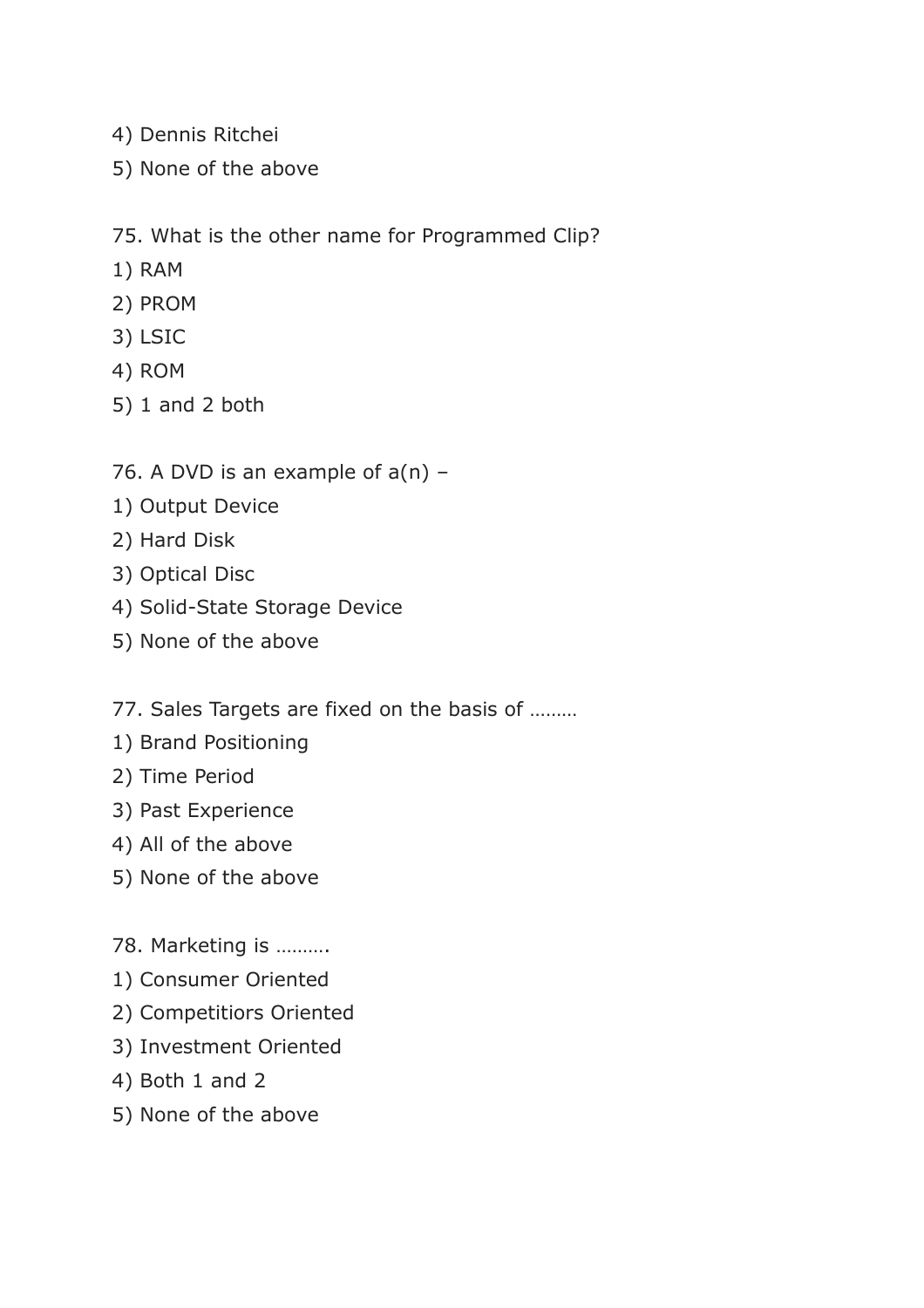- 4) Dennis Ritchei
- 5) None of the above

#### 75. What is the other name for Programmed Clip?

- 1) RAM
- 2) PROM
- 3) LSIC
- 4) ROM
- 5) 1 and 2 both
- 76. A DVD is an example of  $a(n)$  -
- 1) Output Device
- 2) Hard Disk
- 3) Optical Disc
- 4) Solid-State Storage Device
- 5) None of the above
- 77. Sales Targets are fixed on the basis of ………
- 1) Brand Positioning
- 2) Time Period
- 3) Past Experience
- 4) All of the above
- 5) None of the above
- 78. Marketing is ……….
- 1) Consumer Oriented
- 2) Competitiors Oriented
- 3) Investment Oriented
- 4) Both 1 and 2
- 5) None of the above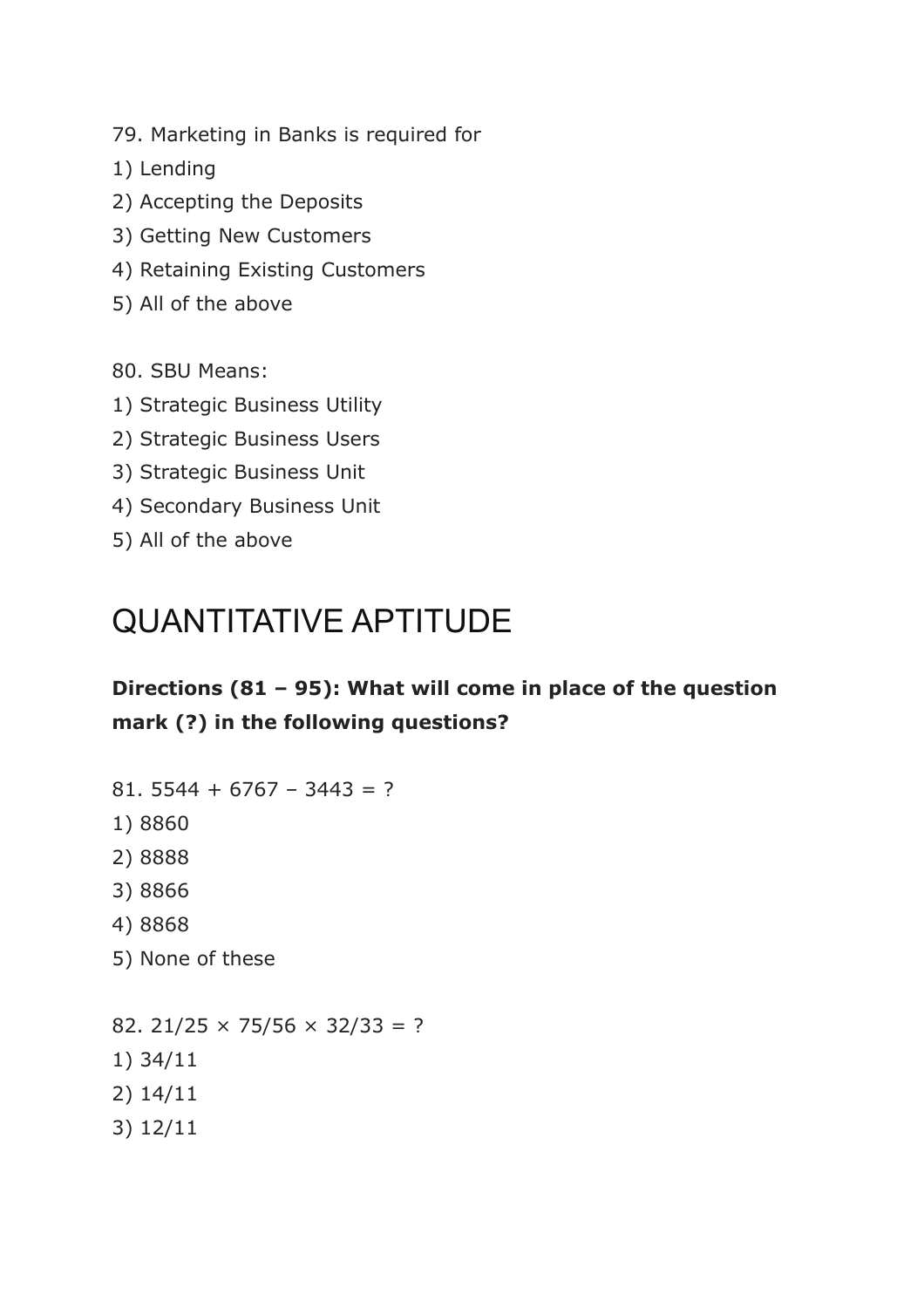79. Marketing in Banks is required for

- 1) Lending
- 2) Accepting the Deposits
- 3) Getting New Customers
- 4) Retaining Existing Customers
- 5) All of the above

80. SBU Means:

- 1) Strategic Business Utility
- 2) Strategic Business Users
- 3) Strategic Business Unit
- 4) Secondary Business Unit
- 5) All of the above

## QUANTITATIVE APTITUDE

### **Directions (81 – 95): What will come in place of the question mark (?) in the following questions?**

- 81. 5544 + 6767 3443 = ?
- 1) 8860
- 2) 8888
- 3) 8866
- 4) 8868
- 5) None of these

82. 21/25  $\times$  75/56  $\times$  32/33 = ? 1) 34/11 2) 14/11 3) 12/11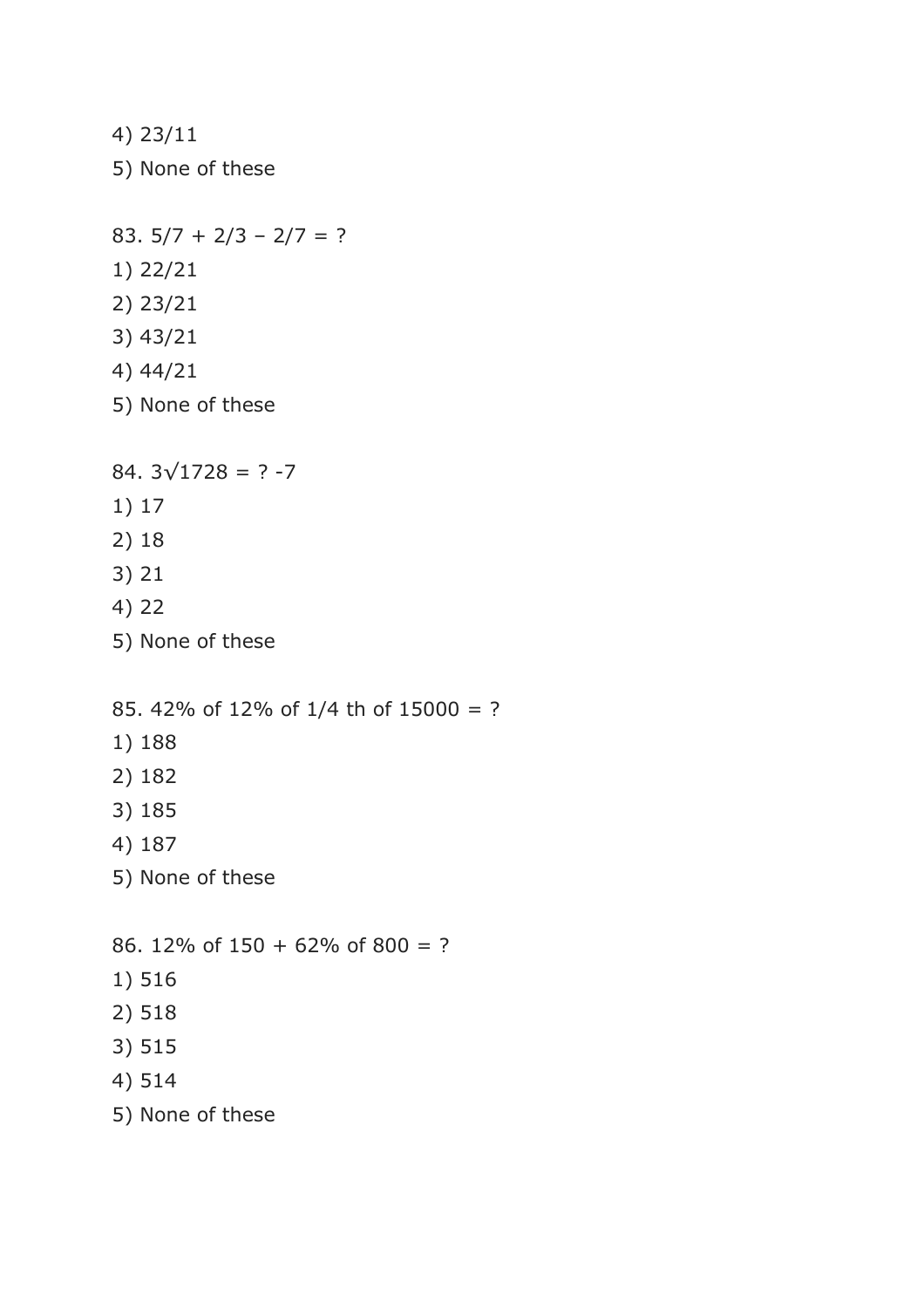- 4) 23/11 5) None of these 83.  $5/7 + 2/3 - 2/7 = ?$ 1) 22/21 2) 23/21 3) 43/21 4) 44/21 5) None of these 84.  $3\sqrt{1728}$  = ? -7 1) 17 2) 18 3) 21 4) 22 5) None of these 85. 42% of 12% of 1/4 th of 15000 = ? 1) 188 2) 182 3) 185 4) 187 5) None of these 86. 12% of 150 + 62% of 800 = ? 1) 516 2) 518 3) 515 4) 514
- 5) None of these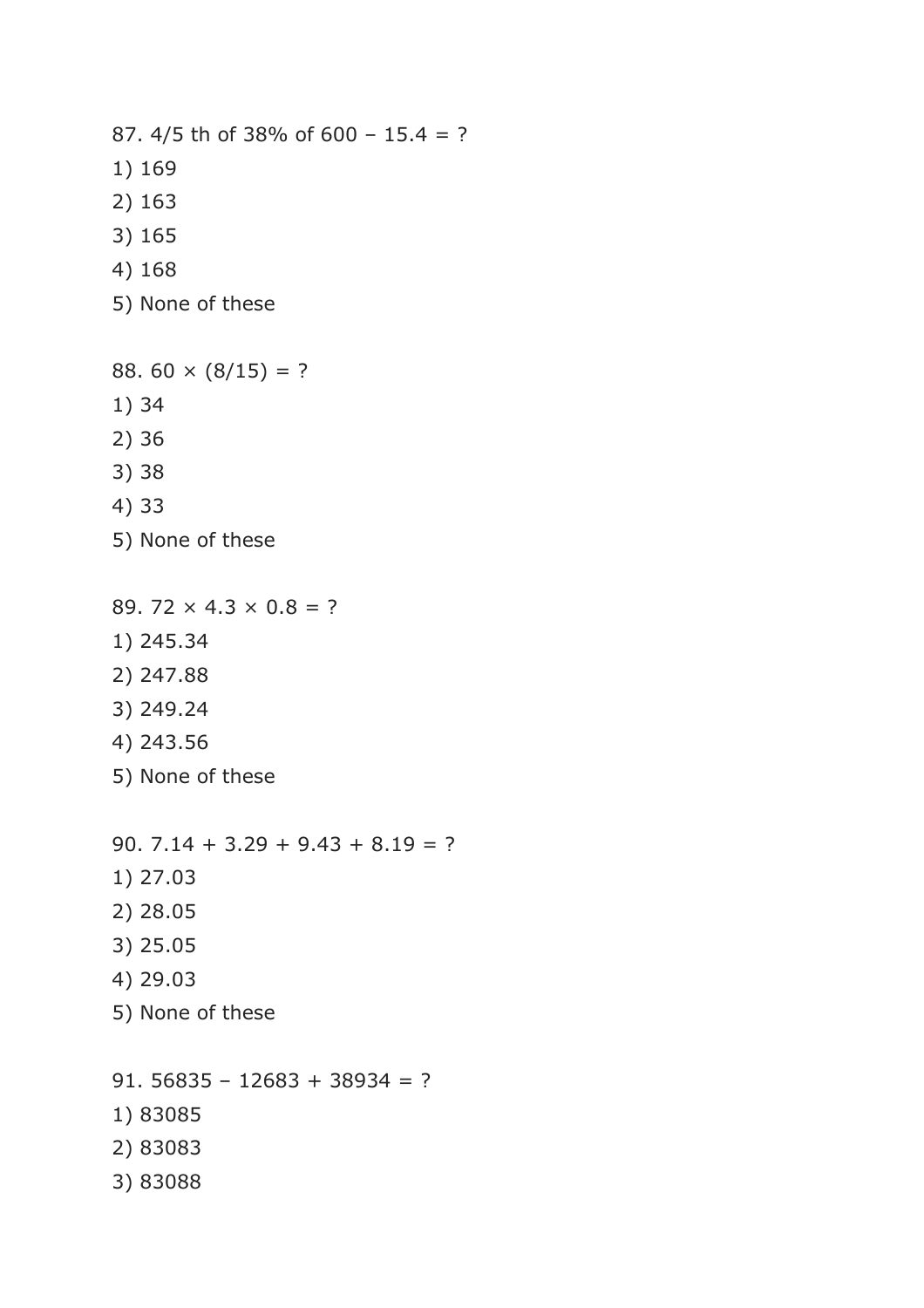87. 4/5 th of 38% of 600 – 15.4 = ? 1) 169 2) 163 3) 165 4) 168 5) None of these 88.  $60 \times (8/15) = ?$ 1) 34 2) 36 3) 38 4) 33 5) None of these 89. 72  $\times$  4.3  $\times$  0.8 = ? 1) 245.34 2) 247.88

- 3) 249.24
- 4) 243.56
- 5) None of these

90.  $7.14 + 3.29 + 9.43 + 8.19 = ?$ 1) 27.03 2) 28.05 3) 25.05 4) 29.03 5) None of these 91. 56835 - 12683 + 38934 = ?

- 1) 83085
- 2) 83083
- 3) 83088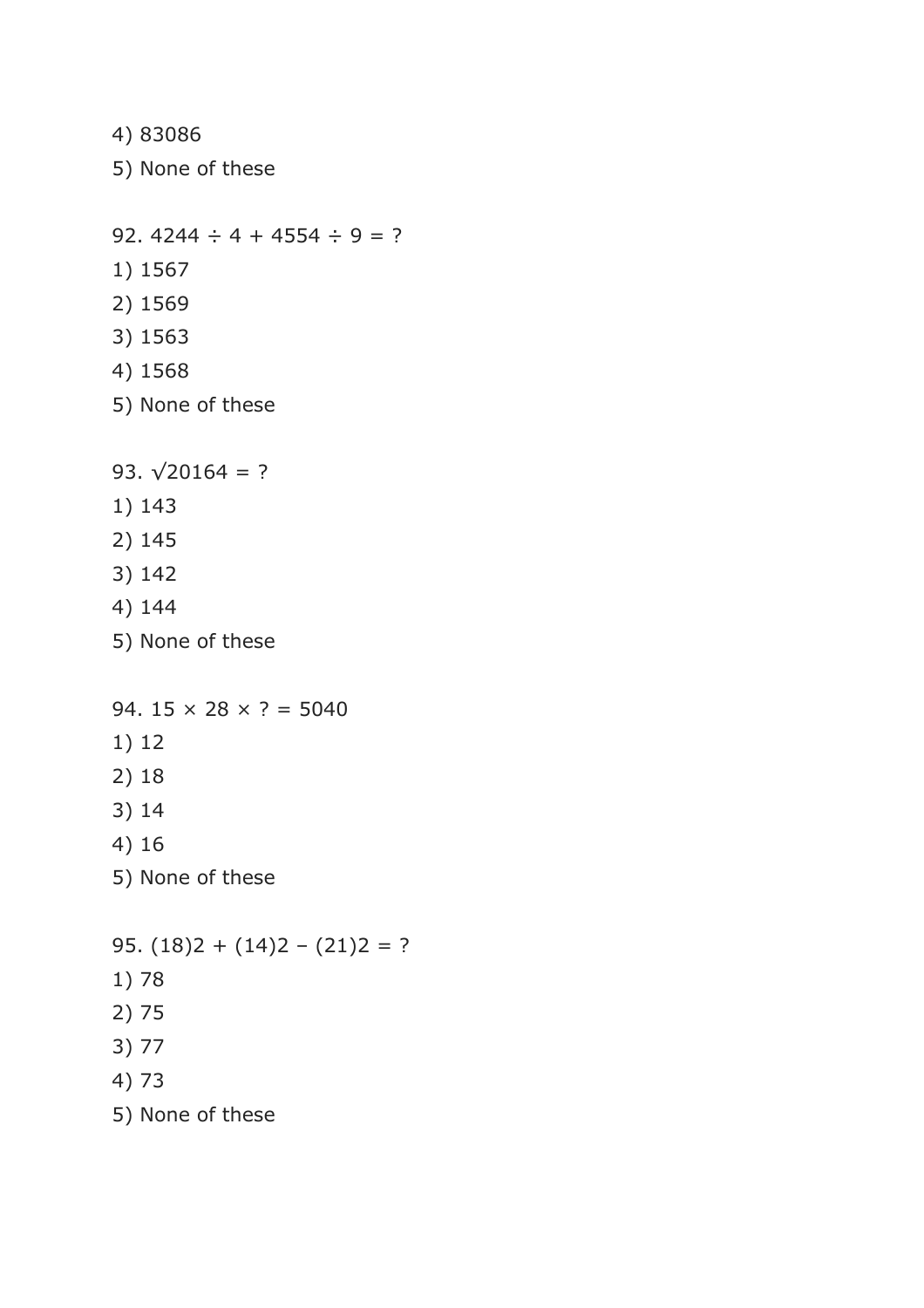4) 83086 5) None of these 92. 4244  $\div$  4 + 4554  $\div$  9 = ? 1) 1567 2) 1569 3) 1563 4) 1568 5) None of these 93.  $\sqrt{20164}$  = ? 1) 143 2) 145 3) 142 4) 144 5) None of these 94.  $15 \times 28 \times ? = 5040$ 1) 12 2) 18 3) 14 4) 16 5) None of these 95.  $(18)2 + (14)2 - (21)2 = ?$ 1) 78 2) 75 3) 77 4) 73 5) None of these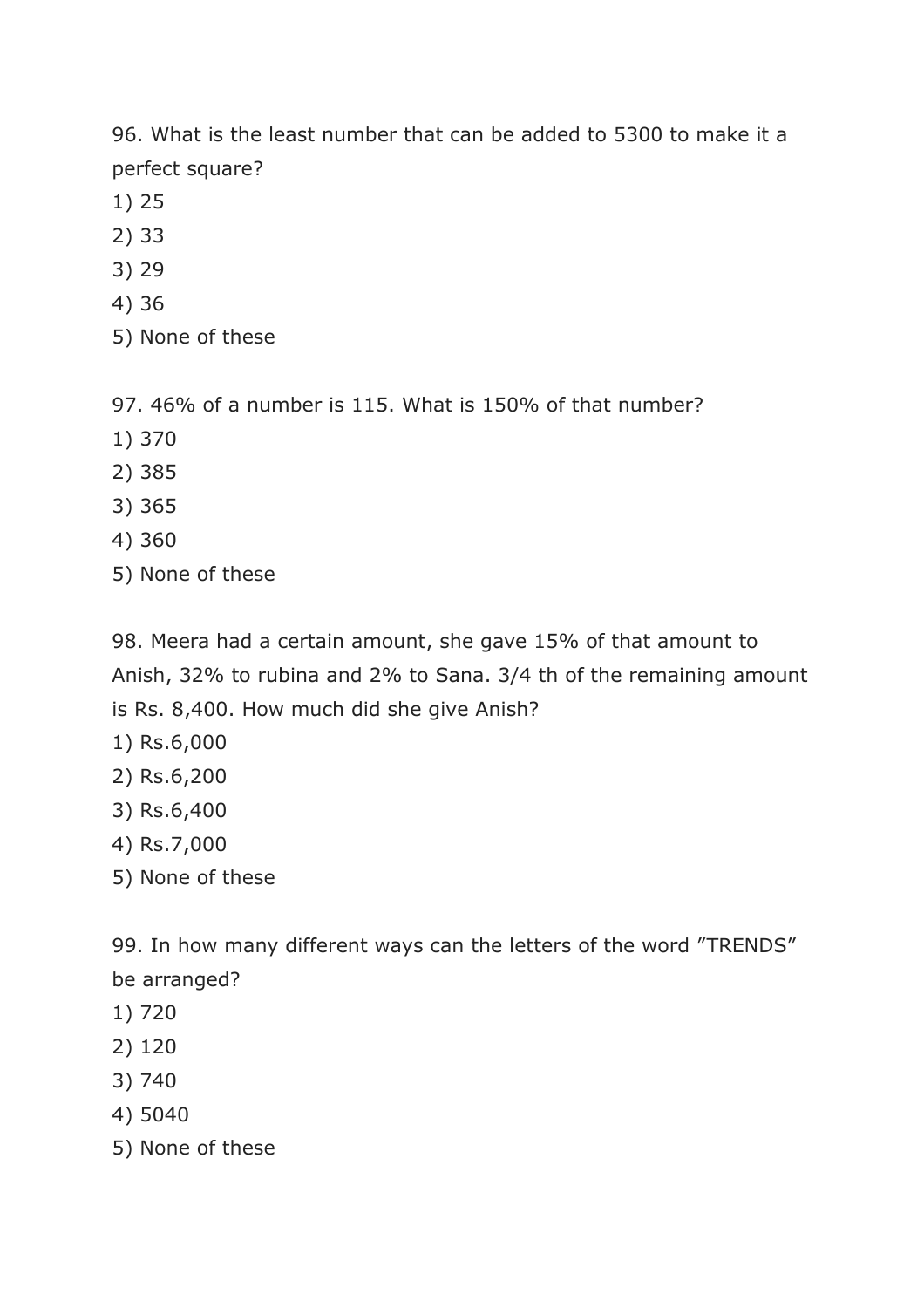96. What is the least number that can be added to 5300 to make it a perfect square?

- 1) 25
- 2) 33
- 3) 29
- 4) 36
- 5) None of these

97. 46% of a number is 115. What is 150% of that number?

- 1) 370
- 2) 385
- 3) 365
- 4) 360
- 5) None of these

98. Meera had a certain amount, she gave 15% of that amount to Anish, 32% to rubina and 2% to Sana. 3/4 th of the remaining amount is Rs. 8,400. How much did she give Anish?

- 1) Rs.6,000
- 2) Rs.6,200
- 3) Rs.6,400
- 4) Rs.7,000
- 5) None of these

99. In how many different ways can the letters of the word "TRENDS" be arranged?

- 1) 720
- 2) 120
- 3) 740
- 4) 5040
- 5) None of these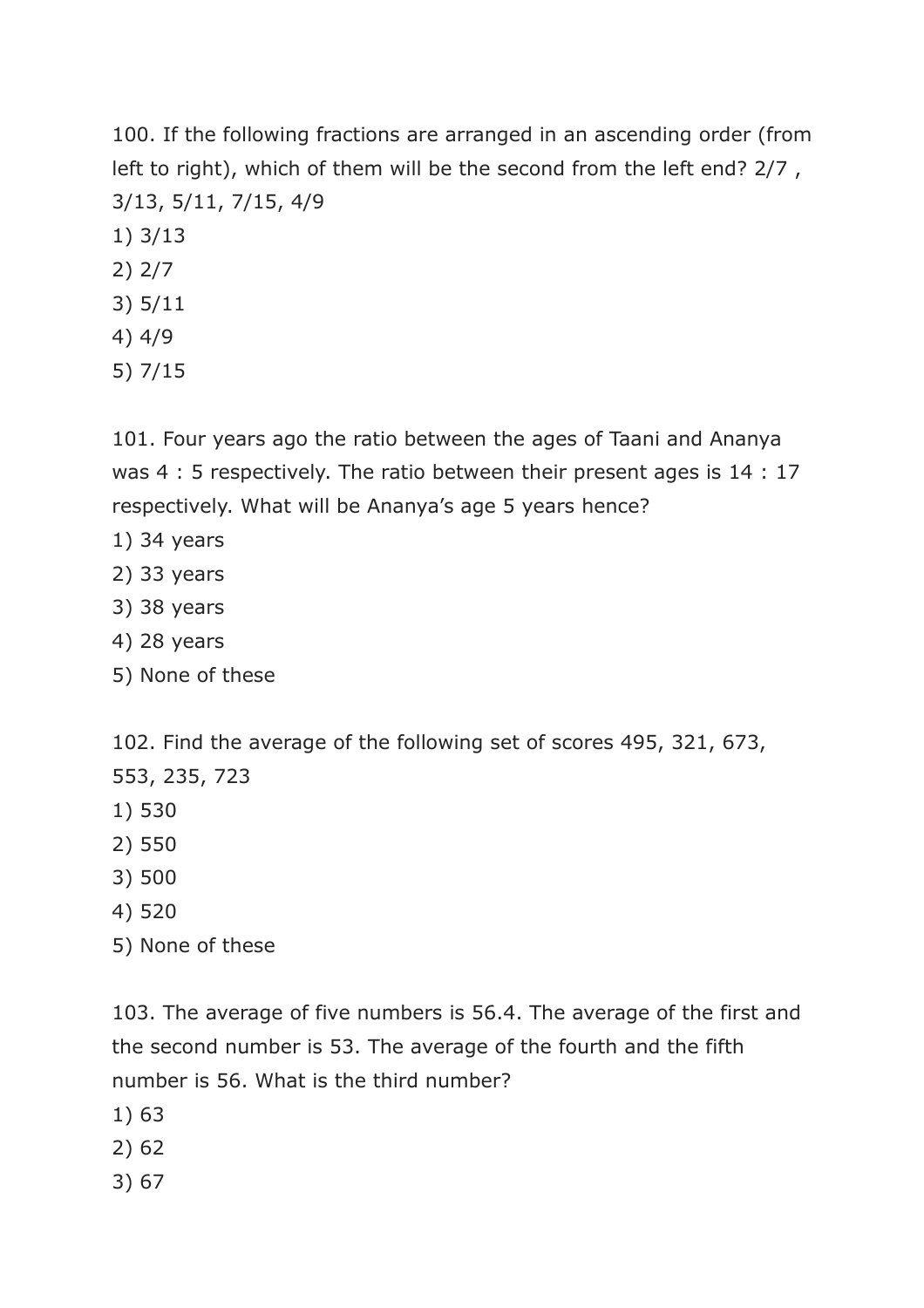100. If the following fractions are arranged in an ascending order (from left to right), which of them will be the second from the left end? 2/7 , 3/13, 5/11, 7/15, 4/9

- 1) 3/13
- 2) 2/7
- 3) 5/11
- 4) 4/9
- 5) 7/15

101. Four years ago the ratio between the ages of Taani and Ananya was 4 : 5 respectively. The ratio between their present ages is 14 : 17 respectively. What will be Ananya's age 5 years hence?

- 1) 34 years
- 2) 33 years
- 3) 38 years
- 4) 28 years
- 5) None of these

102. Find the average of the following set of scores 495, 321, 673, 553, 235, 723

- 1) 530
- 2) 550
- 3) 500
- 4) 520
- 5) None of these

103. The average of five numbers is 56.4. The average of the first and the second number is 53. The average of the fourth and the fifth number is 56. What is the third number?

- 1) 63
- 2) 62
- 3) 67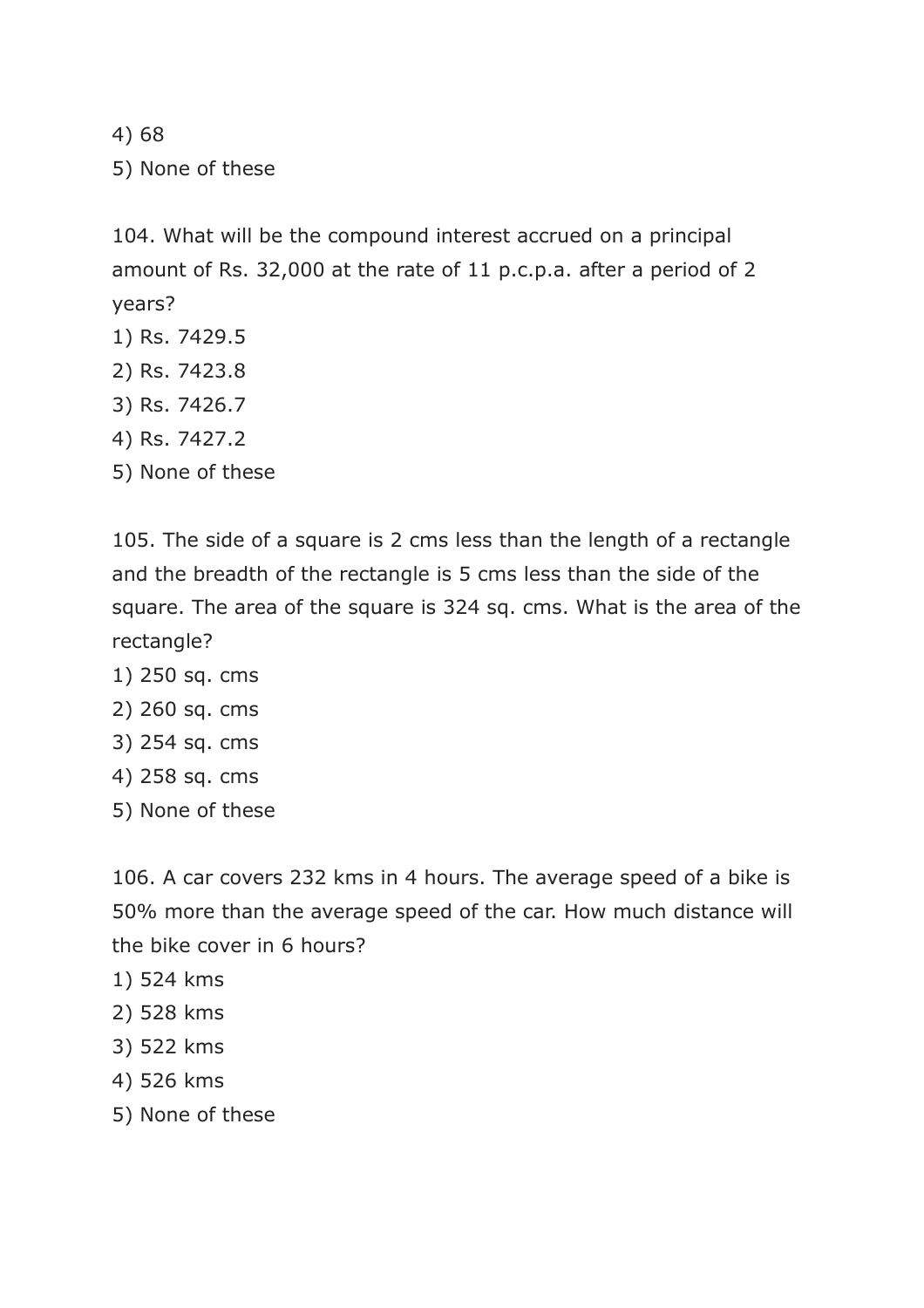4) 68 5) None of these

104. What will be the compound interest accrued on a principal amount of Rs. 32,000 at the rate of 11 p.c.p.a. after a period of 2 years?

- 1) Rs. 7429.5
- 2) Rs. 7423.8
- 3) Rs. 7426.7
- 4) Rs. 7427.2
- 5) None of these

105. The side of a square is 2 cms less than the length of a rectangle and the breadth of the rectangle is 5 cms less than the side of the square. The area of the square is 324 sq. cms. What is the area of the rectangle?

- 1) 250 sq. cms
- 2) 260 sq. cms
- 3) 254 sq. cms
- 4) 258 sq. cms
- 5) None of these

106. A car covers 232 kms in 4 hours. The average speed of a bike is 50% more than the average speed of the car. How much distance will the bike cover in 6 hours?

- 1) 524 kms
- 2) 528 kms
- 3) 522 kms
- 4) 526 kms
- 5) None of these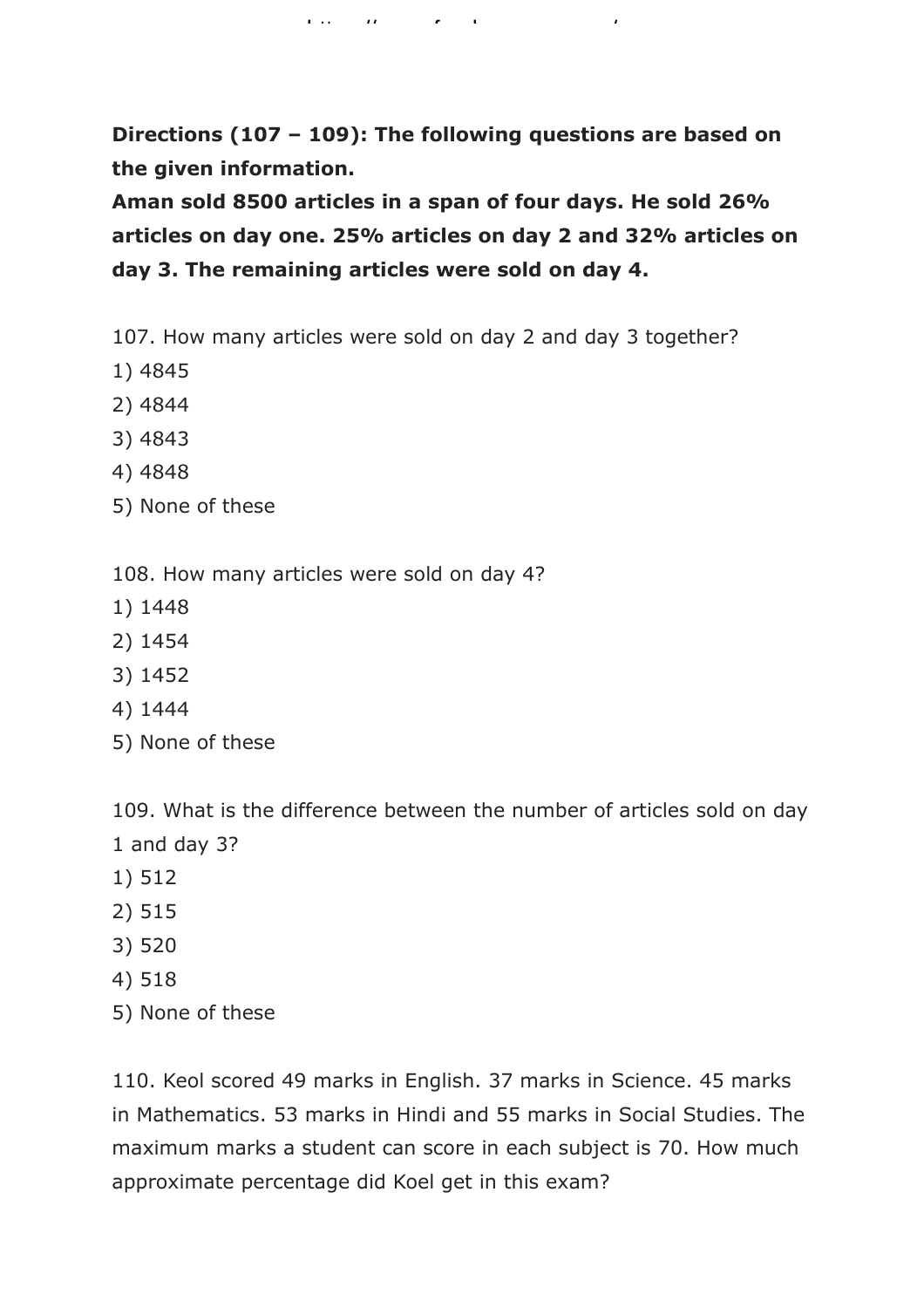**Directions (107 – 109): The following questions are based on the given information.**

https://www.freshersnow.com/

**Aman sold 8500 articles in a span of four days. He sold 26% articles on day one. 25% articles on day 2 and 32% articles on day 3. The remaining articles were sold on day 4.**

107. How many articles were sold on day 2 and day 3 together?

- 1) 4845
- 2) 4844
- 3) 4843
- 4) 4848
- 5) None of these

108. How many articles were sold on day 4?

- 1) 1448
- 2) 1454
- 3) 1452
- 4) 1444
- 5) None of these

109. What is the difference between the number of articles sold on day 1 and day 3?

- 1) 512
- 2) 515
- 3) 520
- 4) 518
- 5) None of these

110. Keol scored 49 marks in English. 37 marks in Science. 45 marks in Mathematics. 53 marks in Hindi and 55 marks in Social Studies. The maximum marks a student can score in each subject is 70. How much approximate percentage did Koel get in this exam?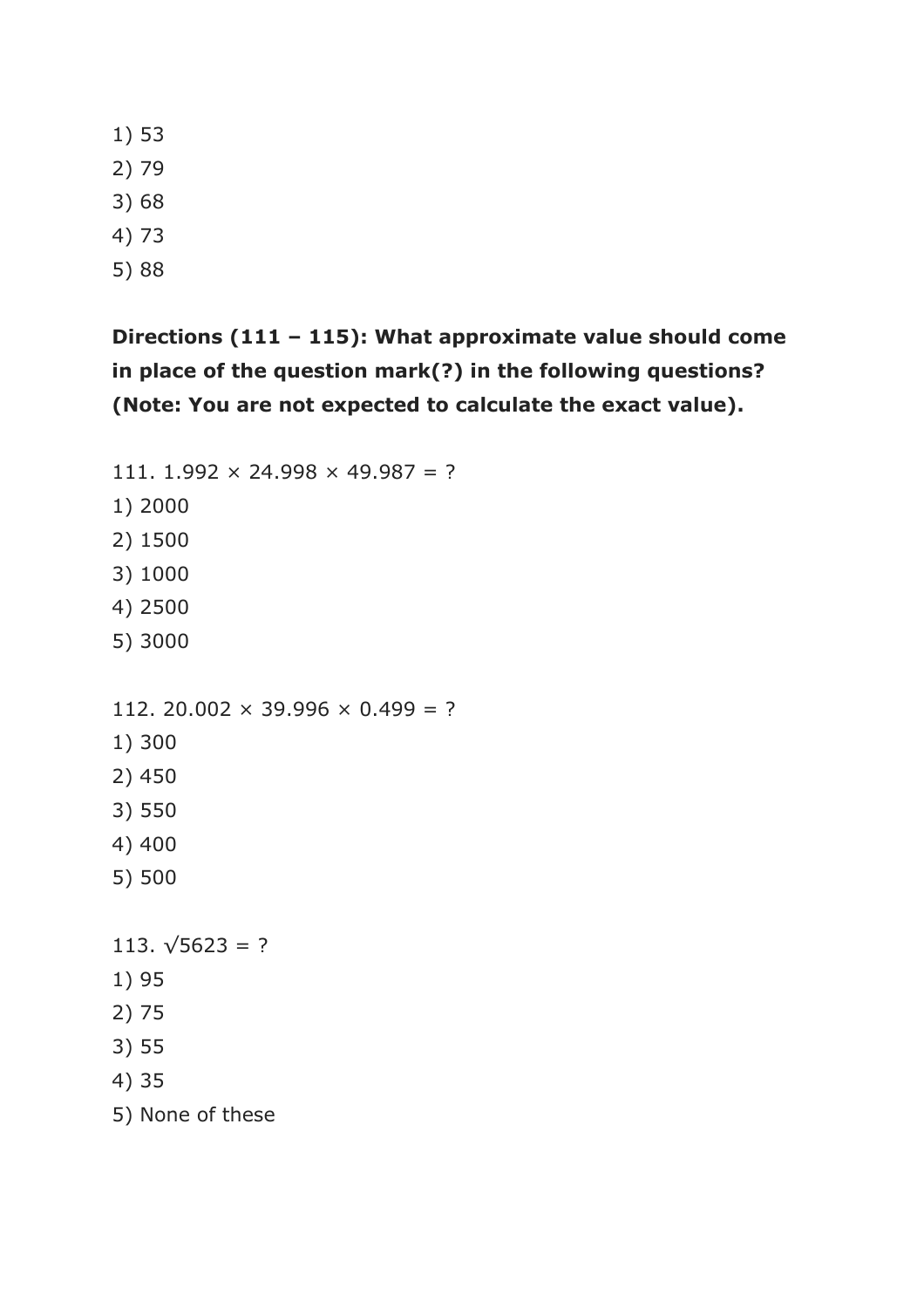1) 53

- 2) 79
- 3) 68
- 4) 73
- 5) 88

## **Directions (111 – 115): What approximate value should come in place of the question mark(?) in the following questions? (Note: You are not expected to calculate the exact value).**

111. 1.992  $\times$  24.998  $\times$  49.987 = ? 1) 2000 2) 1500 3) 1000 4) 2500 5) 3000 112. 20.002  $\times$  39.996  $\times$  0.499 = ? 1) 300 2) 450 3) 550 4) 400 5) 500 113.  $\sqrt{5623}$  = ? 1) 95 2) 75 3) 55 4) 35 5) None of these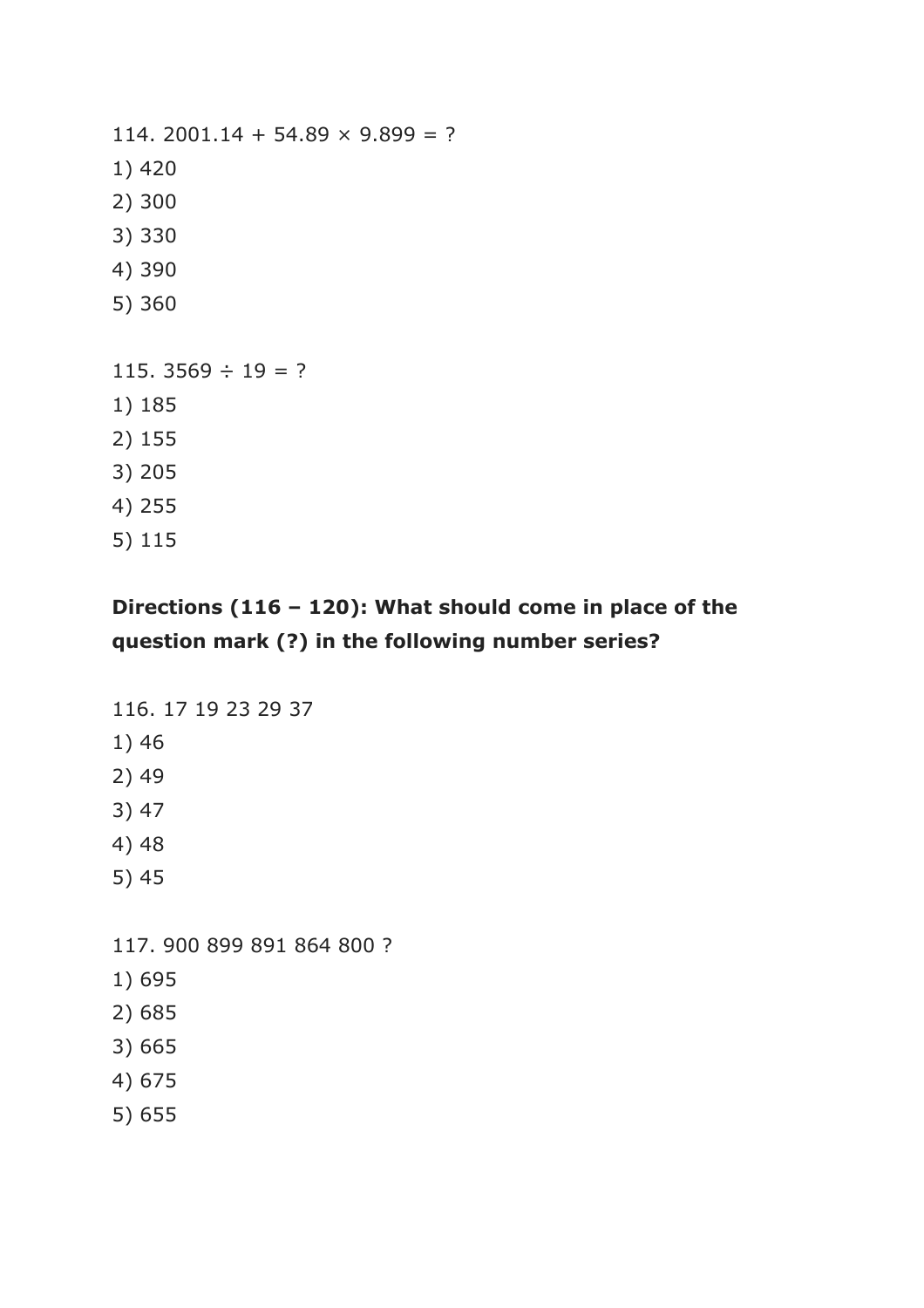114. 2001.14 + 54.89  $\times$  9.899 = ? 1) 420 2) 300 3) 330 4) 390 5) 360 115. 3569  $\div$  19 = ? 1) 185 2) 155 3) 205 4) 255 5) 115

### **Directions (116 – 120): What should come in place of the question mark (?) in the following number series?**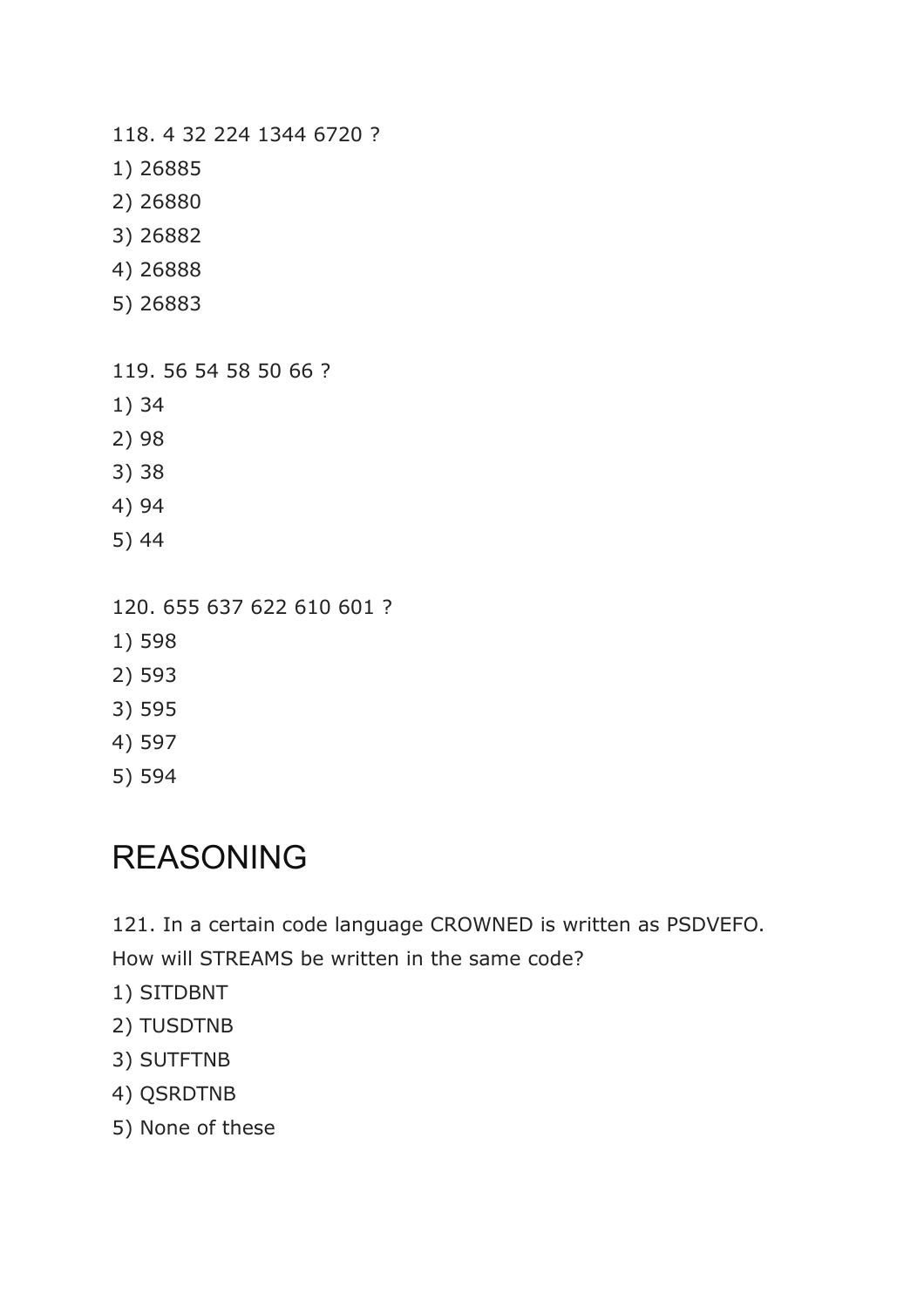118. 4 32 224 1344 6720 ?

- 1) 26885
- 2) 26880
- 3) 26882
- 4) 26888
- 5) 26883

119. 56 54 58 50 66 ?

- 1) 34
- 2) 98
- 3) 38
- 4) 94
- 5) 44

120. 655 637 622 610 601 ?

- 1) 598
- 2) 593
- 3) 595
- 4) 597
- 5) 594

## REASONING

121. In a certain code language CROWNED is written as PSDVEFO.

How will STREAMS be written in the same code?

- 1) SITDBNT
- 2) TUSDTNB
- 3) SUTFTNB
- 4) QSRDTNB
- 5) None of these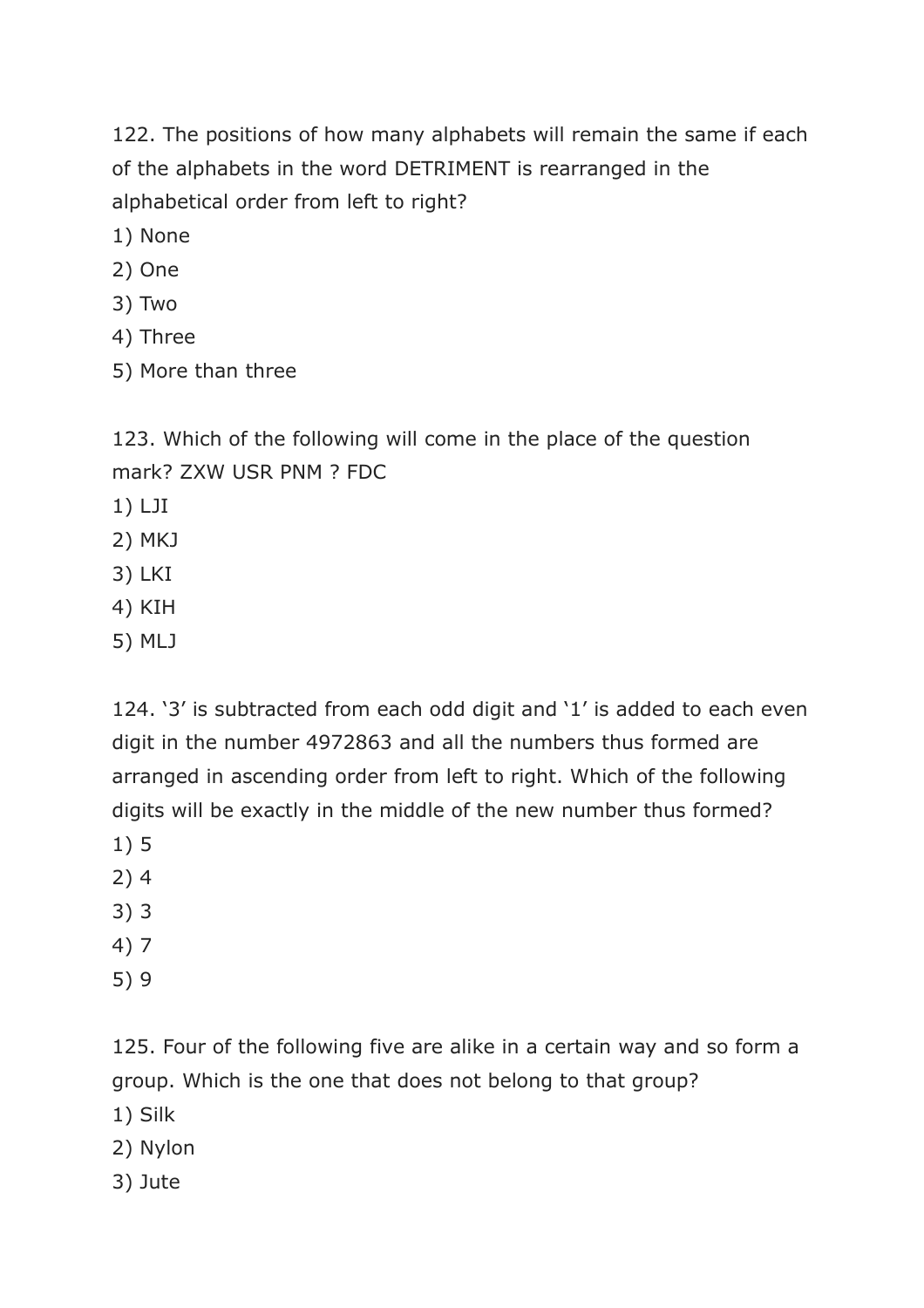122. The positions of how many alphabets will remain the same if each of the alphabets in the word DETRIMENT is rearranged in the alphabetical order from left to right?

- 1) None
- 2) One
- 3) Two
- 4) Three
- 5) More than three

123. Which of the following will come in the place of the question mark? ZXW USR PNM ? FDC

- 1) LJI
- 2) MKJ
- 3) LKI
- 4) KIH
- 5) MLJ

124. '3' is subtracted from each odd digit and '1' is added to each even digit in the number 4972863 and all the numbers thus formed are arranged in ascending order from left to right. Which of the following digits will be exactly in the middle of the new number thus formed?

- 1) 5
- 2) 4
- 3) 3
- 4) 7
- 5) 9

125. Four of the following five are alike in a certain way and so form a group. Which is the one that does not belong to that group?

- 1) Silk
- 2) Nylon
- 3) Jute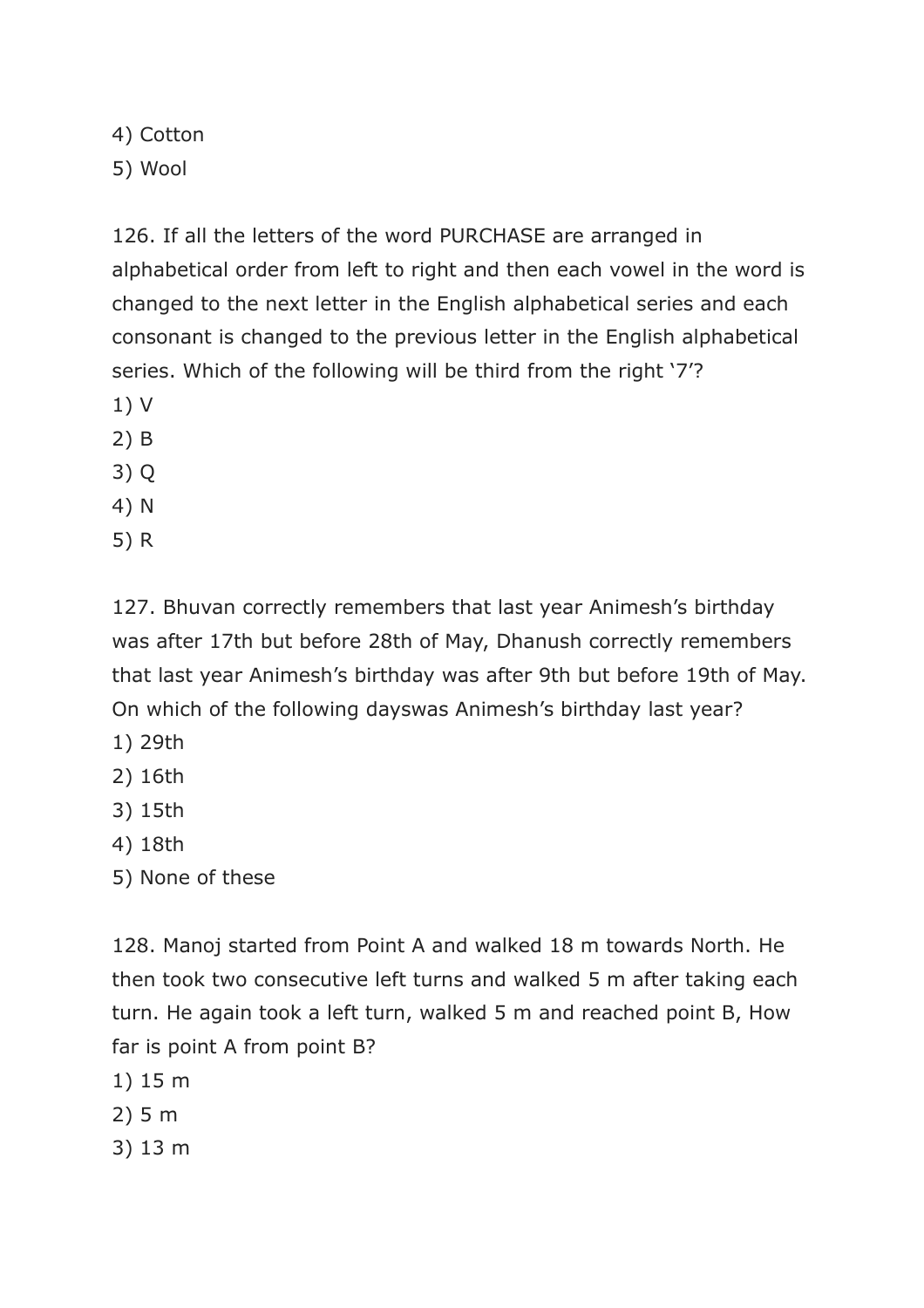4) Cotton 5) Wool

126. If all the letters of the word PURCHASE are arranged in alphabetical order from left to right and then each vowel in the word is changed to the next letter in the English alphabetical series and each consonant is changed to the previous letter in the English alphabetical series. Which of the following will be third from the right '7'?

- 1) V
- 2) B

3) Q

- 4) N
- 5) R

127. Bhuvan correctly remembers that last year Animesh's birthday was after 17th but before 28th of May, Dhanush correctly remembers that last year Animesh's birthday was after 9th but before 19th of May. On which of the following dayswas Animesh's birthday last year?

- 1) 29th
- 2) 16th
- 3) 15th
- 4) 18th
- 5) None of these

128. Manoj started from Point A and walked 18 m towards North. He then took two consecutive left turns and walked 5 m after taking each turn. He again took a left turn, walked 5 m and reached point B, How far is point A from point B?

- 1) 15 m
- 2) 5 m
- 3) 13 m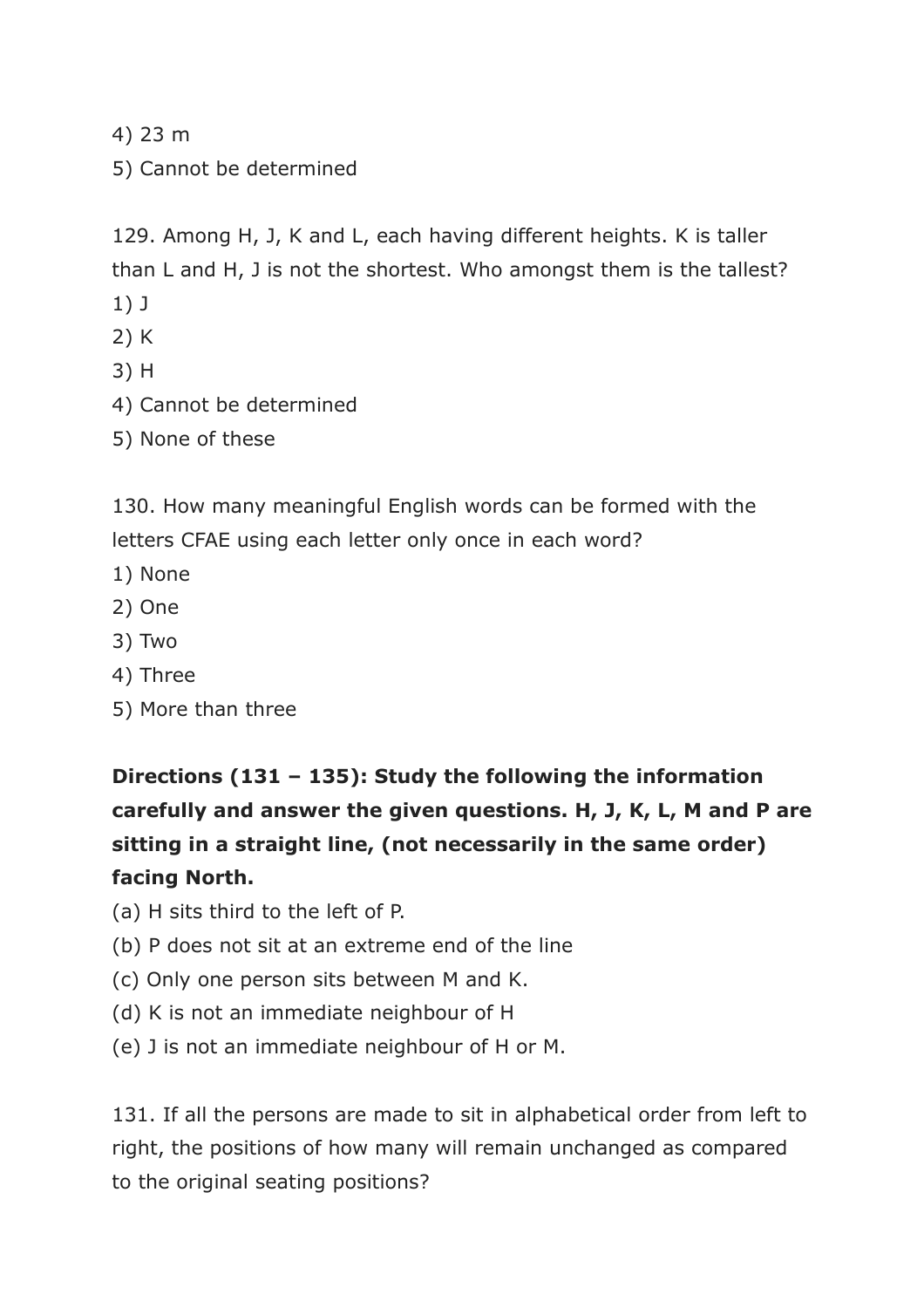4) 23 m

5) Cannot be determined

129. Among H, J, K and L, each having different heights. K is taller than L and H, J is not the shortest. Who amongst them is the tallest?

- 1) J
- 2) K
- 3) H
- 4) Cannot be determined
- 5) None of these

130. How many meaningful English words can be formed with the letters CFAE using each letter only once in each word?

- 1) None
- 2) One
- 3) Two
- 4) Three
- 5) More than three

**Directions (131 – 135): Study the following the information carefully and answer the given questions. H, J, K, L, M and P are sitting in a straight line, (not necessarily in the same order) facing North.**

- (a) H sits third to the left of P.
- (b) P does not sit at an extreme end of the line
- (c) Only one person sits between M and K.
- (d) K is not an immediate neighbour of H
- (e) J is not an immediate neighbour of H or M.

131. If all the persons are made to sit in alphabetical order from left to right, the positions of how many will remain unchanged as compared to the original seating positions?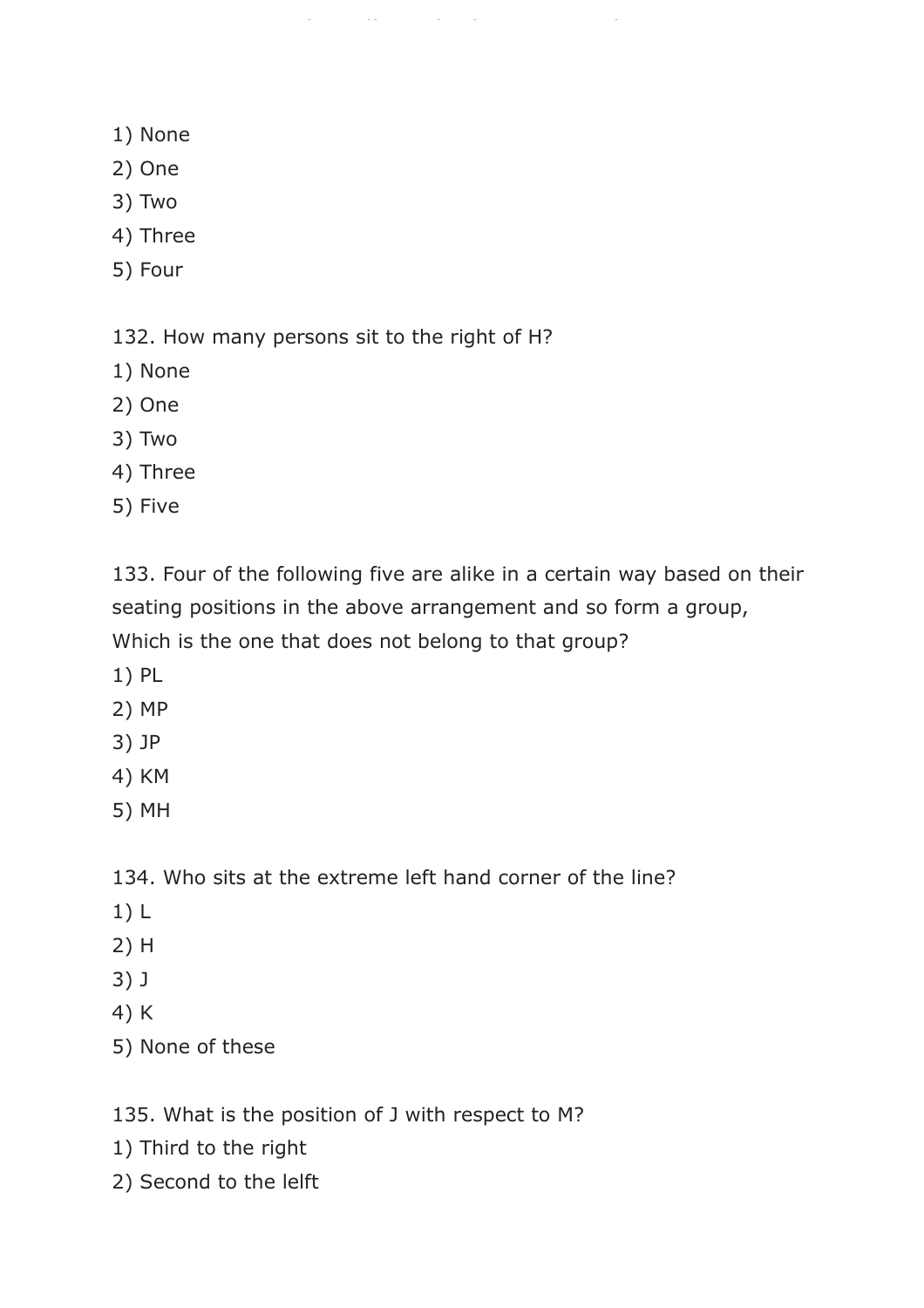- 1) None
- 2) One
- 3) Two
- 4) Three
- 5) Four

132. How many persons sit to the right of H?

https://www.freshersnow.com/

- 1) None
- 2) One
- 3) Two
- 4) Three
- 5) Five

133. Four of the following five are alike in a certain way based on their seating positions in the above arrangement and so form a group, Which is the one that does not belong to that group?

- 1) PL
- 2) MP
- 3) JP
- 4) KM
- 5) MH

134. Who sits at the extreme left hand corner of the line?

- 1) L
- 2) H
- 3) J
- 4) K
- 5) None of these

135. What is the position of J with respect to M?

- 1) Third to the right
- 2) Second to the lelft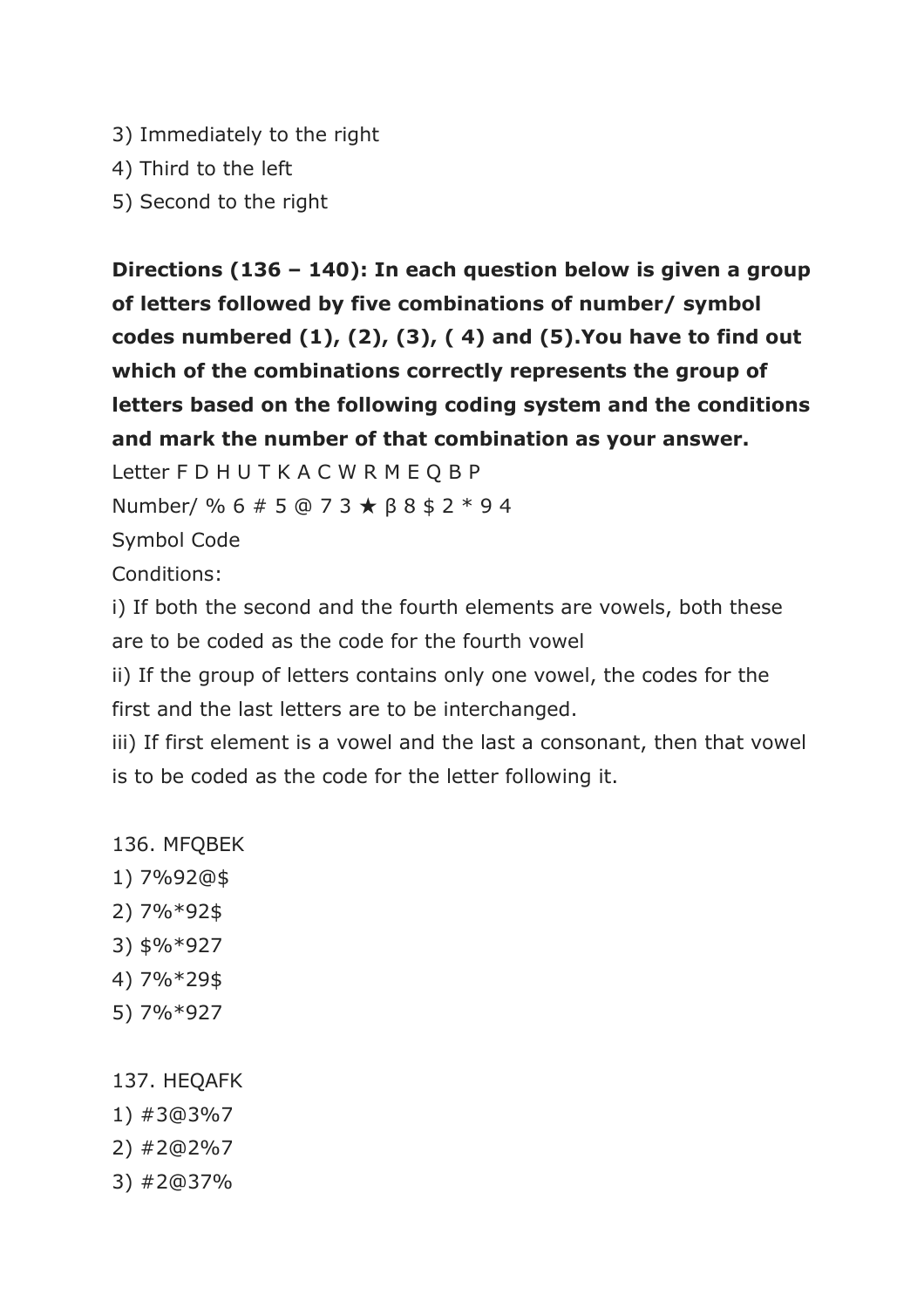- 3) Immediately to the right
- 4) Third to the left
- 5) Second to the right

**Directions (136 – 140): In each question below is given a group of letters followed by five combinations of number/ symbol codes numbered (1), (2), (3), ( 4) and (5).You have to find out which of the combinations correctly represents the group of letters based on the following coding system and the conditions and mark the number of that combination as your answer.**

Letter F D H U T K A C W R M E Q B P

Number/ % 6 # 5 @ 7 3 ★ β 8 \$ 2 \* 9 4

Symbol Code

Conditions:

i) If both the second and the fourth elements are vowels, both these are to be coded as the code for the fourth vowel

ii) If the group of letters contains only one vowel, the codes for the first and the last letters are to be interchanged.

iii) If first element is a vowel and the last a consonant, then that vowel is to be coded as the code for the letter following it.

- 136. MFQBEK
- 1) 7%92@\$
- 2) 7%\*92\$
- 3) \$%\*927
- 4) 7%\*29\$
- 5) 7%\*927

#### 137. HEQAFK

- 1) #3@3%7
- 2) #2@2%7
- 3) #2@37%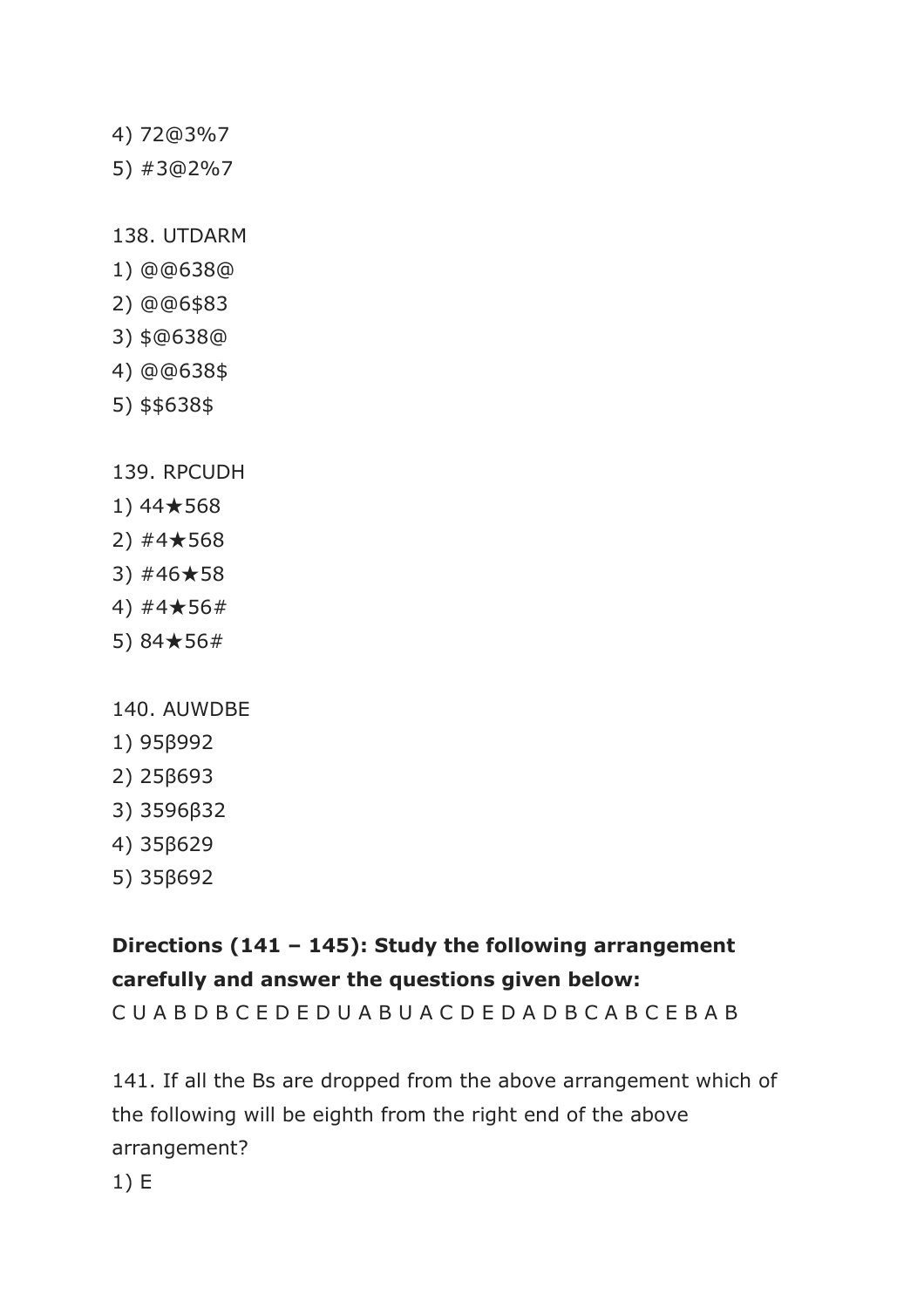- 4) 72@3%7
- 5) #3@2%7

138. UTDARM

- 1) @@638@
- 2) @@6\$83
- 3) \$@638@
- 4) @@638\$
- 5) \$\$638\$
- 139. RPCUDH
- 1) 44★568
- 2) #4★568
- 3) #46★58
- 4) #4★56#
- 5) 84★56#
- 140. AUWDBE
- 1) 95β992
- 2) 25β693
- 3) 3596β32
- 4) 35β629
- 5) 35β692

## **Directions (141 – 145): Study the following arrangement carefully and answer the questions given below:**

C U A B D B C E D E D U A B U A C D E D A D B C A B C E B A B

141. If all the Bs are dropped from the above arrangement which of the following will be eighth from the right end of the above arrangement?

1) E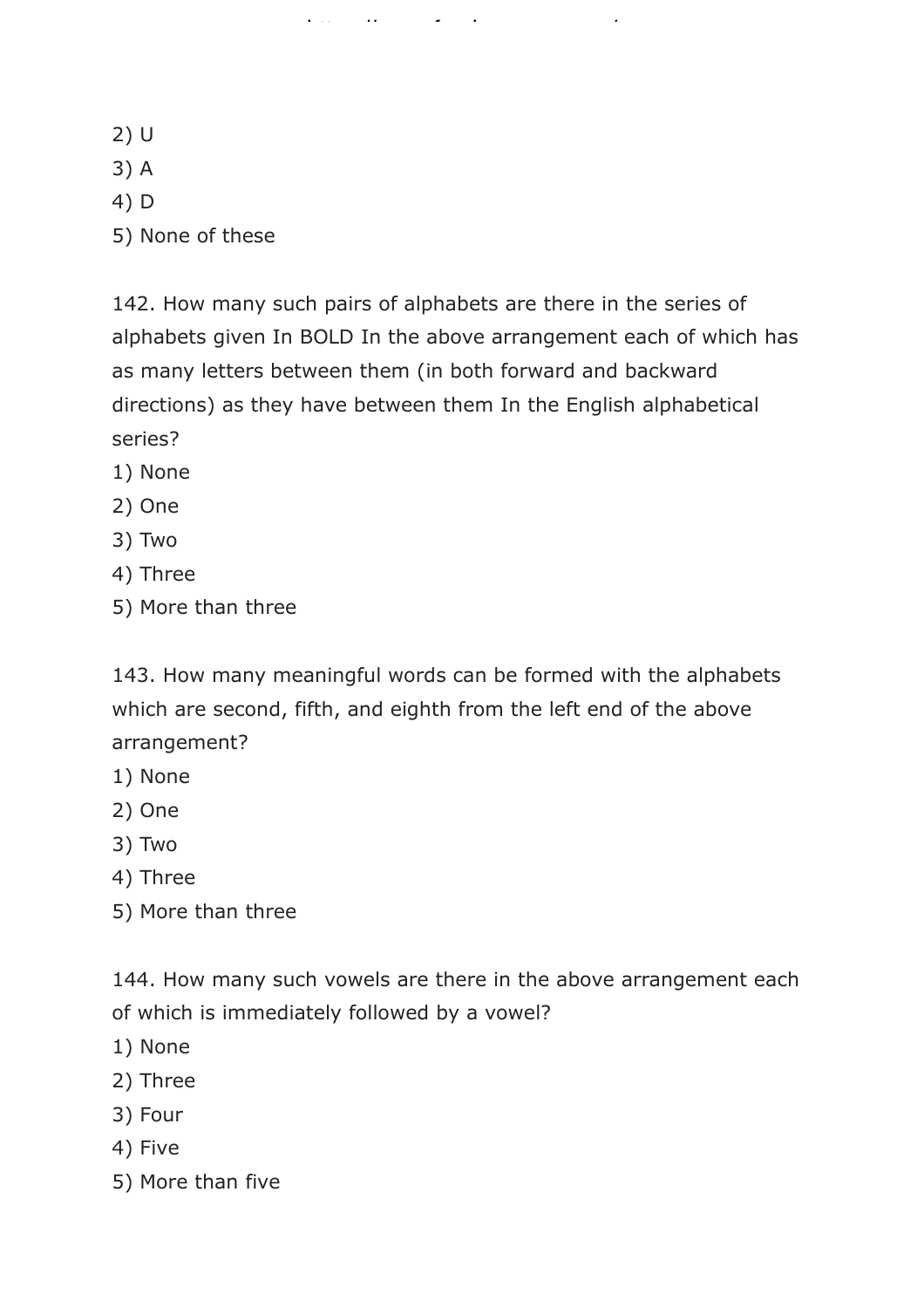- 2) U
- 3) A
- 4) D
- 5) None of these

142. How many such pairs of alphabets are there in the series of alphabets given In BOLD In the above arrangement each of which has as many letters between them (in both forward and backward directions) as they have between them In the English alphabetical series?

https://www.freshersnow.com/

- 1) None
- 2) One
- 3) Two
- 4) Three
- 5) More than three

143. How many meaningful words can be formed with the alphabets which are second, fifth, and eighth from the left end of the above arrangement?

- 1) None
- 2) One
- 3) Two
- 4) Three
- 5) More than three

144. How many such vowels are there in the above arrangement each of which is immediately followed by a vowel?

- 1) None
- 2) Three
- 3) Four
- 4) Five
- 5) More than five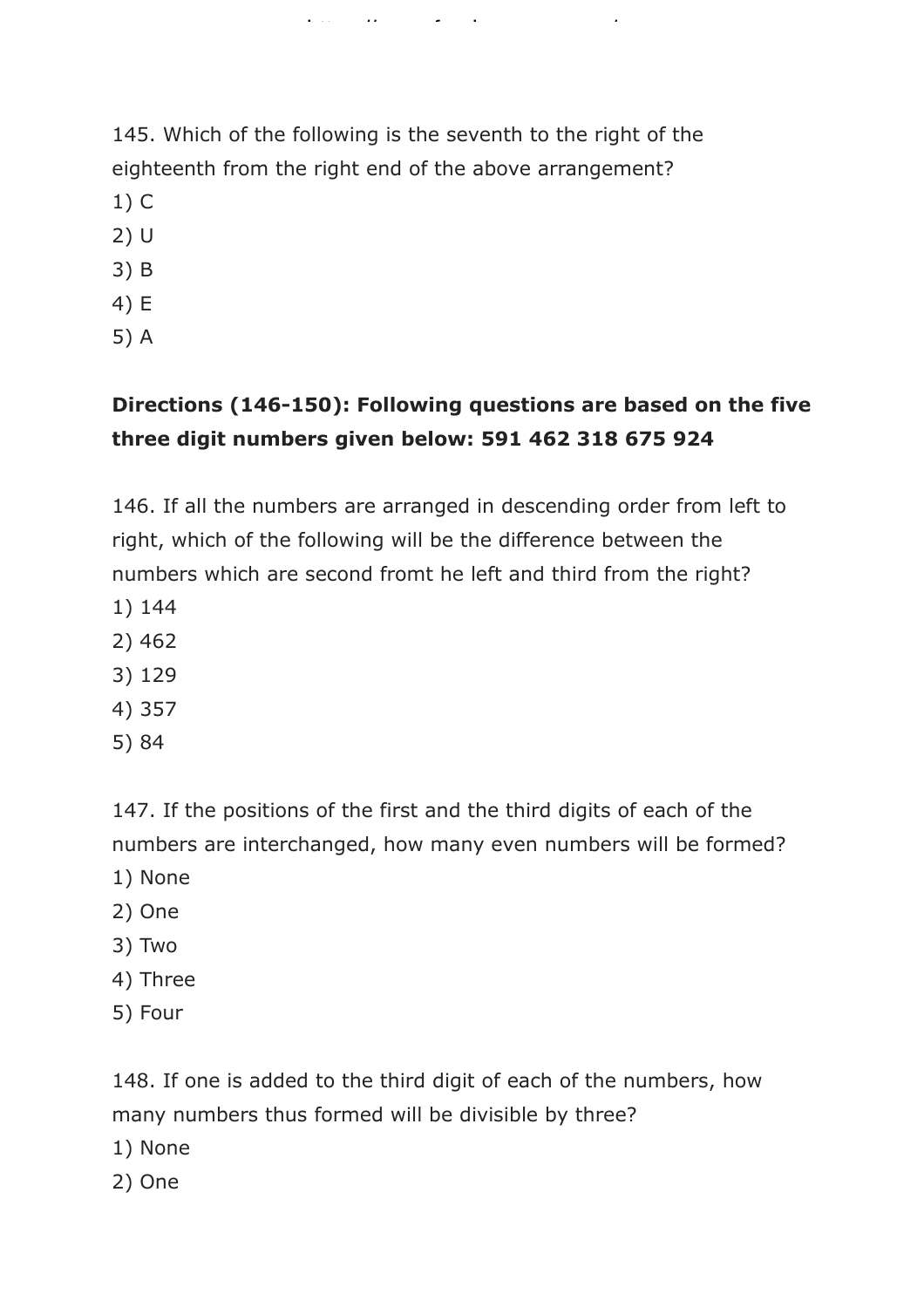145. Which of the following is the seventh to the right of the eighteenth from the right end of the above arrangement?

https://www.freshersnow.com/

- 1) C
- 2) U
- 3) B
- 4) E
- 5) A

### **Directions (146-150): Following questions are based on the five three digit numbers given below: 591 462 318 675 924**

146. If all the numbers are arranged in descending order from left to right, which of the following will be the difference between the numbers which are second fromt he left and third from the right?

- 1) 144
- 2) 462
- 3) 129
- 4) 357
- 5) 84

147. If the positions of the first and the third digits of each of the numbers are interchanged, how many even numbers will be formed?

- 1) None
- 2) One
- 3) Two
- 4) Three
- 5) Four

148. If one is added to the third digit of each of the numbers, how many numbers thus formed will be divisible by three?

- 1) None
- 2) One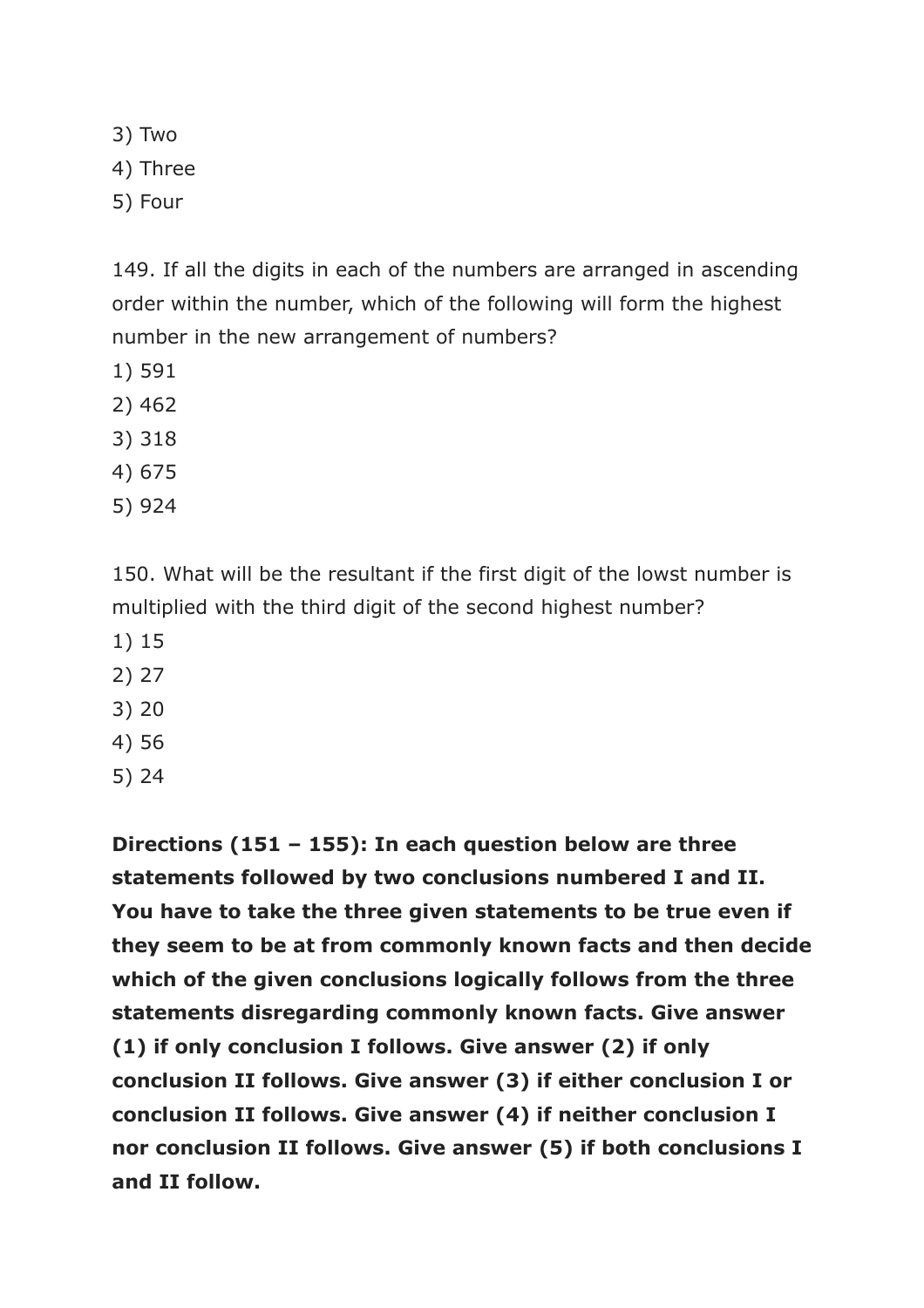3) Two 4) Three

5) Four

149. If all the digits in each of the numbers are arranged in ascending order within the number, which of the following will form the highest number in the new arrangement of numbers?

- 1) 591
- 2) 462
- 3) 318
- 4) 675
- 5) 924

150. What will be the resultant if the first digit of the lowst number is multiplied with the third digit of the second highest number?

- 1) 15
- 2) 27
- 3) 20
- 4) 56
- 5) 24

**Directions (151 – 155): In each question below are three statements followed by two conclusions numbered I and II. You have to take the three given statements to be true even if they seem to be at from commonly known facts and then decide which of the given conclusions logically follows from the three statements disregarding commonly known facts. Give answer (1) if only conclusion I follows. Give answer (2) if only conclusion II follows. Give answer (3) if either conclusion I or conclusion II follows. Give answer (4) if neither conclusion I nor conclusion II follows. Give answer (5) if both conclusions I and II follow.**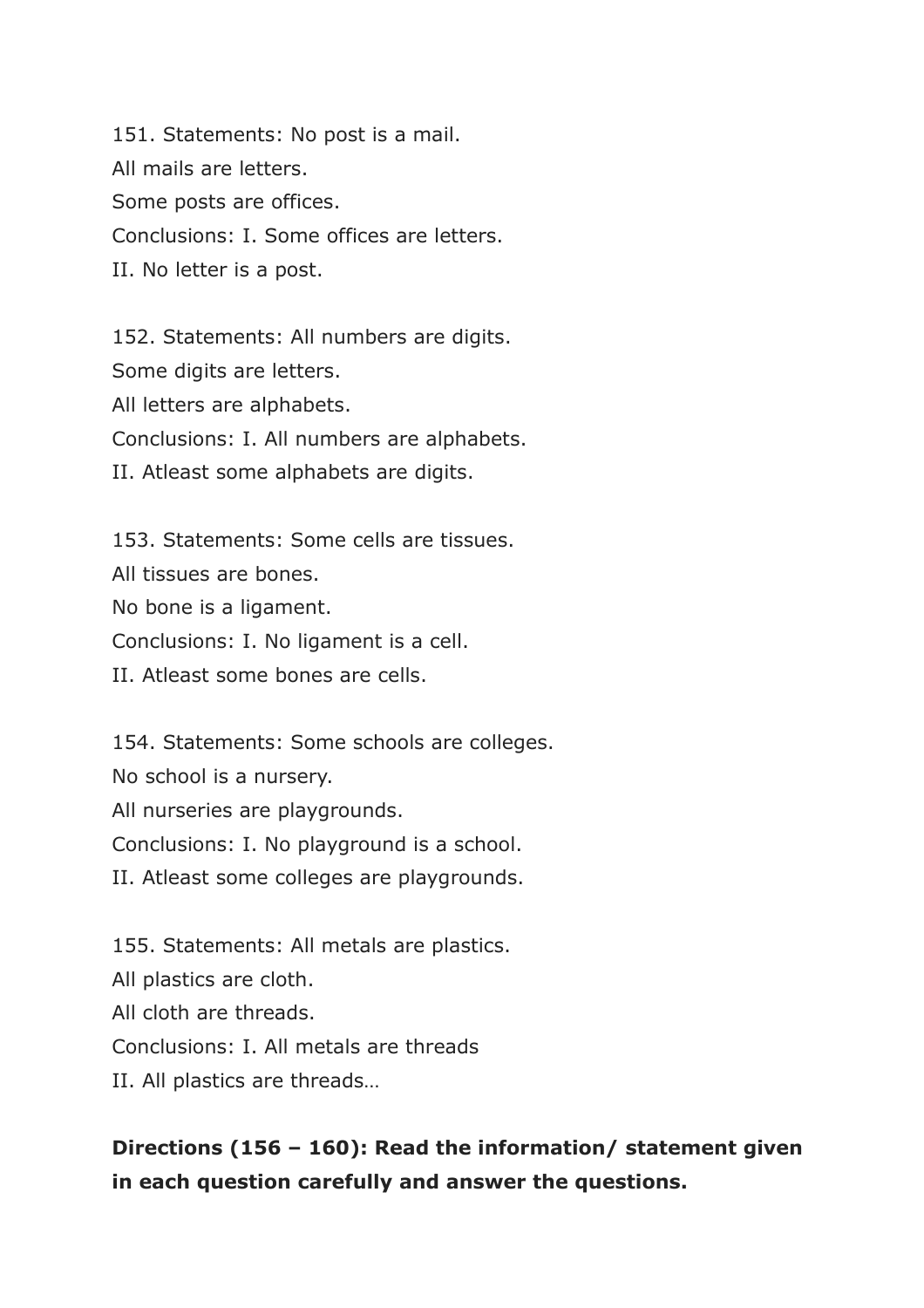151. Statements: No post is a mail. All mails are letters. Some posts are offices. Conclusions: I. Some offices are letters. II. No letter is a post.

152. Statements: All numbers are digits. Some digits are letters. All letters are alphabets. Conclusions: I. All numbers are alphabets. II. Atleast some alphabets are digits.

153. Statements: Some cells are tissues. All tissues are bones. No bone is a ligament. Conclusions: I. No ligament is a cell. II. Atleast some bones are cells.

154. Statements: Some schools are colleges. No school is a nursery. All nurseries are playgrounds. Conclusions: I. No playground is a school. II. Atleast some colleges are playgrounds.

155. Statements: All metals are plastics. All plastics are cloth. All cloth are threads. Conclusions: I. All metals are threads II. All plastics are threads…

### **Directions (156 – 160): Read the information/ statement given in each question carefully and answer the questions.**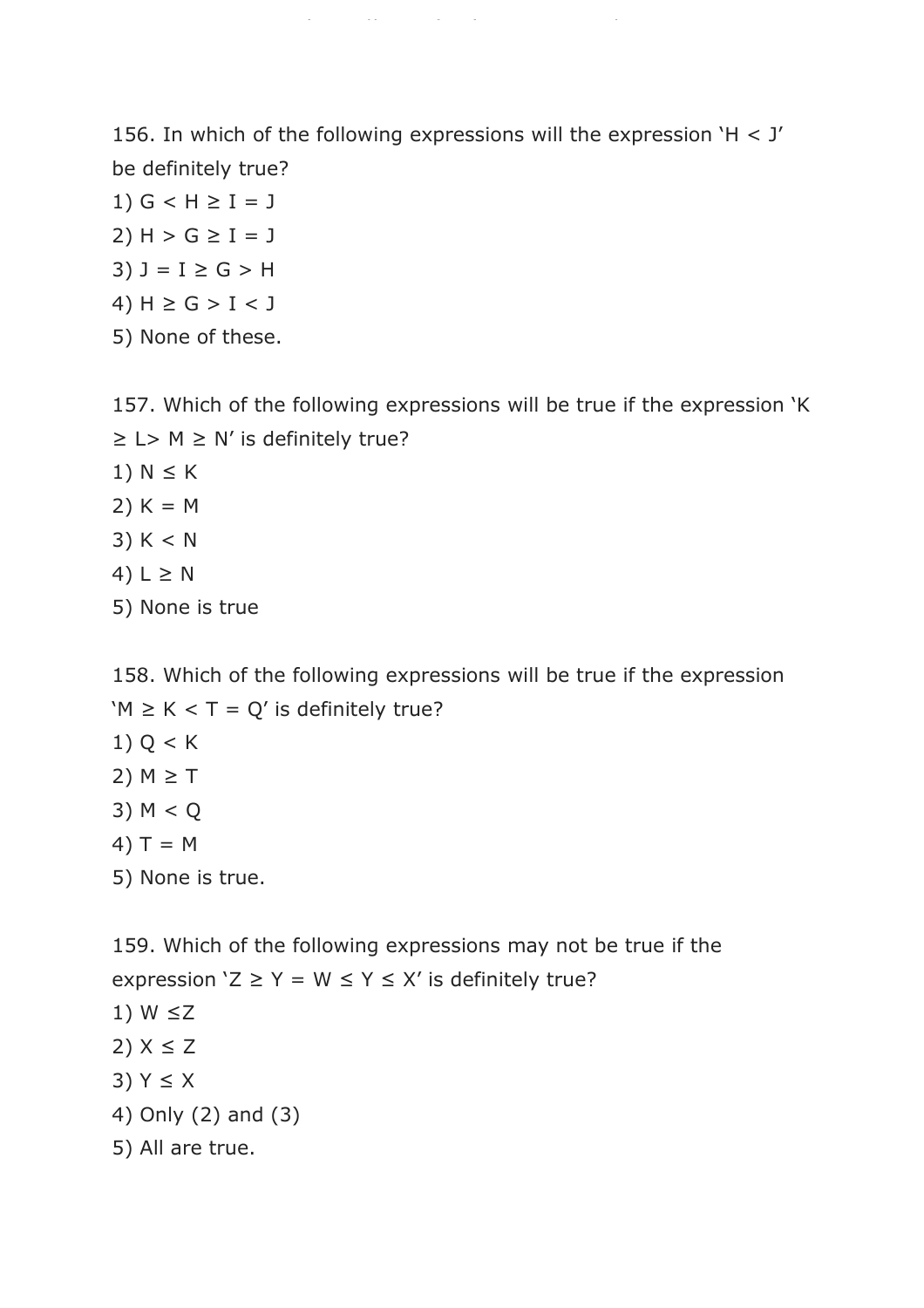156. In which of the following expressions will the expression 'H < J' be definitely true?

https://www.freshersnow.com/

1)  $G < H \ge I = J$ 2)  $H > G \ge I = J$ 3)  $J = I \ge G > H$ 4)  $H$  ≥  $G$  >  $I$  <  $J$ 5) None of these.

157. Which of the following expressions will be true if the expression 'K  $\geq$  L> M  $\geq$  N' is definitely true? 1)  $N \leq K$ 2)  $K = M$  $3) K < N$ 4) L  $\geq$  N

5) None is true

158. Which of the following expressions will be true if the expression 'M  $\geq$  K < T = Q' is definitely true? 1)  $Q < K$ 2)  $M \geq T$ 3) M < Q 4)  $T = M$ 5) None is true.

159. Which of the following expressions may not be true if the expression ' $Z \ge Y = W \le Y \le X'$  is definitely true? 1)  $W \le Z$  $2)$   $X \leq Z$ 3) Y ≤ X 4) Only (2) and (3) 5) All are true.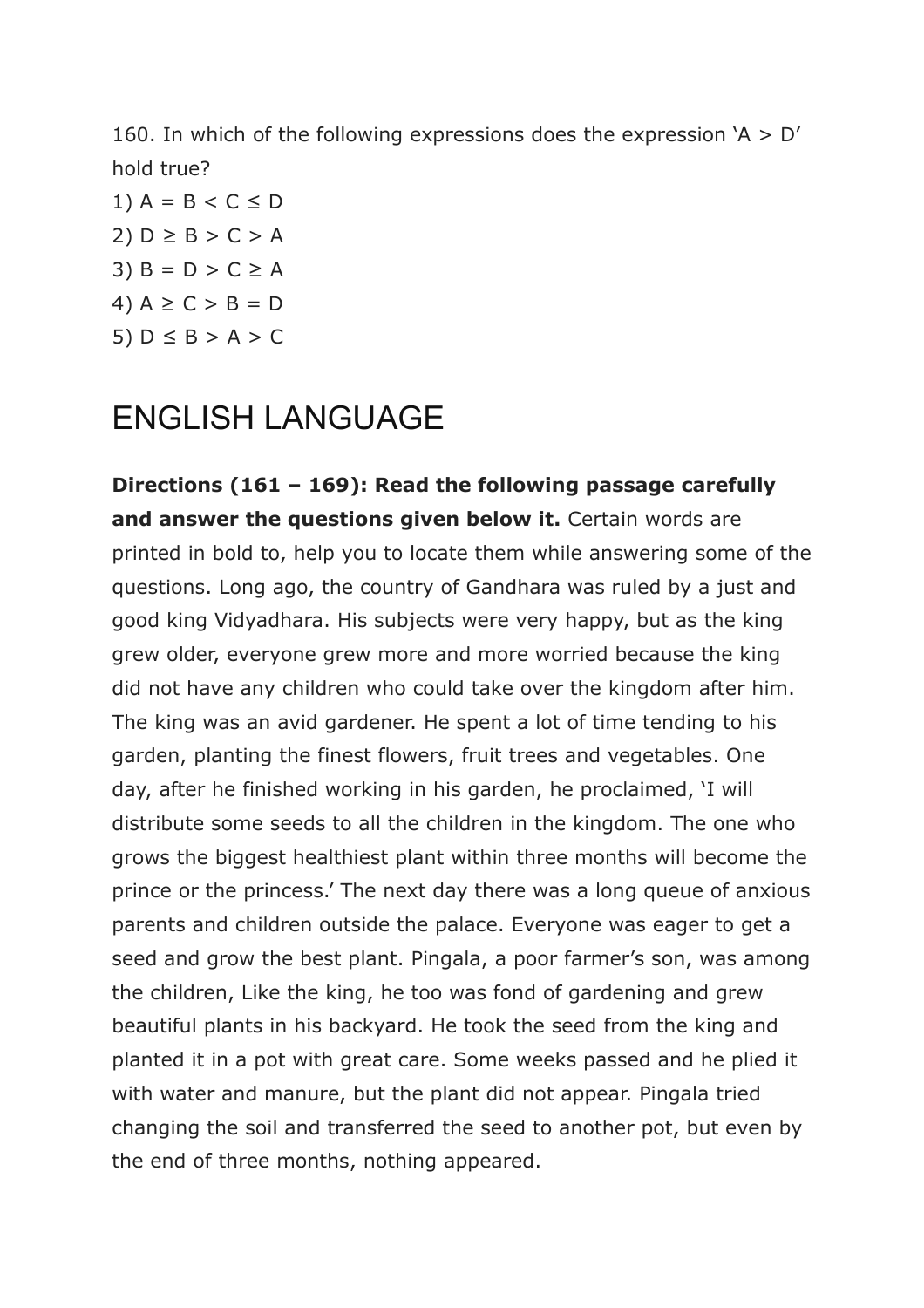160. In which of the following expressions does the expression  $A > D'$ hold true?

1)  $A = B < C \leq D$  $2) D \geq B > C > A$ 3)  $B = D > C \geq A$ 4)  $A \ge C > B = D$ 5)  $D \leq B > A > C$ 

## ENGLISH LANGUAGE

**Directions (161 – 169): Read the following passage carefully and answer the questions given below it.** Certain words are printed in bold to, help you to locate them while answering some of the questions. Long ago, the country of Gandhara was ruled by a just and good king Vidyadhara. His subjects were very happy, but as the king grew older, everyone grew more and more worried because the king did not have any children who could take over the kingdom after him. The king was an avid gardener. He spent a lot of time tending to his garden, planting the finest flowers, fruit trees and vegetables. One day, after he finished working in his garden, he proclaimed, 'I will distribute some seeds to all the children in the kingdom. The one who grows the biggest healthiest plant within three months will become the prince or the princess.' The next day there was a long queue of anxious parents and children outside the palace. Everyone was eager to get a seed and grow the best plant. Pingala, a poor farmer's son, was among the children, Like the king, he too was fond of gardening and grew beautiful plants in his backyard. He took the seed from the king and planted it in a pot with great care. Some weeks passed and he plied it with water and manure, but the plant did not appear. Pingala tried changing the soil and transferred the seed to another pot, but even by the end of three months, nothing appeared.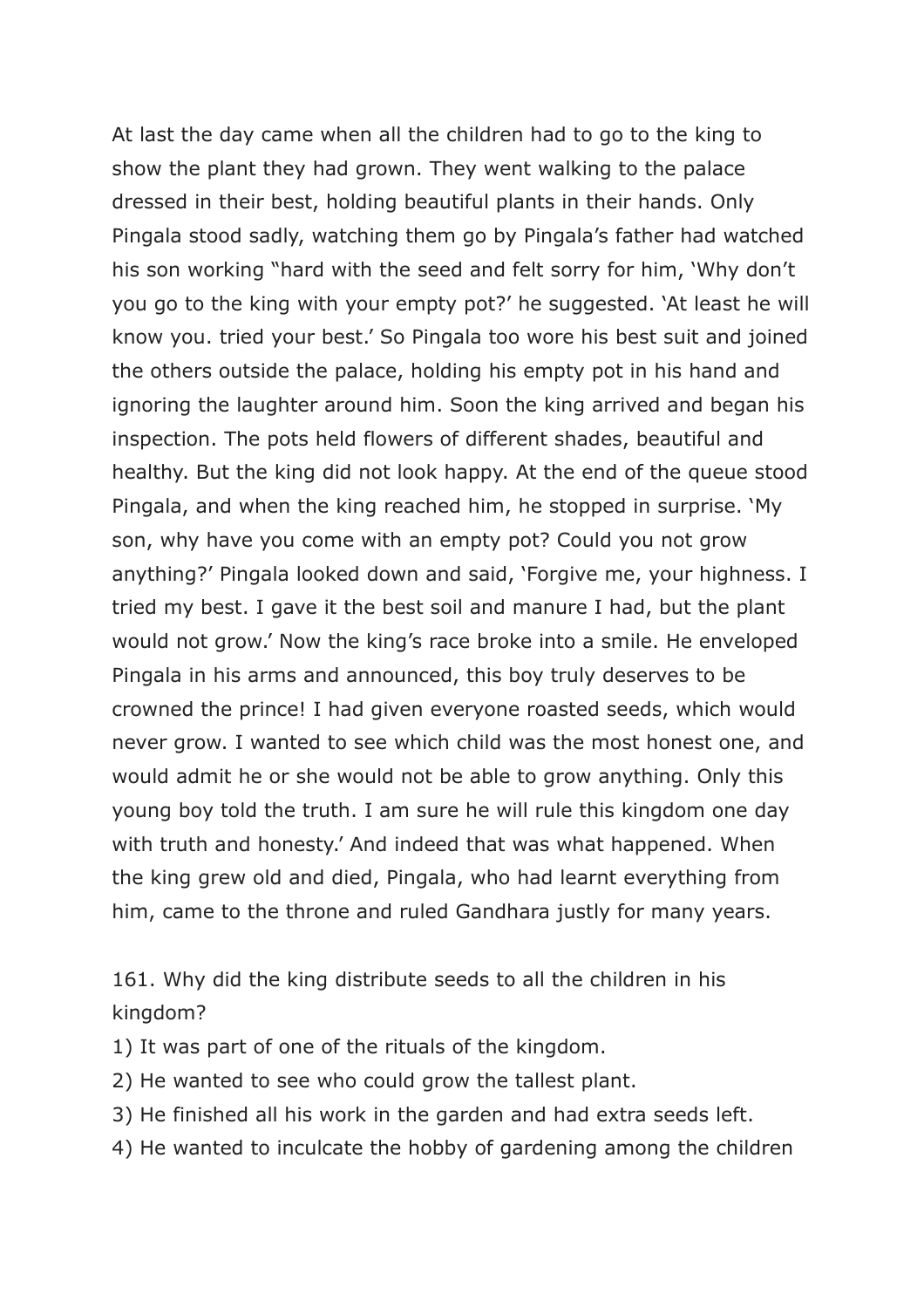At last the day came when all the children had to go to the king to show the plant they had grown. They went walking to the palace dressed in their best, holding beautiful plants in their hands. Only Pingala stood sadly, watching them go by Pingala's father had watched his son working "hard with the seed and felt sorry for him, 'Why don't you go to the king with your empty pot?' he suggested. 'At least he will know you. tried your best.' So Pingala too wore his best suit and joined the others outside the palace, holding his empty pot in his hand and ignoring the laughter around him. Soon the king arrived and began his inspection. The pots held flowers of different shades, beautiful and healthy. But the king did not look happy. At the end of the queue stood Pingala, and when the king reached him, he stopped in surprise. 'My son, why have you come with an empty pot? Could you not grow anything?' Pingala looked down and said, 'Forgive me, your highness. I tried my best. I gave it the best soil and manure I had, but the plant would not grow.' Now the king's race broke into a smile. He enveloped Pingala in his arms and announced, this boy truly deserves to be crowned the prince! I had given everyone roasted seeds, which would never grow. I wanted to see which child was the most honest one, and would admit he or she would not be able to grow anything. Only this young boy told the truth. I am sure he will rule this kingdom one day with truth and honesty.' And indeed that was what happened. When the king grew old and died, Pingala, who had learnt everything from him, came to the throne and ruled Gandhara justly for many years.

161. Why did the king distribute seeds to all the children in his kingdom?

1) It was part of one of the rituals of the kingdom.

- 2) He wanted to see who could grow the tallest plant.
- 3) He finished all his work in the garden and had extra seeds left.
- 4) He wanted to inculcate the hobby of gardening among the children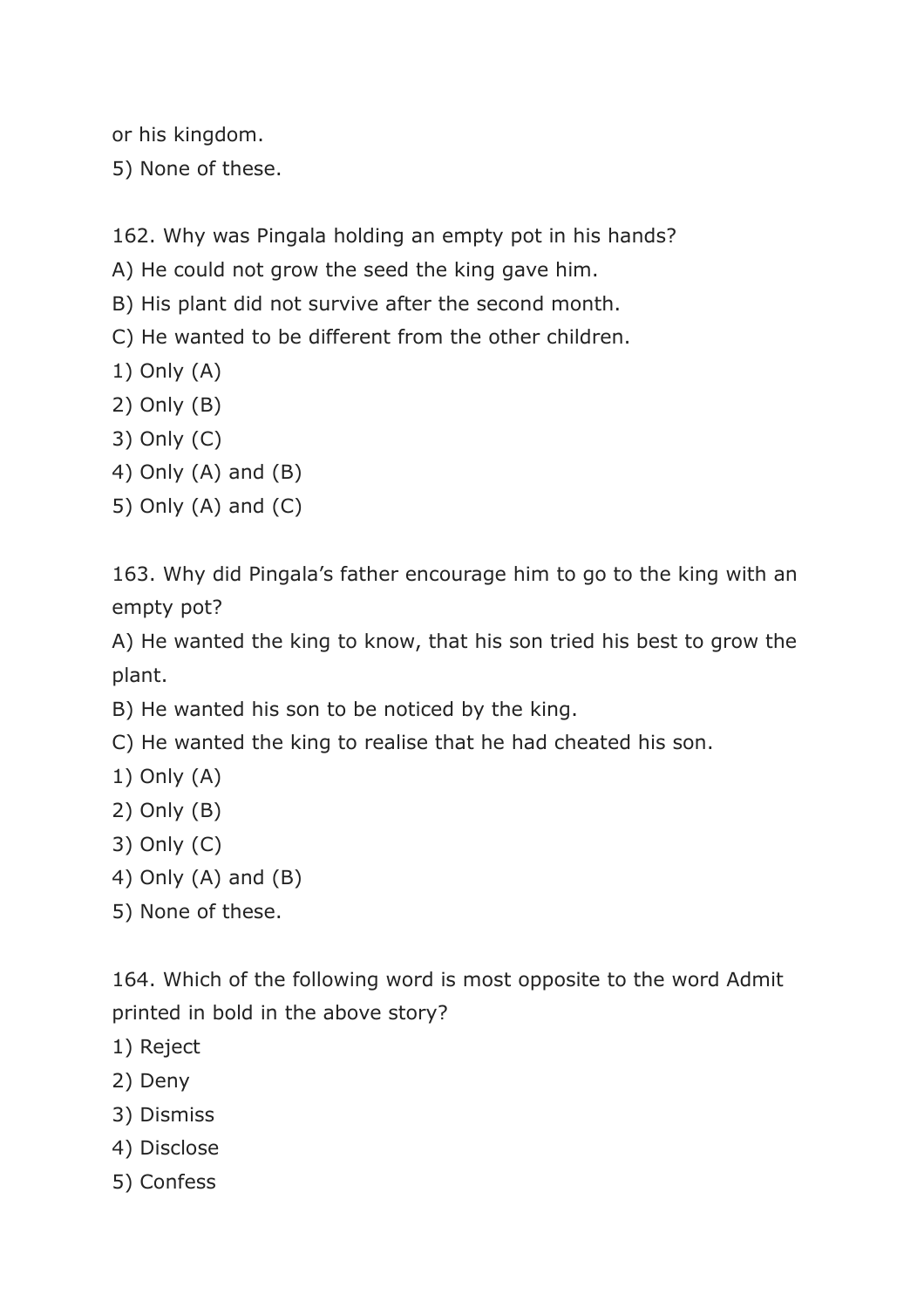or his kingdom.

5) None of these.

162. Why was Pingala holding an empty pot in his hands?

A) He could not grow the seed the king gave him.

B) His plant did not survive after the second month.

C) He wanted to be different from the other children.

- 1) Only (A)
- 2) Only (B)
- 3) Only (C)
- 4) Only (A) and (B)
- 5) Only (A) and (C)

163. Why did Pingala's father encourage him to go to the king with an empty pot?

A) He wanted the king to know, that his son tried his best to grow the plant.

B) He wanted his son to be noticed by the king.

C) He wanted the king to realise that he had cheated his son.

- 1) Only (A)
- 2) Only (B)
- 3) Only (C)
- 4) Only (A) and (B)
- 5) None of these.

164. Which of the following word is most opposite to the word Admit printed in bold in the above story?

- 1) Reject
- 2) Deny
- 3) Dismiss
- 4) Disclose
- 5) Confess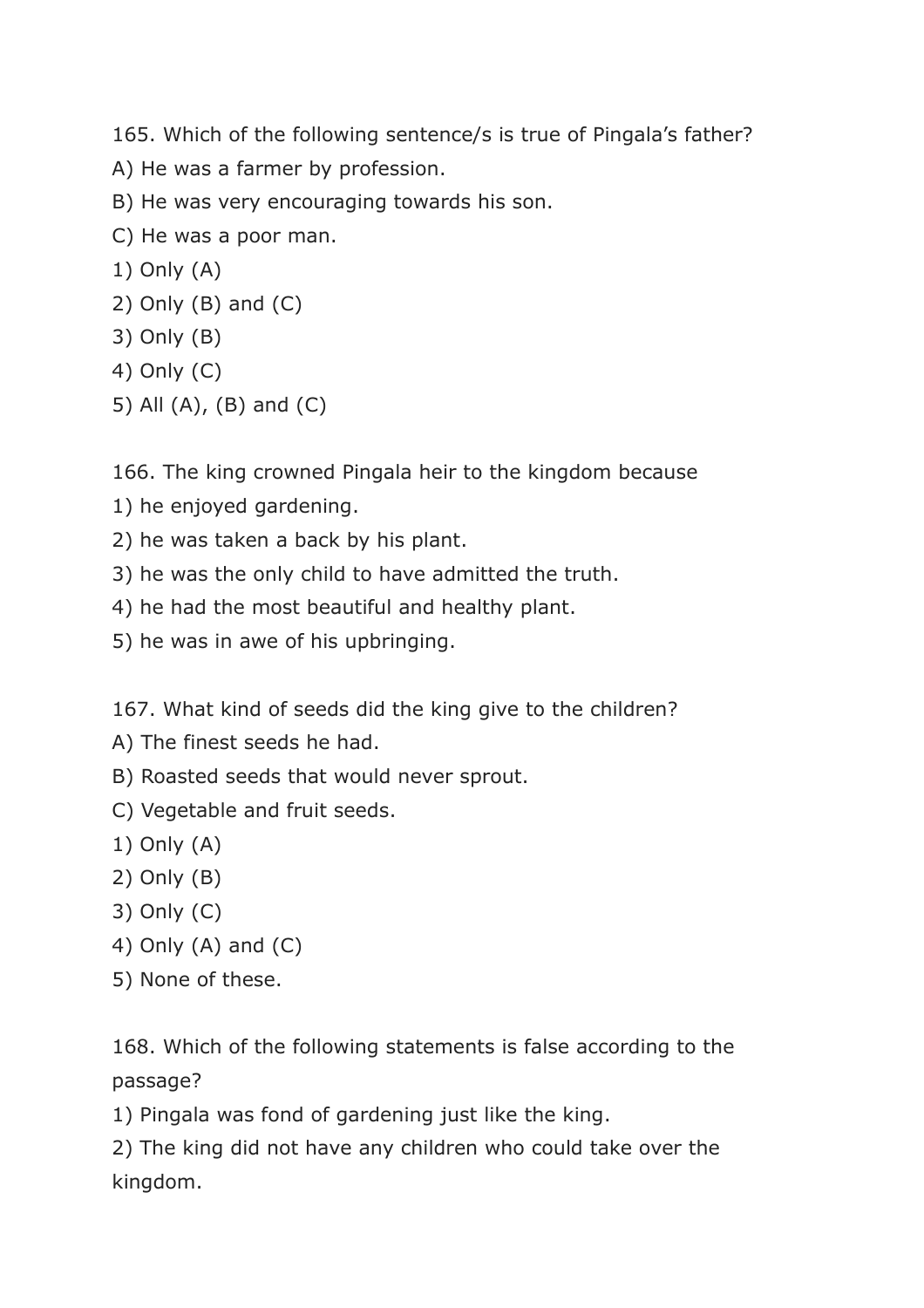165. Which of the following sentence/s is true of Pingala's father?

- A) He was a farmer by profession.
- B) He was very encouraging towards his son.
- C) He was a poor man.
- 1) Only (A)
- 2) Only (B) and (C)
- 3) Only (B)
- 4) Only (C)
- 5) All (A), (B) and (C)

166. The king crowned Pingala heir to the kingdom because

- 1) he enjoyed gardening.
- 2) he was taken a back by his plant.
- 3) he was the only child to have admitted the truth.
- 4) he had the most beautiful and healthy plant.
- 5) he was in awe of his upbringing.

167. What kind of seeds did the king give to the children?

- A) The finest seeds he had.
- B) Roasted seeds that would never sprout.
- C) Vegetable and fruit seeds.
- 1) Only (A)
- 2) Only (B)
- 3) Only (C)
- 4) Only (A) and (C)
- 5) None of these.

168. Which of the following statements is false according to the passage?

1) Pingala was fond of gardening just like the king.

2) The king did not have any children who could take over the kingdom.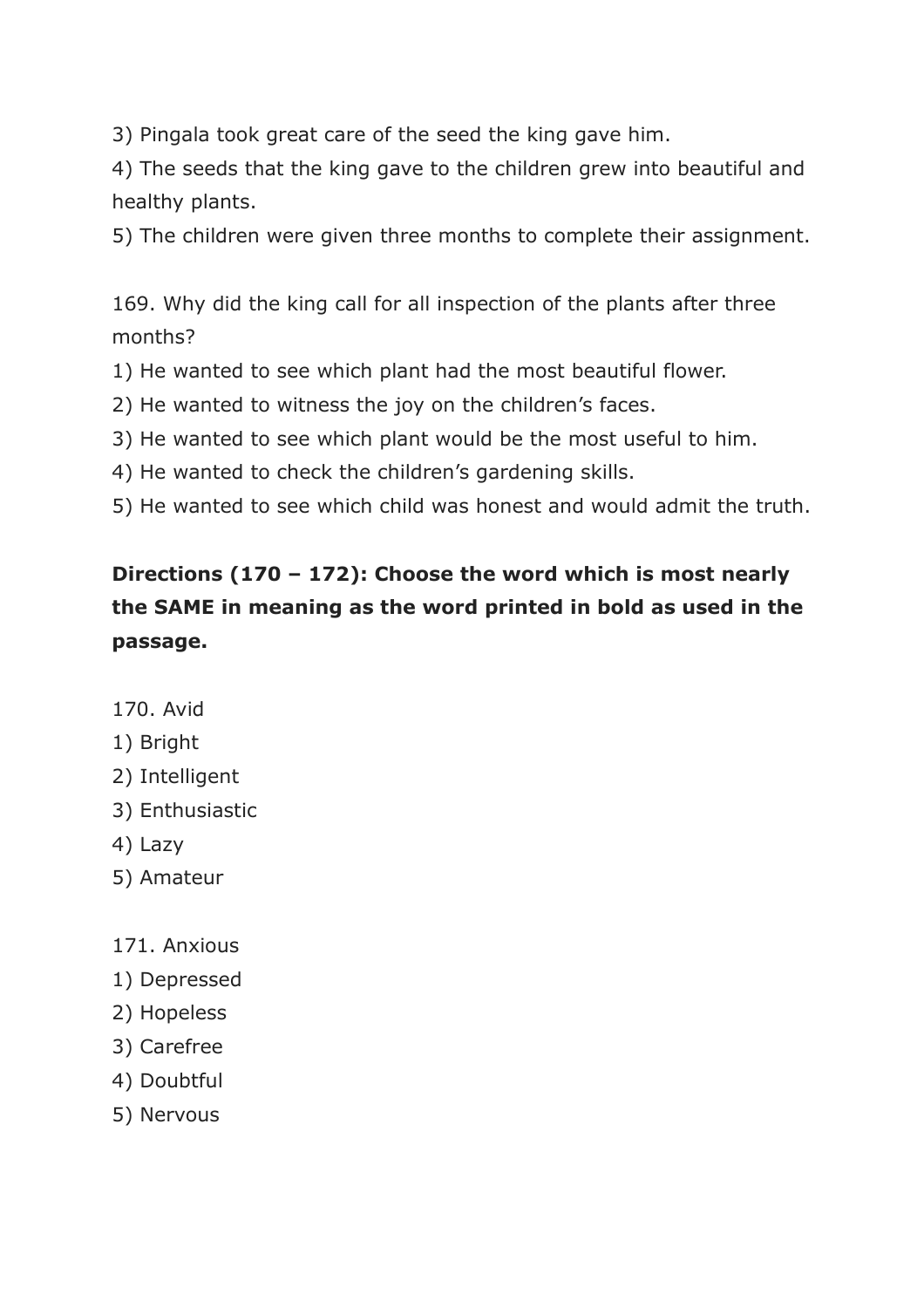3) Pingala took great care of the seed the king gave him.

4) The seeds that the king gave to the children grew into beautiful and healthy plants.

5) The children were given three months to complete their assignment.

169. Why did the king call for all inspection of the plants after three months?

1) He wanted to see which plant had the most beautiful flower.

2) He wanted to witness the joy on the children's faces.

3) He wanted to see which plant would be the most useful to him.

4) He wanted to check the children's gardening skills.

5) He wanted to see which child was honest and would admit the truth.

## **Directions (170 – 172): Choose the word which is most nearly the SAME in meaning as the word printed in bold as used in the passage.**

170. Avid

#### 1) Bright

- 2) Intelligent
- 3) Enthusiastic
- 4) Lazy
- 5) Amateur
- 171. Anxious
- 1) Depressed
- 2) Hopeless
- 3) Carefree
- 4) Doubtful
- 5) Nervous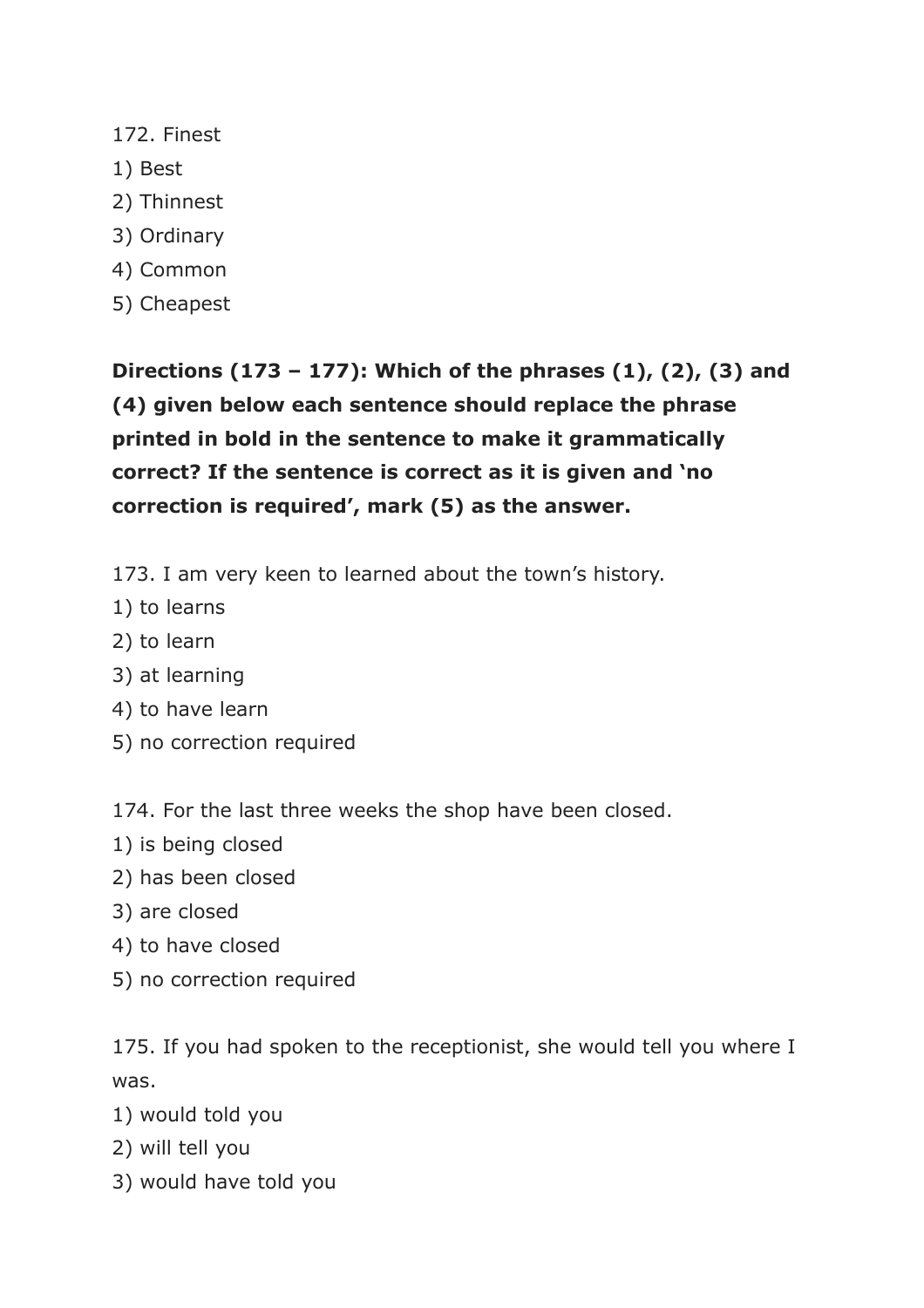- 172. Finest
- 1) Best
- 2) Thinnest
- 3) Ordinary
- 4) Common
- 5) Cheapest

**Directions (173 – 177): Which of the phrases (1), (2), (3) and (4) given below each sentence should replace the phrase printed in bold in the sentence to make it grammatically correct? If the sentence is correct as it is given and 'no correction is required', mark (5) as the answer.**

- 173. I am very keen to learned about the town's history.
- 1) to learns
- 2) to learn
- 3) at learning
- 4) to have learn
- 5) no correction required

174. For the last three weeks the shop have been closed.

- 1) is being closed
- 2) has been closed
- 3) are closed
- 4) to have closed
- 5) no correction required

175. If you had spoken to the receptionist, she would tell you where I was.

- 1) would told you
- 2) will tell you
- 3) would have told you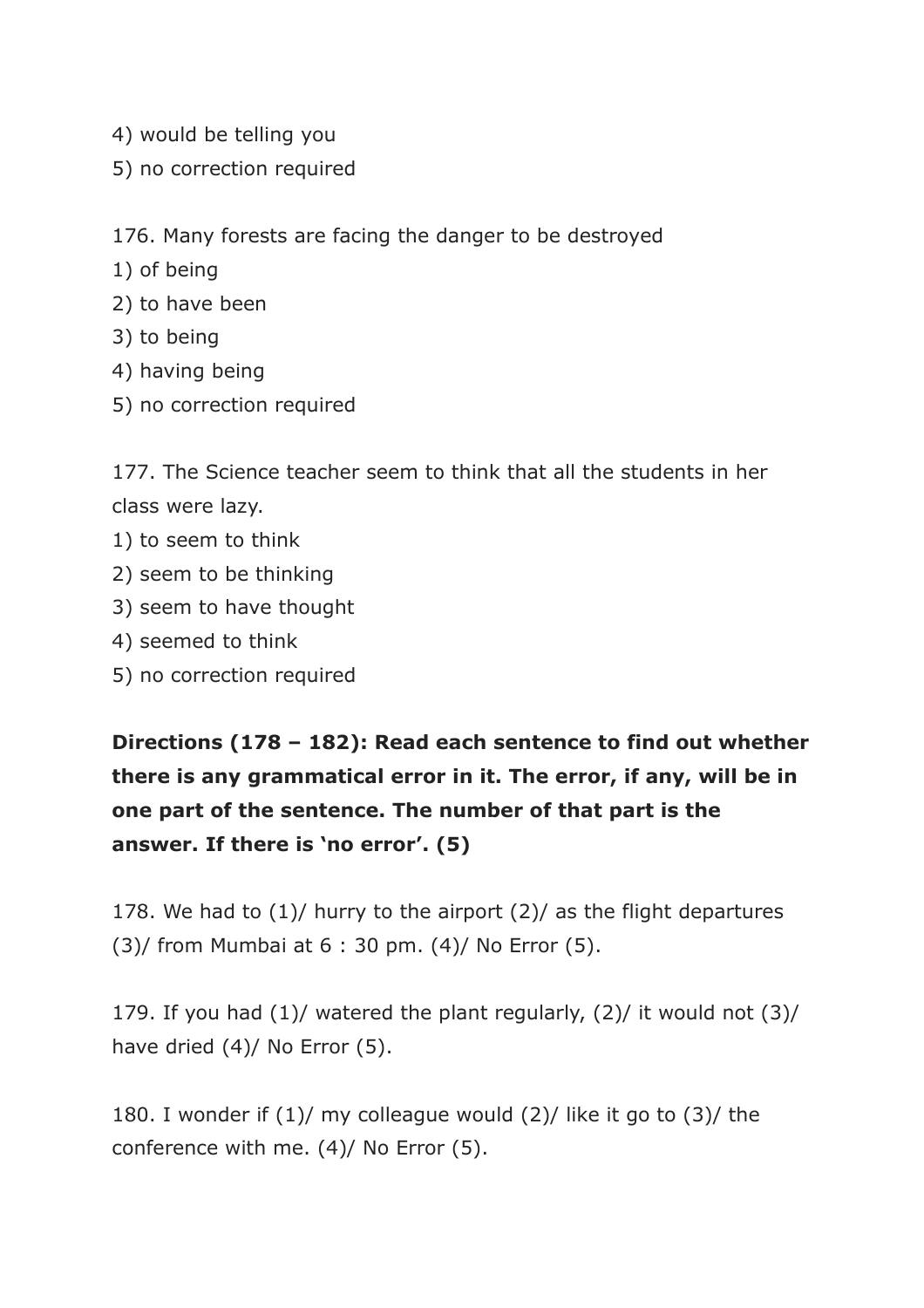- 4) would be telling you
- 5) no correction required

176. Many forests are facing the danger to be destroyed

- 1) of being
- 2) to have been
- 3) to being
- 4) having being
- 5) no correction required

177. The Science teacher seem to think that all the students in her class were lazy.

- 1) to seem to think
- 2) seem to be thinking
- 3) seem to have thought
- 4) seemed to think
- 5) no correction required

**Directions (178 – 182): Read each sentence to find out whether there is any grammatical error in it. The error, if any, will be in one part of the sentence. The number of that part is the answer. If there is 'no error'. (5)**

178. We had to (1)/ hurry to the airport (2)/ as the flight departures  $(3)$ / from Mumbai at 6 : 30 pm.  $(4)$ / No Error  $(5)$ .

179. If you had (1)/ watered the plant regularly, (2)/ it would not (3)/ have dried (4)/ No Error (5).

180. I wonder if (1)/ my colleague would (2)/ like it go to (3)/ the conference with me. (4)/ No Error (5).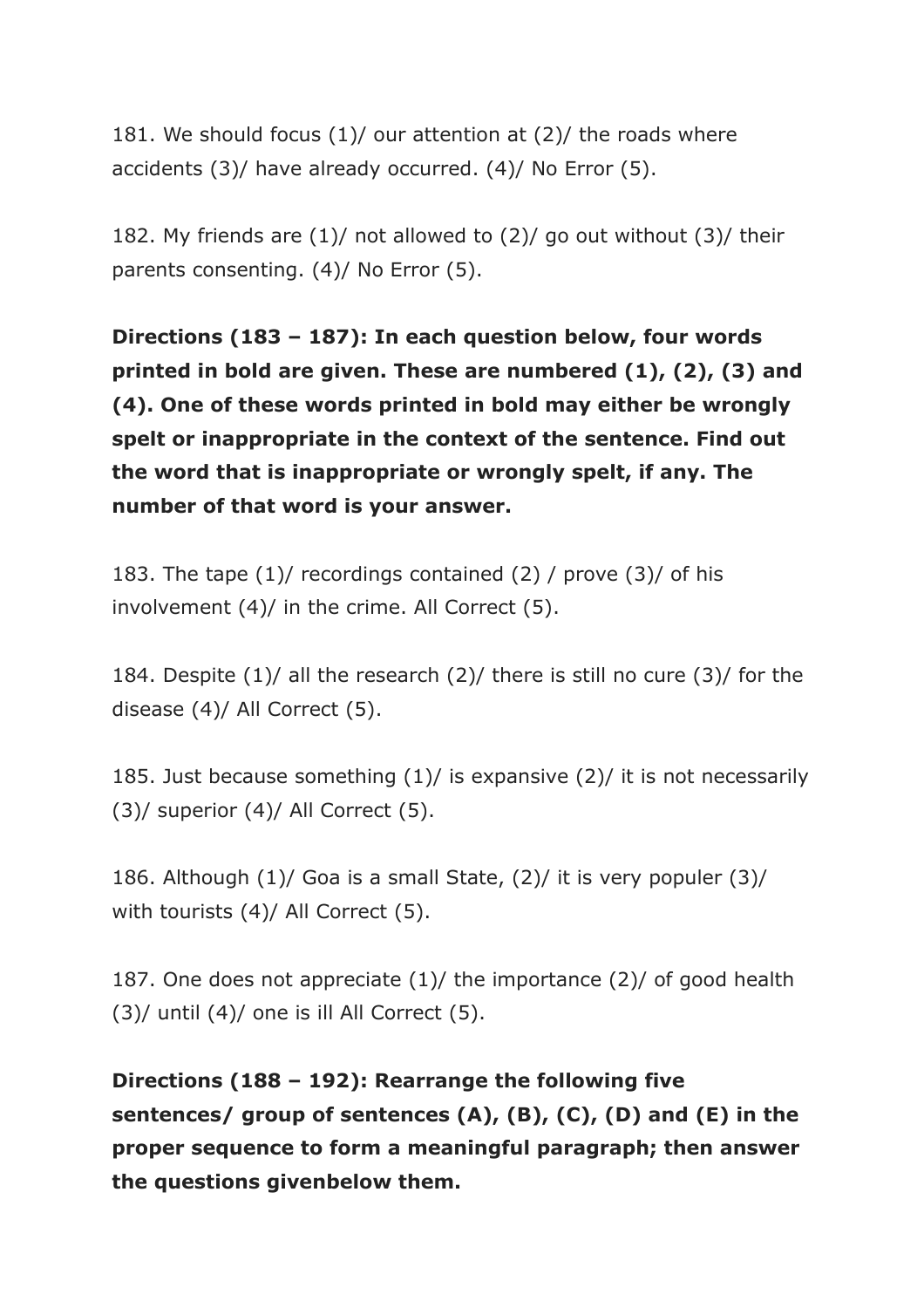181. We should focus (1)/ our attention at (2)/ the roads where accidents (3)/ have already occurred. (4)/ No Error (5).

182. My friends are  $(1)$ / not allowed to  $(2)$ / go out without  $(3)$ / their parents consenting. (4)/ No Error (5).

**Directions (183 – 187): In each question below, four words printed in bold are given. These are numbered (1), (2), (3) and (4). One of these words printed in bold may either be wrongly spelt or inappropriate in the context of the sentence. Find out the word that is inappropriate or wrongly spelt, if any. The number of that word is your answer.**

183. The tape (1)/ recordings contained (2) / prove (3)/ of his involvement (4)/ in the crime. All Correct (5).

184. Despite (1)/ all the research (2)/ there is still no cure (3)/ for the disease (4)/ All Correct (5).

185. Just because something (1)/ is expansive (2)/ it is not necessarily  $(3)$ / superior  $(4)$ / All Correct  $(5)$ .

186. Although (1)/ Goa is a small State, (2)/ it is very populer (3)/ with tourists (4)/ All Correct (5).

187. One does not appreciate (1)/ the importance (2)/ of good health  $(3)$ / until  $(4)$ / one is ill All Correct  $(5)$ .

**Directions (188 – 192): Rearrange the following five sentences/ group of sentences (A), (B), (C), (D) and (E) in the proper sequence to form a meaningful paragraph; then answer the questions givenbelow them.**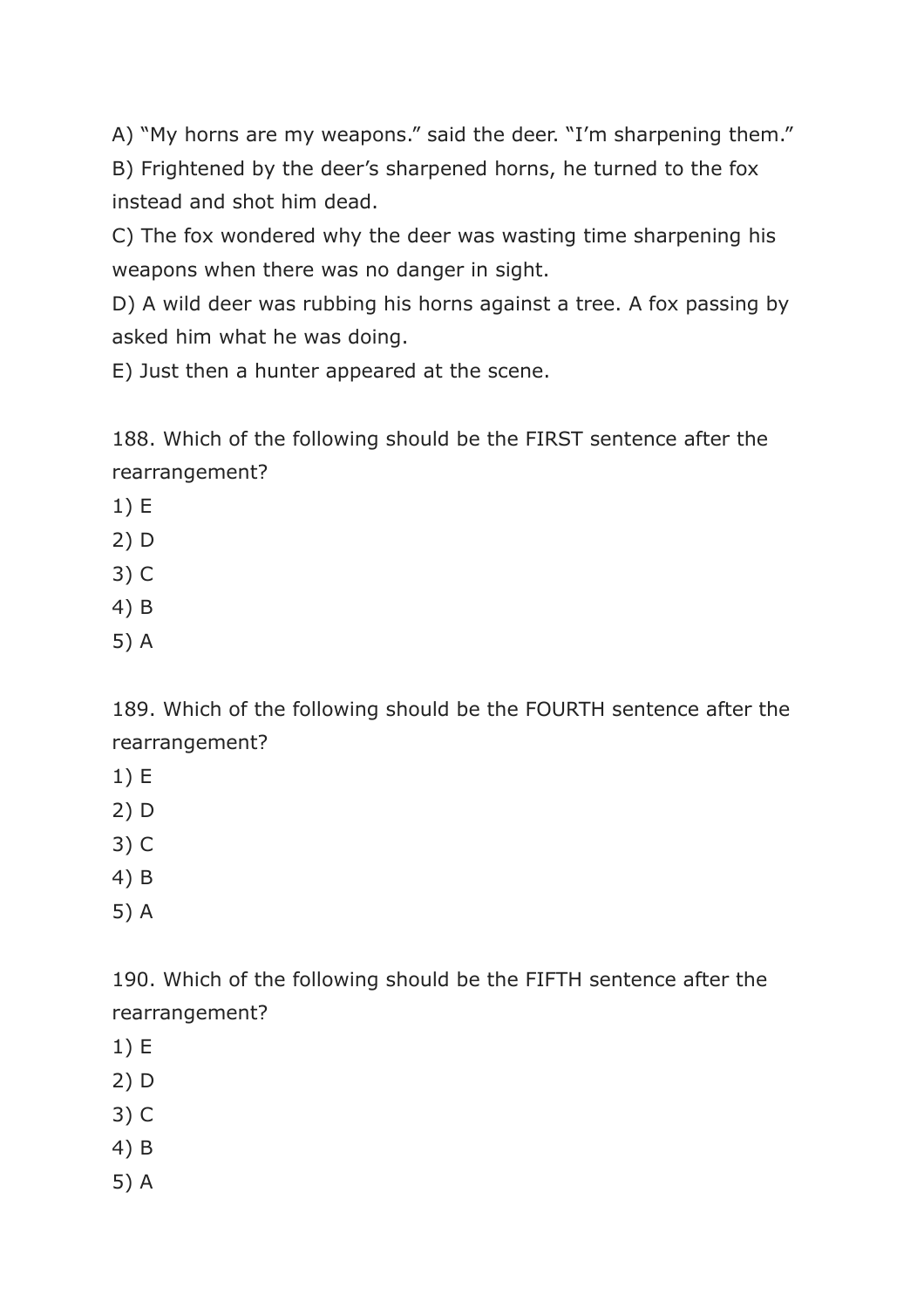A) "My horns are my weapons." said the deer. "I'm sharpening them." B) Frightened by the deer's sharpened horns, he turned to the fox instead and shot him dead.

C) The fox wondered why the deer was wasting time sharpening his weapons when there was no danger in sight.

D) A wild deer was rubbing his horns against a tree. A fox passing by asked him what he was doing.

E) Just then a hunter appeared at the scene.

188. Which of the following should be the FIRST sentence after the rearrangement?

- 1) E
- 2) D
- 3) C
- 4) B
- 5) A

189. Which of the following should be the FOURTH sentence after the rearrangement?

- 1) E
- 2) D
- 3) C
- 4) B
- 5) A

190. Which of the following should be the FIFTH sentence after the rearrangement?

- 1) E
- 2) D
- 3) C
- 4) B
- 5) A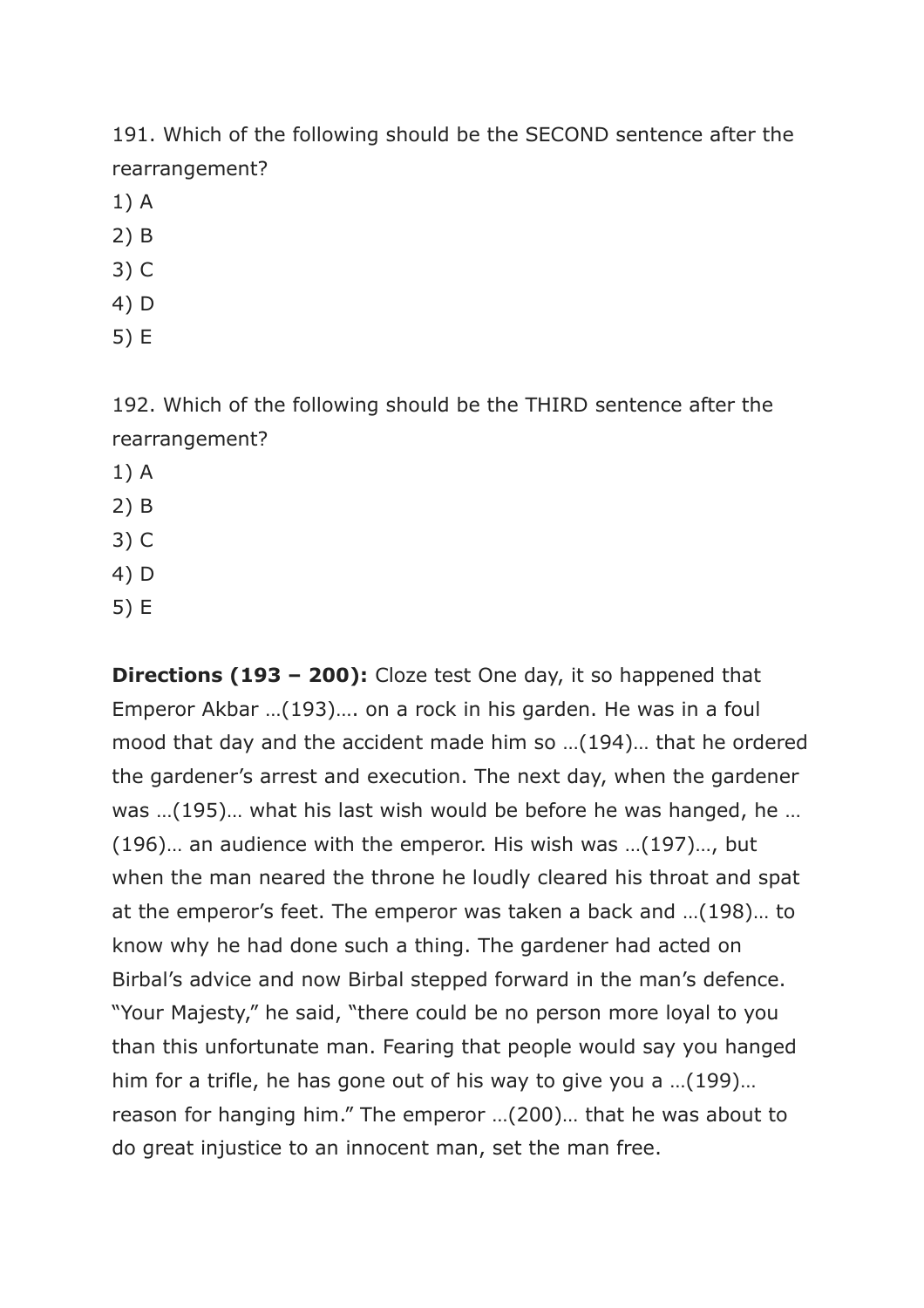191. Which of the following should be the SECOND sentence after the rearrangement?

- 1) A
- 2) B
- 3) C
- 4) D
- 5) E

192. Which of the following should be the THIRD sentence after the rearrangement?

- 1) A
- 2) B
- 3) C
- 4) D
- 5) E

**Directions (193 – 200):** Cloze test One day, it so happened that Emperor Akbar …(193)…. on a rock in his garden. He was in a foul mood that day and the accident made him so …(194)… that he ordered the gardener's arrest and execution. The next day, when the gardener was …(195)… what his last wish would be before he was hanged, he … (196)… an audience with the emperor. His wish was …(197)…, but when the man neared the throne he loudly cleared his throat and spat at the emperor's feet. The emperor was taken a back and …(198)… to know why he had done such a thing. The gardener had acted on Birbal's advice and now Birbal stepped forward in the man's defence. "Your Majesty," he said, "there could be no person more loyal to you than this unfortunate man. Fearing that people would say you hanged him for a trifle, he has gone out of his way to give you a …(199)… reason for hanging him." The emperor …(200)… that he was about to do great injustice to an innocent man, set the man free.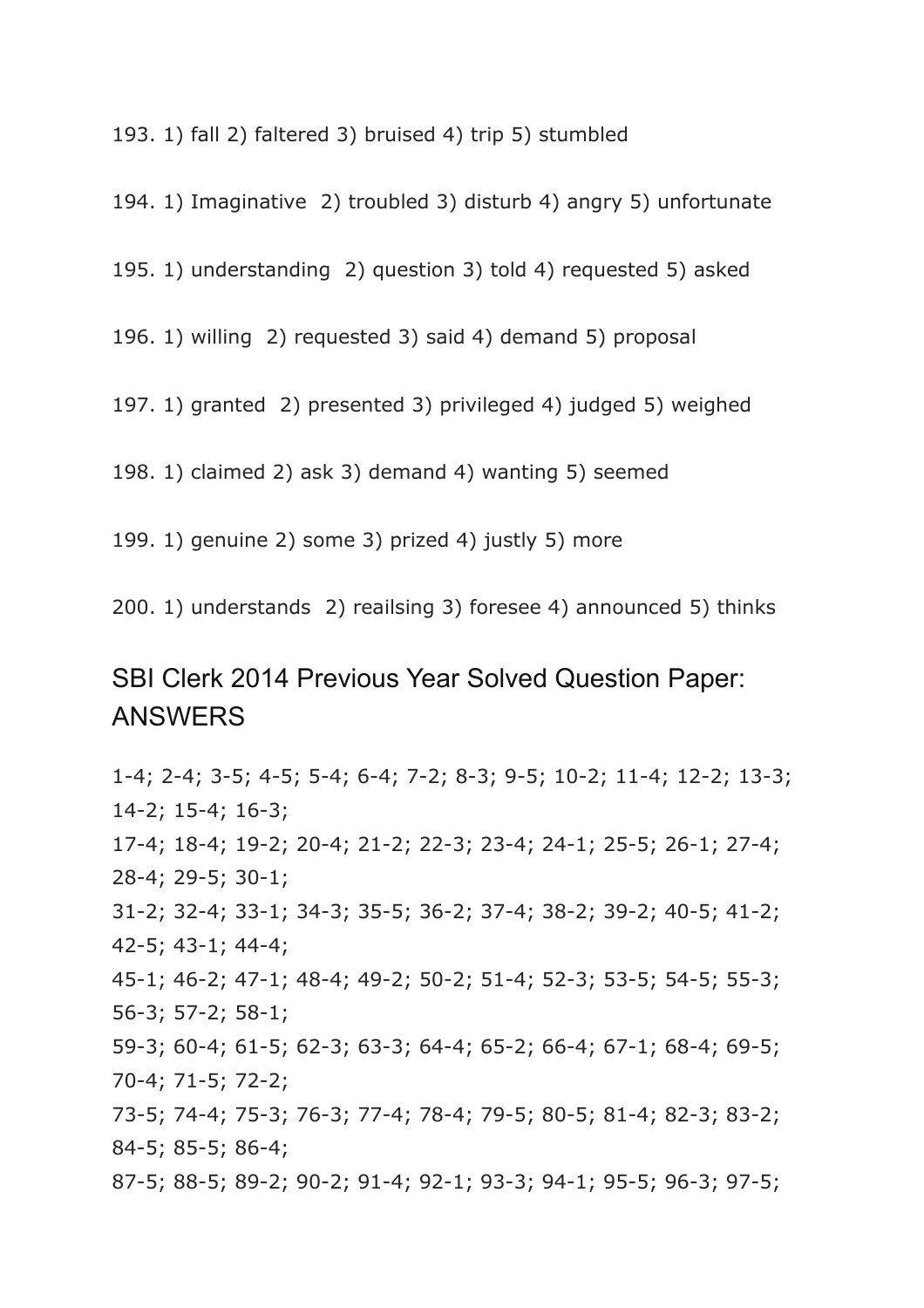193. 1) fall 2) faltered 3) bruised 4) trip 5) stumbled

194. 1) Imaginative 2) troubled 3) disturb 4) angry 5) unfortunate

195. 1) understanding 2) question 3) told 4) requested 5) asked

196. 1) willing 2) requested 3) said 4) demand 5) proposal

197. 1) granted 2) presented 3) privileged 4) judged 5) weighed

198. 1) claimed 2) ask 3) demand 4) wanting 5) seemed

199. 1) genuine 2) some 3) prized 4) justly 5) more

200. 1) understands 2) reailsing 3) foresee 4) announced 5) thinks

## SBI Clerk 2014 Previous Year Solved Question Paper: ANSWERS

1-4; 2-4; 3-5; 4-5; 5-4; 6-4; 7-2; 8-3; 9-5; 10-2; 11-4; 12-2; 13-3; 14-2; 15-4; 16-3; 17-4; 18-4; 19-2; 20-4; 21-2; 22-3; 23-4; 24-1; 25-5; 26-1; 27-4; 28-4; 29-5; 30-1; 31-2; 32-4; 33-1; 34-3; 35-5; 36-2; 37-4; 38-2; 39-2; 40-5; 41-2; 42-5; 43-1; 44-4; 45-1; 46-2; 47-1; 48-4; 49-2; 50-2; 51-4; 52-3; 53-5; 54-5; 55-3; 56-3; 57-2; 58-1; 59-3; 60-4; 61-5; 62-3; 63-3; 64-4; 65-2; 66-4; 67-1; 68-4; 69-5; 70-4; 71-5; 72-2; 73-5; 74-4; 75-3; 76-3; 77-4; 78-4; 79-5; 80-5; 81-4; 82-3; 83-2; 84-5; 85-5; 86-4; 87-5; 88-5; 89-2; 90-2; 91-4; 92-1; 93-3; 94-1; 95-5; 96-3; 97-5;